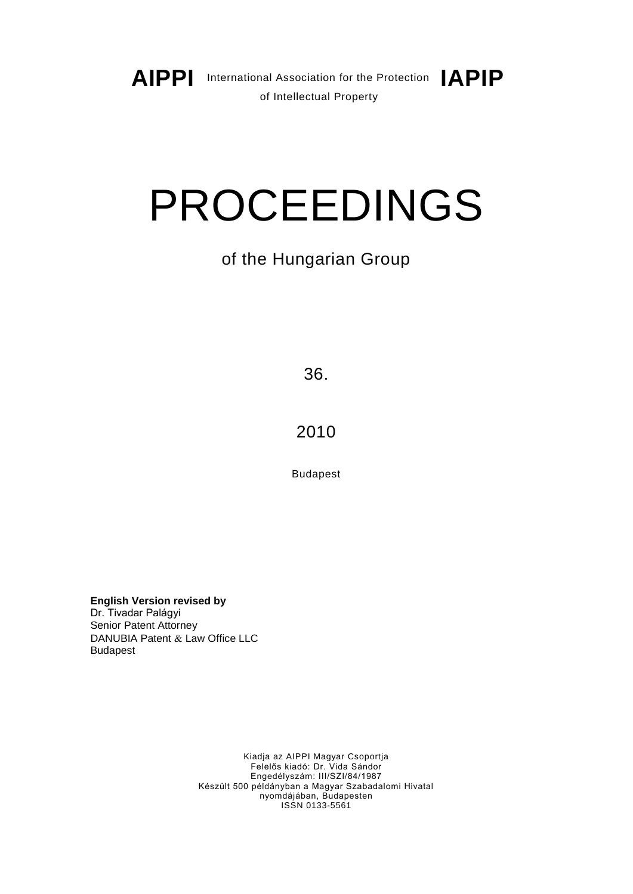

# PROCEEDINGS

# of the Hungarian Group

36.

2010

Budapest

**English Version revised by**  Dr. Tivadar Palágyi Senior Patent Attorney DANUBIA Patent & Law Office LLC Budapest

> Kiadja az AIPPI Magyar Csoportja Felelős kiadó: Dr. Vida Sándor Engedélyszám: III/SZI/84/1987 Készült 500 példányban a Magyar Szabadalomi Hivatal nyomdájában, Budapesten ISSN 0133-5561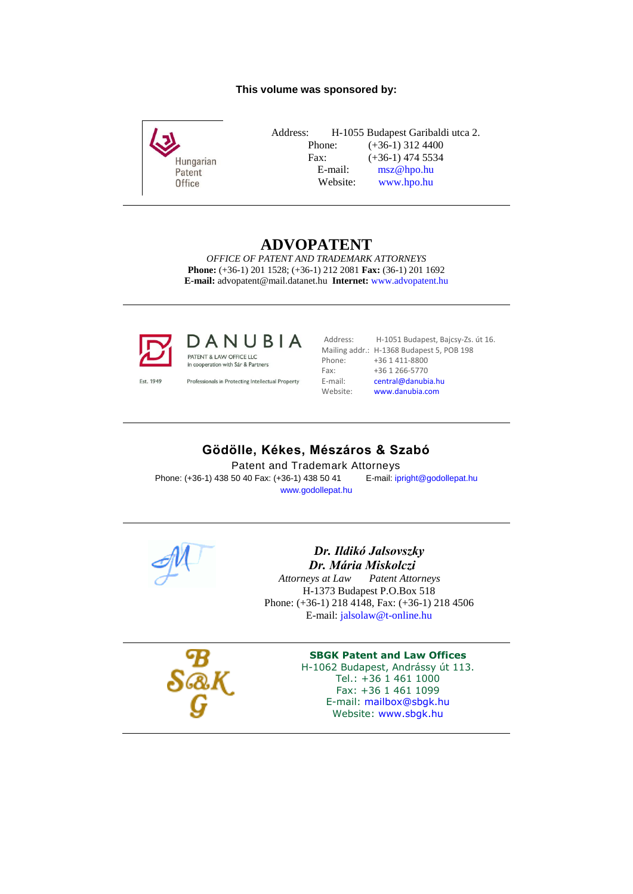## **This volume was sponsored by:**



Address: H-1055 Budapest Garibaldi utca 2. Phone: (+36-1) 312 4400 Fax: (+36-1) 474 5534 E-mail: [msz@hpo.hu](mailto:msz@hpo.hu)<br>Website: www.hpo.hu [www.hpo.hu](http://www.hpo.hu/)

# **ADVOPATENT**

*OFFICE OF PATENT AND TRADEMARK ATTORNEYS* **Phone:** (+36-1) 201 1528; (+36-1) 212 2081 **Fax:** (36-1) 201 1692 **E-mail:** advopatent@mail.datanet.hu **Internet:** [www.advopatent.hu](http://www.advopatent.hu/)



DANUBIA PATENT & LAW OFFICE LLC in cooperation with Sár & Partners

Est. 1949

Professionals in Protecting Intellectual Property

Address: H-1051 Budapest, Bajcsy-Zs. út 16. Phone: +36 1 411-8800<br>Fax: +36 1 266-5770 Fax: +36 1 266-5770<br>E-mail: central@danubi

Mailing addr.: H-1368 Budapest 5, POB 198<br>Phone: +36 1 411-8800 E-mail: [central@danubia.hu](mailto:central@danubia.hu)<br>Website: www.danubia.com Website: [www.danubia.com](http://www.danubia.com/)

# **Gödölle, Kékes, Mészáros & Szabó**

Patent and Trademark Attorneys

Phone: (+36-1) 438 50 40 Fax: (+36-1) 438 50 41 E-mail[: ipright@godollepat.hu](mailto:ipright@godollepat.hu) [www.godollepat.hu](http://www.godollepat.hu/)



# *Dr. Ildikó Jalsovszky Dr. Mária Miskolczi*

 $Pattern Attornev's$ H-1373 Budapest P.O.Box 518 Phone: (+36-1) 218 4148, Fax: (+36-1) 218 4506 E-mail: [jalsolaw@t-online.hu](mailto:jalsolaw@t-online.hu)



#### **SBGK Patent and Law Offices**

H-1062 Budapest, Andrássy út 113. Tel.: +36 1 461 1000 Fax: +36 1 461 1099 E-mail: [mailbox@sbgk.hu](mailto:mailbox@sbgk.hu) Website: [www.sbgk.hu](http://www.sbgk.hu/)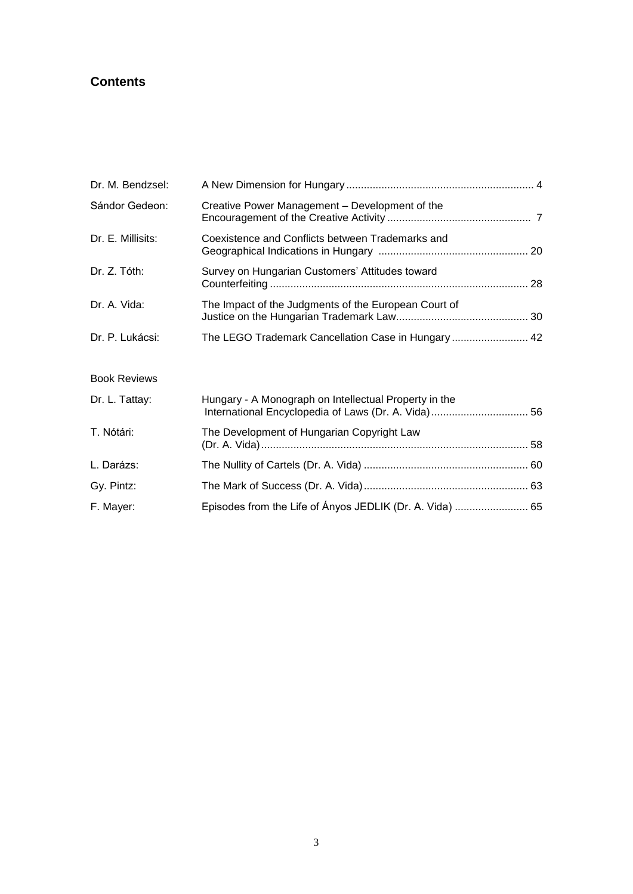# **Contents**

| Dr. M. Bendzsel:    |                                                       |  |
|---------------------|-------------------------------------------------------|--|
| Sándor Gedeon:      | Creative Power Management - Development of the        |  |
| Dr. E. Millisits:   | Coexistence and Conflicts between Trademarks and      |  |
| Dr. Z. Tóth:        | Survey on Hungarian Customers' Attitudes toward       |  |
| Dr. A. Vida:        | The Impact of the Judgments of the European Court of  |  |
| Dr. P. Lukácsi:     | The LEGO Trademark Cancellation Case in Hungary  42   |  |
| <b>Book Reviews</b> |                                                       |  |
| Dr. L. Tattay:      | Hungary - A Monograph on Intellectual Property in the |  |
| T. Nótári:          | The Development of Hungarian Copyright Law            |  |
| L. Darázs:          |                                                       |  |

Gy. Pintz: The Mark of Success (Dr. A. Vida)........................................................ 63 F. Mayer: Episodes from the Life of Ányos JEDLIK (Dr. A. Vida) ......................... 65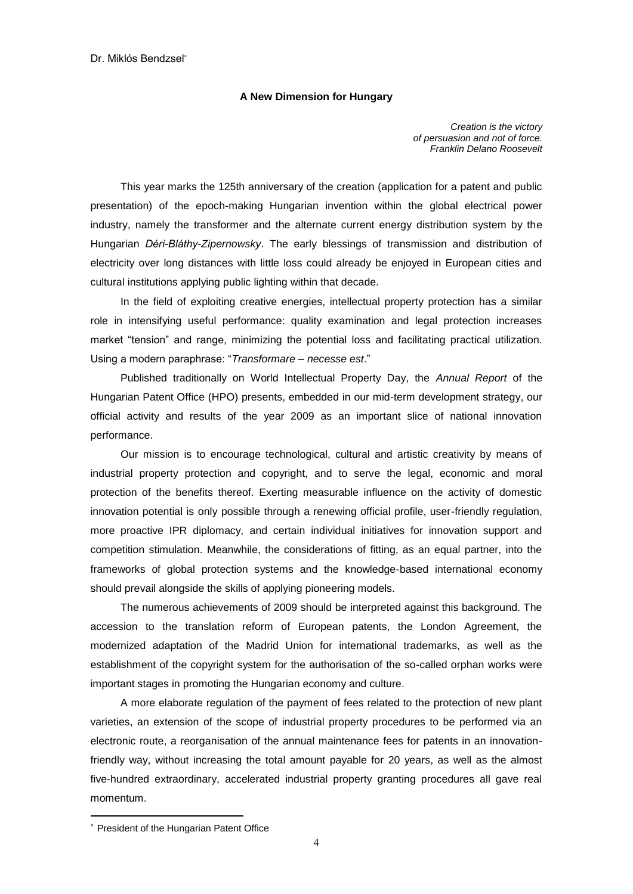## **A New Dimension for Hungary**

*Creation is the victory of persuasion and not of force. Franklin Delano Roosevelt* 

This year marks the 125th anniversary of the creation (application for a patent and public presentation) of the epoch-making Hungarian invention within the global electrical power industry, namely the transformer and the alternate current energy distribution system by the Hungarian *Déri-Bláthy-Zipernowsky*. The early blessings of transmission and distribution of electricity over long distances with little loss could already be enjoyed in European cities and cultural institutions applying public lighting within that decade.

In the field of exploiting creative energies, intellectual property protection has a similar role in intensifying useful performance: quality examination and legal protection increases market "tension" and range, minimizing the potential loss and facilitating practical utilization. Using a modern paraphrase: "*Transformare – necesse est*."

Published traditionally on World Intellectual Property Day, the *Annual Report* of the Hungarian Patent Office (HPO) presents, embedded in our mid-term development strategy, our official activity and results of the year 2009 as an important slice of national innovation performance.

Our mission is to encourage technological, cultural and artistic creativity by means of industrial property protection and copyright, and to serve the legal, economic and moral protection of the benefits thereof. Exerting measurable influence on the activity of domestic innovation potential is only possible through a renewing official profile, user-friendly regulation, more proactive IPR diplomacy, and certain individual initiatives for innovation support and competition stimulation. Meanwhile, the considerations of fitting, as an equal partner, into the frameworks of global protection systems and the knowledge-based international economy should prevail alongside the skills of applying pioneering models.

The numerous achievements of 2009 should be interpreted against this background. The accession to the translation reform of European patents, the London Agreement, the modernized adaptation of the Madrid Union for international trademarks, as well as the establishment of the copyright system for the authorisation of the so-called orphan works were important stages in promoting the Hungarian economy and culture.

A more elaborate regulation of the payment of fees related to the protection of new plant varieties, an extension of the scope of industrial property procedures to be performed via an electronic route, a reorganisation of the annual maintenance fees for patents in an innovationfriendly way, without increasing the total amount payable for 20 years, as well as the almost five-hundred extraordinary, accelerated industrial property granting procedures all gave real momentum.

President of the Hungarian Patent Office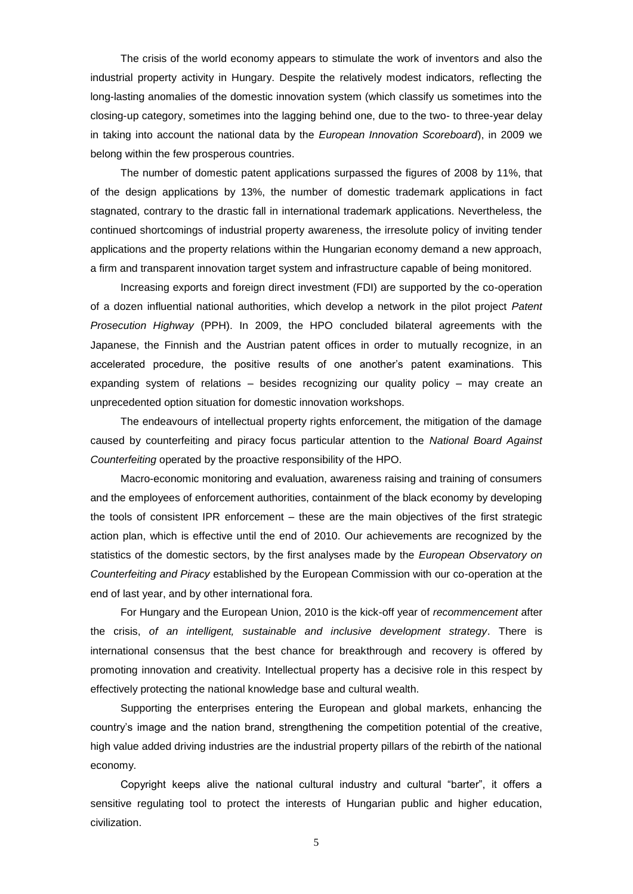The crisis of the world economy appears to stimulate the work of inventors and also the industrial property activity in Hungary. Despite the relatively modest indicators, reflecting the long-lasting anomalies of the domestic innovation system (which classify us sometimes into the closing-up category, sometimes into the lagging behind one, due to the two- to three-year delay in taking into account the national data by the *European Innovation Scoreboard*), in 2009 we belong within the few prosperous countries.

The number of domestic patent applications surpassed the figures of 2008 by 11%, that of the design applications by 13%, the number of domestic trademark applications in fact stagnated, contrary to the drastic fall in international trademark applications. Nevertheless, the continued shortcomings of industrial property awareness, the irresolute policy of inviting tender applications and the property relations within the Hungarian economy demand a new approach, a firm and transparent innovation target system and infrastructure capable of being monitored.

Increasing exports and foreign direct investment (FDI) are supported by the co-operation of a dozen influential national authorities, which develop a network in the pilot project *Patent Prosecution Highway* (PPH). In 2009, the HPO concluded bilateral agreements with the Japanese, the Finnish and the Austrian patent offices in order to mutually recognize, in an accelerated procedure, the positive results of one another"s patent examinations. This expanding system of relations – besides recognizing our quality policy – may create an unprecedented option situation for domestic innovation workshops.

The endeavours of intellectual property rights enforcement, the mitigation of the damage caused by counterfeiting and piracy focus particular attention to the *National Board Against Counterfeiting* operated by the proactive responsibility of the HPO.

Macro-economic monitoring and evaluation, awareness raising and training of consumers and the employees of enforcement authorities, containment of the black economy by developing the tools of consistent IPR enforcement – these are the main objectives of the first strategic action plan, which is effective until the end of 2010. Our achievements are recognized by the statistics of the domestic sectors, by the first analyses made by the *European Observatory on Counterfeiting and Piracy* established by the European Commission with our co-operation at the end of last year, and by other international fora.

For Hungary and the European Union, 2010 is the kick-off year of *recommencement* after the crisis, *of an intelligent, sustainable and inclusive development strategy*. There is international consensus that the best chance for breakthrough and recovery is offered by promoting innovation and creativity. Intellectual property has a decisive role in this respect by effectively protecting the national knowledge base and cultural wealth.

Supporting the enterprises entering the European and global markets, enhancing the country"s image and the nation brand, strengthening the competition potential of the creative, high value added driving industries are the industrial property pillars of the rebirth of the national economy.

Copyright keeps alive the national cultural industry and cultural "barter", it offers a sensitive regulating tool to protect the interests of Hungarian public and higher education, civilization.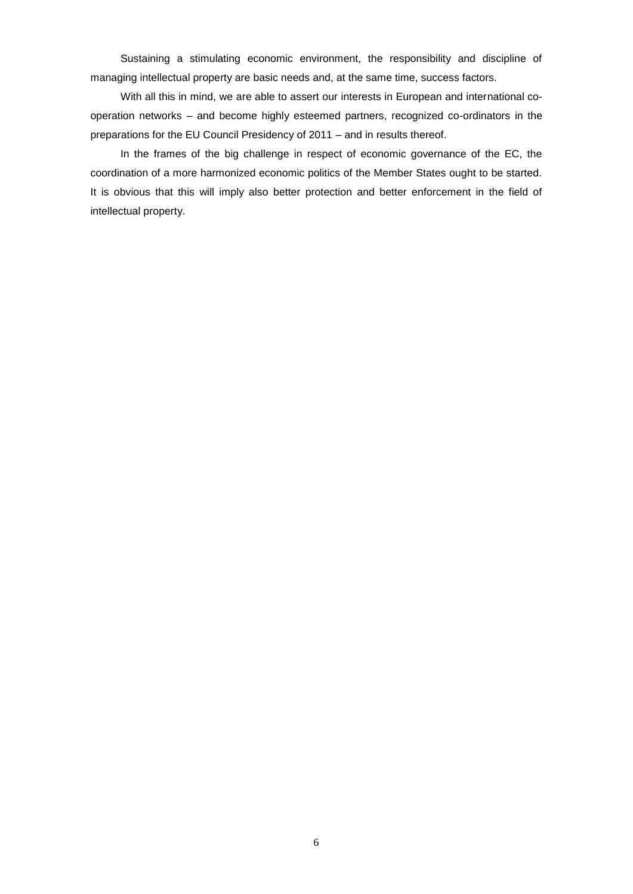Sustaining a stimulating economic environment, the responsibility and discipline of managing intellectual property are basic needs and, at the same time, success factors.

With all this in mind, we are able to assert our interests in European and international cooperation networks – and become highly esteemed partners, recognized co-ordinators in the preparations for the EU Council Presidency of 2011 – and in results thereof.

In the frames of the big challenge in respect of economic governance of the EC, the coordination of a more harmonized economic politics of the Member States ought to be started. It is obvious that this will imply also better protection and better enforcement in the field of intellectual property.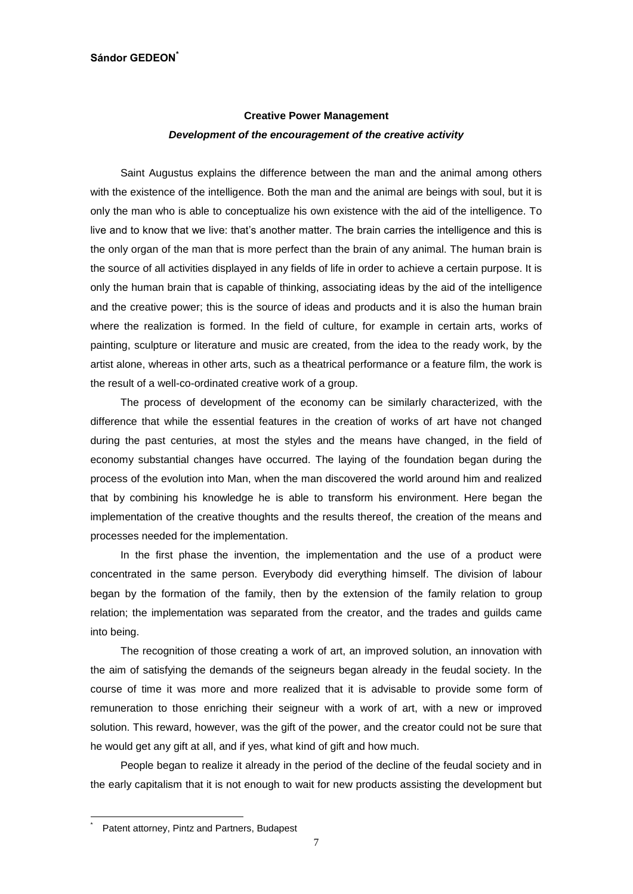# **Creative Power Management** *Development of the encouragement of the creative activity*

Saint Augustus explains the difference between the man and the animal among others with the existence of the intelligence. Both the man and the animal are beings with soul, but it is only the man who is able to conceptualize his own existence with the aid of the intelligence. To live and to know that we live: that"s another matter. The brain carries the intelligence and this is the only organ of the man that is more perfect than the brain of any animal. The human brain is the source of all activities displayed in any fields of life in order to achieve a certain purpose. It is only the human brain that is capable of thinking, associating ideas by the aid of the intelligence and the creative power; this is the source of ideas and products and it is also the human brain where the realization is formed. In the field of culture, for example in certain arts, works of painting, sculpture or literature and music are created, from the idea to the ready work, by the artist alone, whereas in other arts, such as a theatrical performance or a feature film, the work is the result of a well-co-ordinated creative work of a group.

The process of development of the economy can be similarly characterized, with the difference that while the essential features in the creation of works of art have not changed during the past centuries, at most the styles and the means have changed, in the field of economy substantial changes have occurred. The laying of the foundation began during the process of the evolution into Man, when the man discovered the world around him and realized that by combining his knowledge he is able to transform his environment. Here began the implementation of the creative thoughts and the results thereof, the creation of the means and processes needed for the implementation.

In the first phase the invention, the implementation and the use of a product were concentrated in the same person. Everybody did everything himself. The division of labour began by the formation of the family, then by the extension of the family relation to group relation; the implementation was separated from the creator, and the trades and guilds came into being.

The recognition of those creating a work of art, an improved solution, an innovation with the aim of satisfying the demands of the seigneurs began already in the feudal society. In the course of time it was more and more realized that it is advisable to provide some form of remuneration to those enriching their seigneur with a work of art, with a new or improved solution. This reward, however, was the gift of the power, and the creator could not be sure that he would get any gift at all, and if yes, what kind of gift and how much.

People began to realize it already in the period of the decline of the feudal society and in the early capitalism that it is not enough to wait for new products assisting the development but

<sup>\*</sup> Patent attorney, Pintz and Partners, Budapest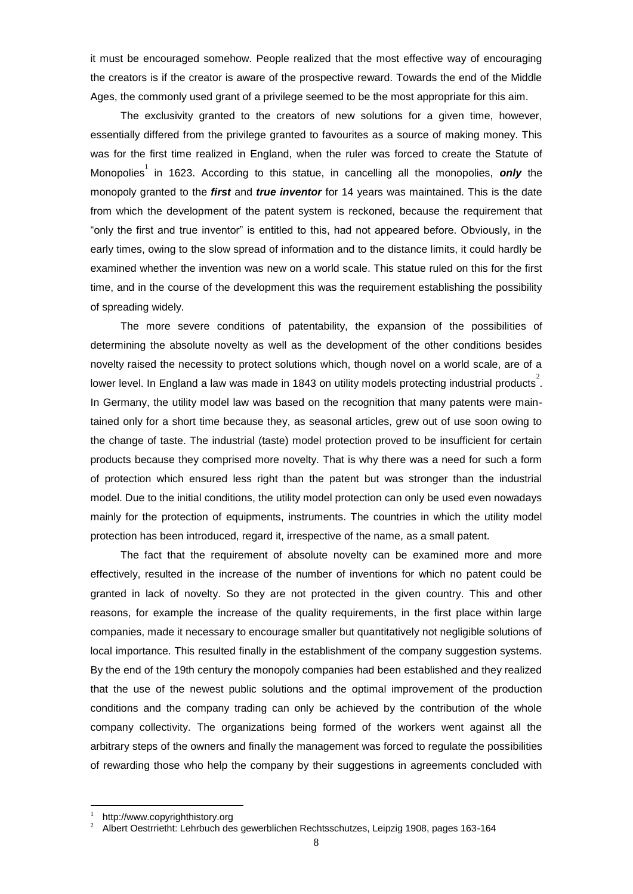it must be encouraged somehow. People realized that the most effective way of encouraging the creators is if the creator is aware of the prospective reward. Towards the end of the Middle Ages, the commonly used grant of a privilege seemed to be the most appropriate for this aim.

The exclusivity granted to the creators of new solutions for a given time, however, essentially differed from the privilege granted to favourites as a source of making money. This was for the first time realized in England, when the ruler was forced to create the Statute of Monopolies<sup>1</sup> in 1623. According to this statue, in cancelling all the monopolies, only the monopoly granted to the *first* and *true inventor* for 14 years was maintained. This is the date from which the development of the patent system is reckoned, because the requirement that "only the first and true inventor" is entitled to this, had not appeared before. Obviously, in the early times, owing to the slow spread of information and to the distance limits, it could hardly be examined whether the invention was new on a world scale. This statue ruled on this for the first time, and in the course of the development this was the requirement establishing the possibility of spreading widely.

The more severe conditions of patentability, the expansion of the possibilities of determining the absolute novelty as well as the development of the other conditions besides novelty raised the necessity to protect solutions which, though novel on a world scale, are of a lower level. In England a law was made in 1843 on utility models protecting industrial products<sup>2</sup>. In Germany, the utility model law was based on the recognition that many patents were maintained only for a short time because they, as seasonal articles, grew out of use soon owing to the change of taste. The industrial (taste) model protection proved to be insufficient for certain products because they comprised more novelty. That is why there was a need for such a form of protection which ensured less right than the patent but was stronger than the industrial model. Due to the initial conditions, the utility model protection can only be used even nowadays mainly for the protection of equipments, instruments. The countries in which the utility model protection has been introduced, regard it, irrespective of the name, as a small patent.

The fact that the requirement of absolute novelty can be examined more and more effectively, resulted in the increase of the number of inventions for which no patent could be granted in lack of novelty. So they are not protected in the given country. This and other reasons, for example the increase of the quality requirements, in the first place within large companies, made it necessary to encourage smaller but quantitatively not negligible solutions of local importance. This resulted finally in the establishment of the company suggestion systems. By the end of the 19th century the monopoly companies had been established and they realized that the use of the newest public solutions and the optimal improvement of the production conditions and the company trading can only be achieved by the contribution of the whole company collectivity. The organizations being formed of the workers went against all the arbitrary steps of the owners and finally the management was forced to regulate the possibilities of rewarding those who help the company by their suggestions in agreements concluded with

<sup>1</sup> http://www.copyrighthistory.org

<sup>2</sup> Albert Oestrrietht: Lehrbuch des gewerblichen Rechtsschutzes, Leipzig 1908, pages 163-164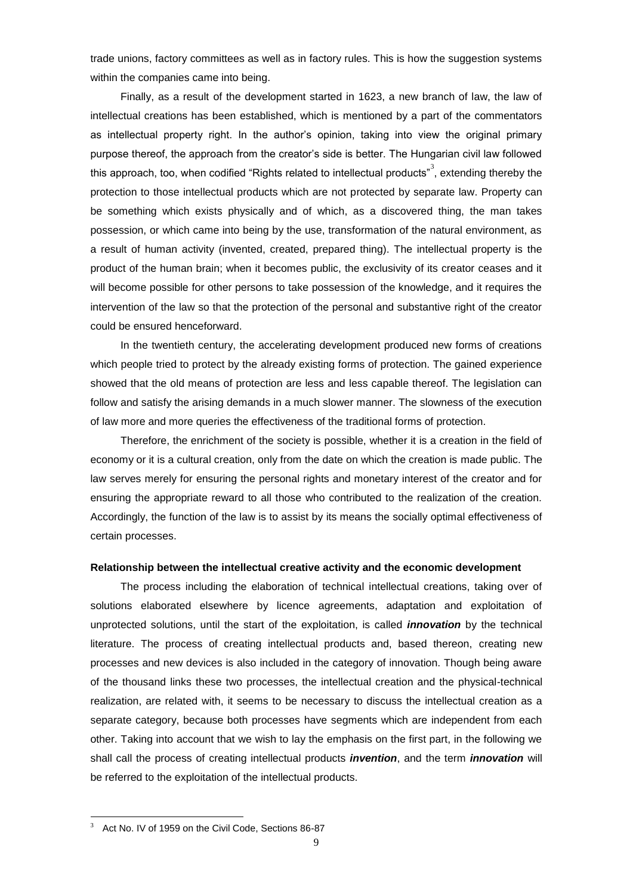trade unions, factory committees as well as in factory rules. This is how the suggestion systems within the companies came into being.

Finally, as a result of the development started in 1623, a new branch of law, the law of intellectual creations has been established, which is mentioned by a part of the commentators as intellectual property right. In the author's opinion, taking into view the original primary purpose thereof, the approach from the creator"s side is better. The Hungarian civil law followed this approach, too, when codified "Rights related to intellectual products"<sup>3</sup>, extending thereby the protection to those intellectual products which are not protected by separate law. Property can be something which exists physically and of which, as a discovered thing, the man takes possession, or which came into being by the use, transformation of the natural environment, as a result of human activity (invented, created, prepared thing). The intellectual property is the product of the human brain; when it becomes public, the exclusivity of its creator ceases and it will become possible for other persons to take possession of the knowledge, and it requires the intervention of the law so that the protection of the personal and substantive right of the creator could be ensured henceforward.

In the twentieth century, the accelerating development produced new forms of creations which people tried to protect by the already existing forms of protection. The gained experience showed that the old means of protection are less and less capable thereof. The legislation can follow and satisfy the arising demands in a much slower manner. The slowness of the execution of law more and more queries the effectiveness of the traditional forms of protection.

Therefore, the enrichment of the society is possible, whether it is a creation in the field of economy or it is a cultural creation, only from the date on which the creation is made public. The law serves merely for ensuring the personal rights and monetary interest of the creator and for ensuring the appropriate reward to all those who contributed to the realization of the creation. Accordingly, the function of the law is to assist by its means the socially optimal effectiveness of certain processes.

#### **Relationship between the intellectual creative activity and the economic development**

The process including the elaboration of technical intellectual creations, taking over of solutions elaborated elsewhere by licence agreements, adaptation and exploitation of unprotected solutions, until the start of the exploitation, is called *innovation* by the technical literature. The process of creating intellectual products and, based thereon, creating new processes and new devices is also included in the category of innovation. Though being aware of the thousand links these two processes, the intellectual creation and the physical-technical realization, are related with, it seems to be necessary to discuss the intellectual creation as a separate category, because both processes have segments which are independent from each other. Taking into account that we wish to lay the emphasis on the first part, in the following we shall call the process of creating intellectual products *invention*, and the term *innovation* will be referred to the exploitation of the intellectual products.

Act No. IV of 1959 on the Civil Code, Sections 86-87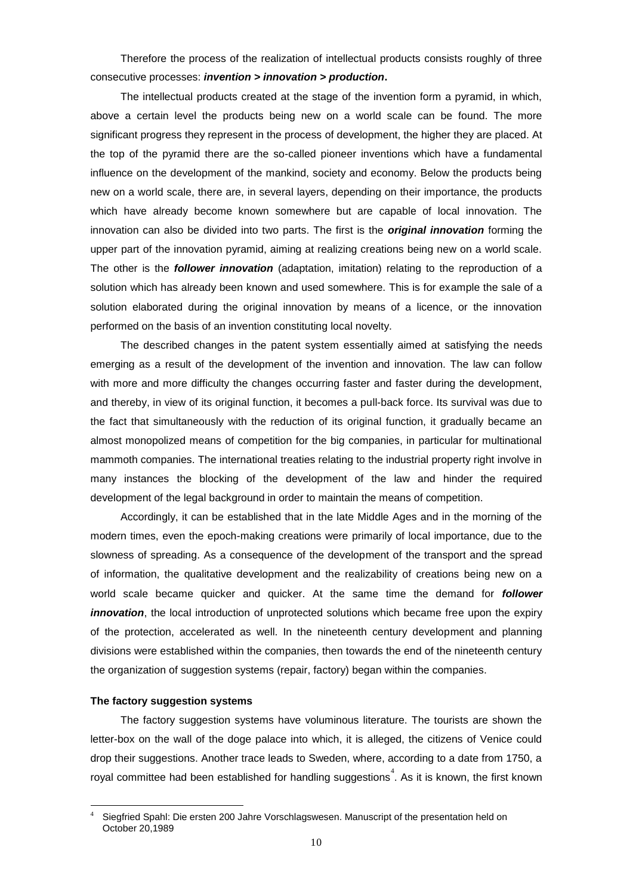Therefore the process of the realization of intellectual products consists roughly of three consecutive processes: *invention > innovation > production***.**

The intellectual products created at the stage of the invention form a pyramid, in which, above a certain level the products being new on a world scale can be found. The more significant progress they represent in the process of development, the higher they are placed. At the top of the pyramid there are the so-called pioneer inventions which have a fundamental influence on the development of the mankind, society and economy. Below the products being new on a world scale, there are, in several layers, depending on their importance, the products which have already become known somewhere but are capable of local innovation. The innovation can also be divided into two parts. The first is the *original innovation* forming the upper part of the innovation pyramid, aiming at realizing creations being new on a world scale. The other is the *follower innovation* (adaptation, imitation) relating to the reproduction of a solution which has already been known and used somewhere. This is for example the sale of a solution elaborated during the original innovation by means of a licence, or the innovation performed on the basis of an invention constituting local novelty.

The described changes in the patent system essentially aimed at satisfying the needs emerging as a result of the development of the invention and innovation. The law can follow with more and more difficulty the changes occurring faster and faster during the development, and thereby, in view of its original function, it becomes a pull-back force. Its survival was due to the fact that simultaneously with the reduction of its original function, it gradually became an almost monopolized means of competition for the big companies, in particular for multinational mammoth companies. The international treaties relating to the industrial property right involve in many instances the blocking of the development of the law and hinder the required development of the legal background in order to maintain the means of competition.

Accordingly, it can be established that in the late Middle Ages and in the morning of the modern times, even the epoch-making creations were primarily of local importance, due to the slowness of spreading. As a consequence of the development of the transport and the spread of information, the qualitative development and the realizability of creations being new on a world scale became quicker and quicker. At the same time the demand for *follower innovation*, the local introduction of unprotected solutions which became free upon the expiry of the protection, accelerated as well. In the nineteenth century development and planning divisions were established within the companies, then towards the end of the nineteenth century the organization of suggestion systems (repair, factory) began within the companies.

#### **The factory suggestion systems**

1

The factory suggestion systems have voluminous literature. The tourists are shown the letter-box on the wall of the doge palace into which, it is alleged, the citizens of Venice could drop their suggestions. Another trace leads to Sweden, where, according to a date from 1750, a royal committee had been established for handling suggestions<sup>4</sup>. As it is known, the first known

Siegfried Spahl: Die ersten 200 Jahre Vorschlagswesen. Manuscript of the presentation held on October 20,1989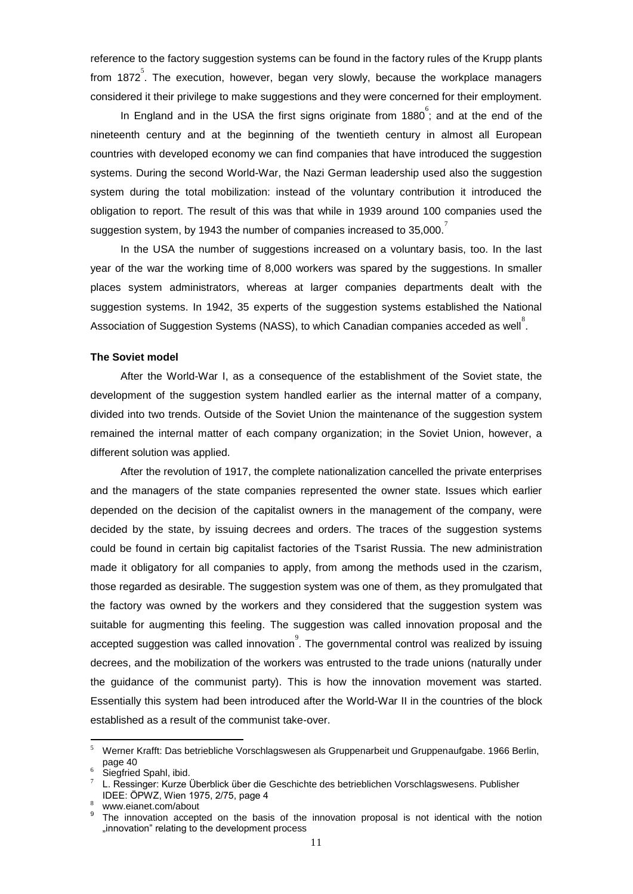reference to the factory suggestion systems can be found in the factory rules of the Krupp plants from 1872<sup>5</sup>. The execution, however, began very slowly, because the workplace managers considered it their privilege to make suggestions and they were concerned for their employment.

In England and in the USA the first signs originate from 1880 $\degree$ ; and at the end of the nineteenth century and at the beginning of the twentieth century in almost all European countries with developed economy we can find companies that have introduced the suggestion systems. During the second World-War, the Nazi German leadership used also the suggestion system during the total mobilization: instead of the voluntary contribution it introduced the obligation to report. The result of this was that while in 1939 around 100 companies used the suggestion system, by 1943 the number of companies increased to 35,000.<sup>7</sup>

In the USA the number of suggestions increased on a voluntary basis, too. In the last year of the war the working time of 8,000 workers was spared by the suggestions. In smaller places system administrators, whereas at larger companies departments dealt with the suggestion systems. In 1942, 35 experts of the suggestion systems established the National Association of Suggestion Systems (NASS), to which Canadian companies acceded as well  $\degree$ .

# **The Soviet model**

After the World-War I, as a consequence of the establishment of the Soviet state, the development of the suggestion system handled earlier as the internal matter of a company, divided into two trends. Outside of the Soviet Union the maintenance of the suggestion system remained the internal matter of each company organization; in the Soviet Union, however, a different solution was applied.

After the revolution of 1917, the complete nationalization cancelled the private enterprises and the managers of the state companies represented the owner state. Issues which earlier depended on the decision of the capitalist owners in the management of the company, were decided by the state, by issuing decrees and orders. The traces of the suggestion systems could be found in certain big capitalist factories of the Tsarist Russia. The new administration made it obligatory for all companies to apply, from among the methods used in the czarism, those regarded as desirable. The suggestion system was one of them, as they promulgated that the factory was owned by the workers and they considered that the suggestion system was suitable for augmenting this feeling. The suggestion was called innovation proposal and the accepted suggestion was called innovation<sup>9</sup>. The governmental control was realized by issuing decrees, and the mobilization of the workers was entrusted to the trade unions (naturally under the guidance of the communist party). This is how the innovation movement was started. Essentially this system had been introduced after the World-War II in the countries of the block established as a result of the communist take-over.

<u>.</u>

<sup>5</sup> Werner Krafft: Das betriebliche Vorschlagswesen als Gruppenarbeit und Gruppenaufgabe. 1966 Berlin, page 40

Siegfried Spahl, ibid.

<sup>7</sup> L. Ressinger: Kurze Überblick über die Geschichte des betrieblichen Vorschlagswesens. Publisher IDEE: ÖPWZ, Wien 1975, 2/75, page 4

www.eianet.com/about

<sup>9</sup> The innovation accepted on the basis of the innovation proposal is not identical with the notion "innovation" relating to the development process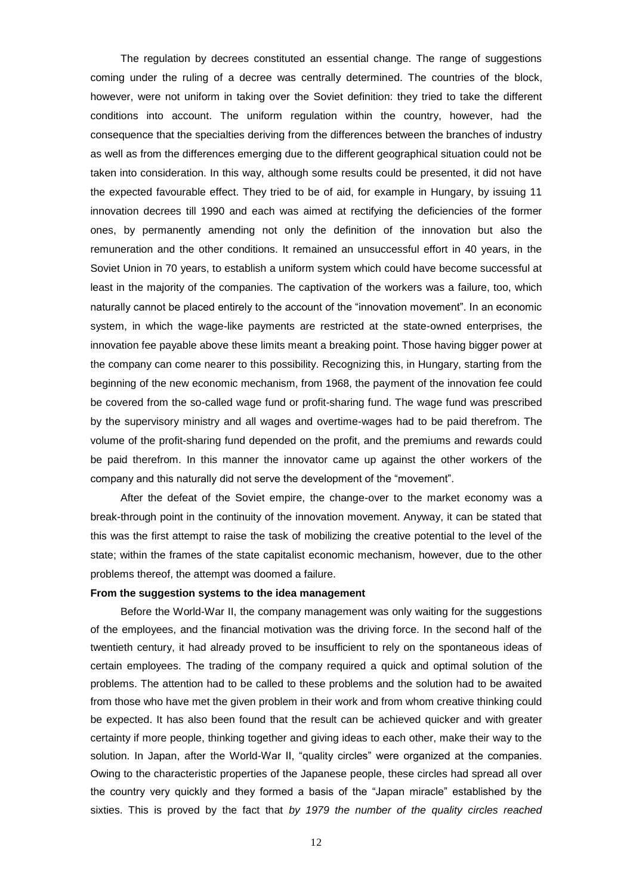The regulation by decrees constituted an essential change. The range of suggestions coming under the ruling of a decree was centrally determined. The countries of the block, however, were not uniform in taking over the Soviet definition: they tried to take the different conditions into account. The uniform regulation within the country, however, had the consequence that the specialties deriving from the differences between the branches of industry as well as from the differences emerging due to the different geographical situation could not be taken into consideration. In this way, although some results could be presented, it did not have the expected favourable effect. They tried to be of aid, for example in Hungary, by issuing 11 innovation decrees till 1990 and each was aimed at rectifying the deficiencies of the former ones, by permanently amending not only the definition of the innovation but also the remuneration and the other conditions. It remained an unsuccessful effort in 40 years, in the Soviet Union in 70 years, to establish a uniform system which could have become successful at least in the majority of the companies. The captivation of the workers was a failure, too, which naturally cannot be placed entirely to the account of the "innovation movement". In an economic system, in which the wage-like payments are restricted at the state-owned enterprises, the innovation fee payable above these limits meant a breaking point. Those having bigger power at the company can come nearer to this possibility. Recognizing this, in Hungary, starting from the beginning of the new economic mechanism, from 1968, the payment of the innovation fee could be covered from the so-called wage fund or profit-sharing fund. The wage fund was prescribed by the supervisory ministry and all wages and overtime-wages had to be paid therefrom. The volume of the profit-sharing fund depended on the profit, and the premiums and rewards could be paid therefrom. In this manner the innovator came up against the other workers of the company and this naturally did not serve the development of the "movement".

After the defeat of the Soviet empire, the change-over to the market economy was a break-through point in the continuity of the innovation movement. Anyway, it can be stated that this was the first attempt to raise the task of mobilizing the creative potential to the level of the state; within the frames of the state capitalist economic mechanism, however, due to the other problems thereof, the attempt was doomed a failure.

# **From the suggestion systems to the idea management**

Before the World-War II, the company management was only waiting for the suggestions of the employees, and the financial motivation was the driving force. In the second half of the twentieth century, it had already proved to be insufficient to rely on the spontaneous ideas of certain employees. The trading of the company required a quick and optimal solution of the problems. The attention had to be called to these problems and the solution had to be awaited from those who have met the given problem in their work and from whom creative thinking could be expected. It has also been found that the result can be achieved quicker and with greater certainty if more people, thinking together and giving ideas to each other, make their way to the solution. In Japan, after the World-War II, "quality circles" were organized at the companies. Owing to the characteristic properties of the Japanese people, these circles had spread all over the country very quickly and they formed a basis of the "Japan miracle" established by the sixties. This is proved by the fact that *by 1979 the number of the quality circles reached*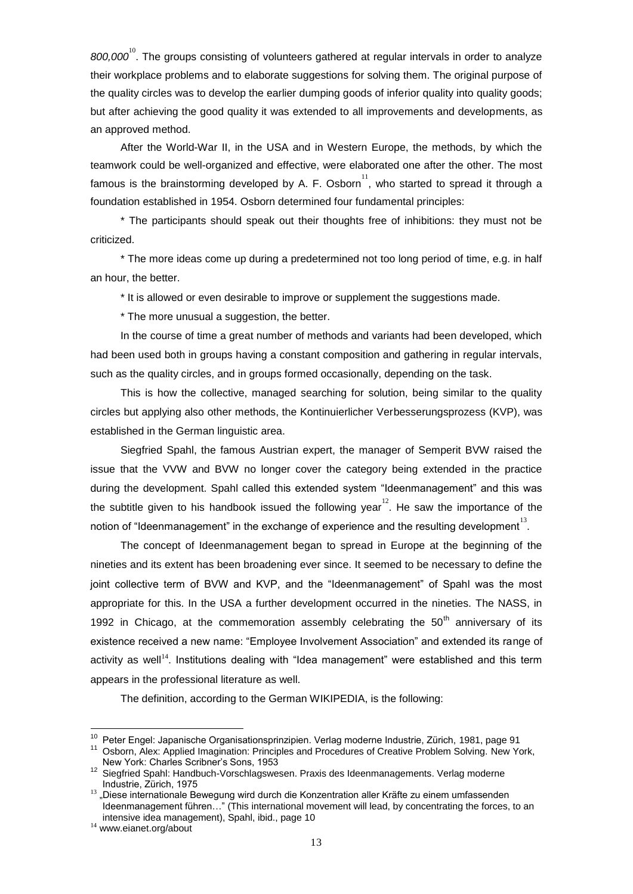800,000<sup>10</sup>. The groups consisting of volunteers gathered at regular intervals in order to analyze their workplace problems and to elaborate suggestions for solving them. The original purpose of the quality circles was to develop the earlier dumping goods of inferior quality into quality goods; but after achieving the good quality it was extended to all improvements and developments, as an approved method.

After the World-War II, in the USA and in Western Europe, the methods, by which the teamwork could be well-organized and effective, were elaborated one after the other. The most famous is the brainstorming developed by A. F. Osborn $^{11}$ , who started to spread it through a foundation established in 1954. Osborn determined four fundamental principles:

\* The participants should speak out their thoughts free of inhibitions: they must not be criticized.

\* The more ideas come up during a predetermined not too long period of time, e.g. in half an hour, the better.

\* It is allowed or even desirable to improve or supplement the suggestions made.

\* The more unusual a suggestion, the better.

In the course of time a great number of methods and variants had been developed, which had been used both in groups having a constant composition and gathering in regular intervals, such as the quality circles, and in groups formed occasionally, depending on the task.

This is how the collective, managed searching for solution, being similar to the quality circles but applying also other methods, the Kontinuierlicher Verbesserungsprozess (KVP), was established in the German linguistic area.

Siegfried Spahl, the famous Austrian expert, the manager of Semperit BVW raised the issue that the VVW and BVW no longer cover the category being extended in the practice during the development. Spahl called this extended system "Ideenmanagement" and this was the subtitle given to his handbook issued the following year<sup>12</sup>. He saw the importance of the notion of "Ideenmanagement" in the exchange of experience and the resulting development<sup>13</sup>.

The concept of Ideenmanagement began to spread in Europe at the beginning of the nineties and its extent has been broadening ever since. It seemed to be necessary to define the joint collective term of BVW and KVP, and the "Ideenmanagement" of Spahl was the most appropriate for this. In the USA a further development occurred in the nineties. The NASS, in 1992 in Chicago, at the commemoration assembly celebrating the  $50<sup>th</sup>$  anniversary of its existence received a new name: "Employee Involvement Association" and extended its range of activity as well<sup>14</sup>. Institutions dealing with "Idea management" were established and this term appears in the professional literature as well.

The definition, according to the German WIKIPEDIA, is the following:

<sup>&</sup>lt;sup>10</sup> Peter Engel: Japanische Organisationsprinzipien. Verlag moderne Industrie, Zürich, 1981, page 91

<sup>11</sup> Osborn, Alex: Applied Imagination: Principles and Procedures of Creative Problem Solving. New York, New York: Charles Scribner"s Sons, 1953

<sup>12</sup> Siegfried Spahl: Handbuch-Vorschlagswesen. Praxis des Ideenmanagements. Verlag moderne Industrie, Zürich, 1975

<sup>&</sup>lt;sup>13</sup> "Diese internationale Bewegung wird durch die Konzentration aller Kräfte zu einem umfassenden Ideenmanagement führen…" (This international movement will lead, by concentrating the forces, to an intensive idea management), Spahl, ibid., page 10

<sup>&</sup>lt;sup>14</sup> www.eianet.org/about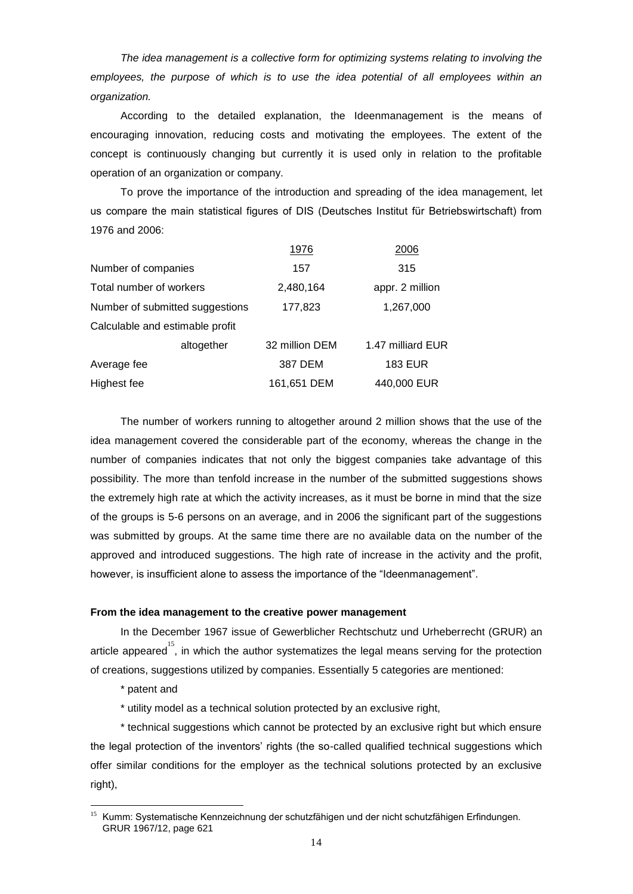*The idea management is a collective form for optimizing systems relating to involving the employees, the purpose of which is to use the idea potential of all employees within an organization.*

According to the detailed explanation, the Ideenmanagement is the means of encouraging innovation, reducing costs and motivating the employees. The extent of the concept is continuously changing but currently it is used only in relation to the profitable operation of an organization or company.

To prove the importance of the introduction and spreading of the idea management, let us compare the main statistical figures of DIS (Deutsches Institut für Betriebswirtschaft) from 1976 and 2006:

|                                 | 1976           | 2006              |  |
|---------------------------------|----------------|-------------------|--|
| Number of companies             | 157            | 315               |  |
| Total number of workers         | 2,480,164      | appr. 2 million   |  |
| Number of submitted suggestions | 177,823        | 1,267,000         |  |
| Calculable and estimable profit |                |                   |  |
| altogether                      | 32 million DEM | 1.47 milliard EUR |  |
| Average fee                     | 387 DEM        | <b>183 EUR</b>    |  |
| Highest fee                     | 161,651 DEM    | 440,000 EUR       |  |

The number of workers running to altogether around 2 million shows that the use of the idea management covered the considerable part of the economy, whereas the change in the number of companies indicates that not only the biggest companies take advantage of this possibility. The more than tenfold increase in the number of the submitted suggestions shows the extremely high rate at which the activity increases, as it must be borne in mind that the size of the groups is 5-6 persons on an average, and in 2006 the significant part of the suggestions was submitted by groups. At the same time there are no available data on the number of the approved and introduced suggestions. The high rate of increase in the activity and the profit, however, is insufficient alone to assess the importance of the "Ideenmanagement".

## **From the idea management to the creative power management**

In the December 1967 issue of Gewerblicher Rechtschutz und Urheberrecht (GRUR) an article appeared<sup>15</sup>, in which the author systematizes the legal means serving for the protection of creations, suggestions utilized by companies. Essentially 5 categories are mentioned:

\* patent and

1

\* utility model as a technical solution protected by an exclusive right,

\* technical suggestions which cannot be protected by an exclusive right but which ensure the legal protection of the inventors' rights (the so-called qualified technical suggestions which offer similar conditions for the employer as the technical solutions protected by an exclusive right),

<sup>&</sup>lt;sup>15</sup> Kumm: Systematische Kennzeichnung der schutzfähigen und der nicht schutzfähigen Erfindungen. GRUR 1967/12, page 621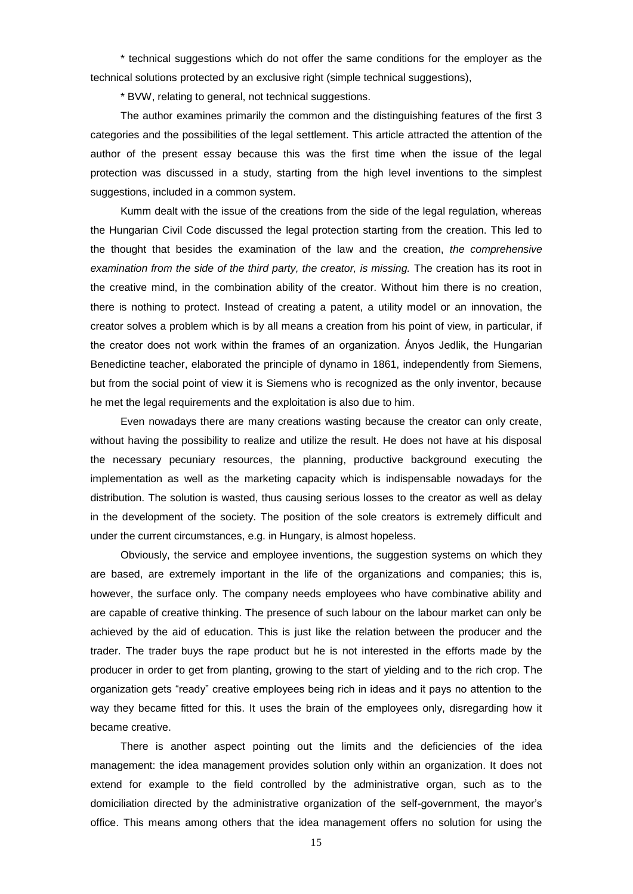\* technical suggestions which do not offer the same conditions for the employer as the technical solutions protected by an exclusive right (simple technical suggestions),

\* BVW, relating to general, not technical suggestions.

The author examines primarily the common and the distinguishing features of the first 3 categories and the possibilities of the legal settlement. This article attracted the attention of the author of the present essay because this was the first time when the issue of the legal protection was discussed in a study, starting from the high level inventions to the simplest suggestions, included in a common system.

Kumm dealt with the issue of the creations from the side of the legal regulation, whereas the Hungarian Civil Code discussed the legal protection starting from the creation. This led to the thought that besides the examination of the law and the creation, *the comprehensive examination from the side of the third party, the creator, is missing.* The creation has its root in the creative mind, in the combination ability of the creator. Without him there is no creation, there is nothing to protect. Instead of creating a patent, a utility model or an innovation, the creator solves a problem which is by all means a creation from his point of view, in particular, if the creator does not work within the frames of an organization. Ányos Jedlik, the Hungarian Benedictine teacher, elaborated the principle of dynamo in 1861, independently from Siemens, but from the social point of view it is Siemens who is recognized as the only inventor, because he met the legal requirements and the exploitation is also due to him.

Even nowadays there are many creations wasting because the creator can only create, without having the possibility to realize and utilize the result. He does not have at his disposal the necessary pecuniary resources, the planning, productive background executing the implementation as well as the marketing capacity which is indispensable nowadays for the distribution. The solution is wasted, thus causing serious losses to the creator as well as delay in the development of the society. The position of the sole creators is extremely difficult and under the current circumstances, e.g. in Hungary, is almost hopeless.

Obviously, the service and employee inventions, the suggestion systems on which they are based, are extremely important in the life of the organizations and companies; this is, however, the surface only. The company needs employees who have combinative ability and are capable of creative thinking. The presence of such labour on the labour market can only be achieved by the aid of education. This is just like the relation between the producer and the trader. The trader buys the rape product but he is not interested in the efforts made by the producer in order to get from planting, growing to the start of yielding and to the rich crop. The organization gets "ready" creative employees being rich in ideas and it pays no attention to the way they became fitted for this. It uses the brain of the employees only, disregarding how it became creative.

There is another aspect pointing out the limits and the deficiencies of the idea management: the idea management provides solution only within an organization. It does not extend for example to the field controlled by the administrative organ, such as to the domiciliation directed by the administrative organization of the self-government, the mayor"s office. This means among others that the idea management offers no solution for using the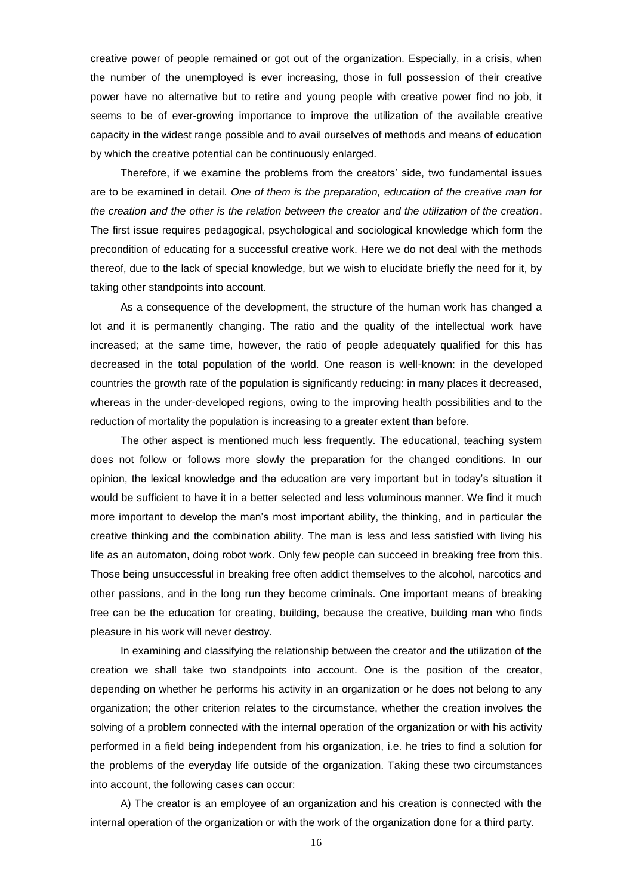creative power of people remained or got out of the organization. Especially, in a crisis, when the number of the unemployed is ever increasing, those in full possession of their creative power have no alternative but to retire and young people with creative power find no job, it seems to be of ever-growing importance to improve the utilization of the available creative capacity in the widest range possible and to avail ourselves of methods and means of education by which the creative potential can be continuously enlarged.

Therefore, if we examine the problems from the creators" side, two fundamental issues are to be examined in detail. *One of them is the preparation, education of the creative man for the creation and the other is the relation between the creator and the utilization of the creation*. The first issue requires pedagogical, psychological and sociological knowledge which form the precondition of educating for a successful creative work. Here we do not deal with the methods thereof, due to the lack of special knowledge, but we wish to elucidate briefly the need for it, by taking other standpoints into account.

As a consequence of the development, the structure of the human work has changed a lot and it is permanently changing. The ratio and the quality of the intellectual work have increased; at the same time, however, the ratio of people adequately qualified for this has decreased in the total population of the world. One reason is well-known: in the developed countries the growth rate of the population is significantly reducing: in many places it decreased, whereas in the under-developed regions, owing to the improving health possibilities and to the reduction of mortality the population is increasing to a greater extent than before.

The other aspect is mentioned much less frequently. The educational, teaching system does not follow or follows more slowly the preparation for the changed conditions. In our opinion, the lexical knowledge and the education are very important but in today"s situation it would be sufficient to have it in a better selected and less voluminous manner. We find it much more important to develop the man"s most important ability, the thinking, and in particular the creative thinking and the combination ability. The man is less and less satisfied with living his life as an automaton, doing robot work. Only few people can succeed in breaking free from this. Those being unsuccessful in breaking free often addict themselves to the alcohol, narcotics and other passions, and in the long run they become criminals. One important means of breaking free can be the education for creating, building, because the creative, building man who finds pleasure in his work will never destroy.

In examining and classifying the relationship between the creator and the utilization of the creation we shall take two standpoints into account. One is the position of the creator, depending on whether he performs his activity in an organization or he does not belong to any organization; the other criterion relates to the circumstance, whether the creation involves the solving of a problem connected with the internal operation of the organization or with his activity performed in a field being independent from his organization, i.e. he tries to find a solution for the problems of the everyday life outside of the organization. Taking these two circumstances into account, the following cases can occur:

A) The creator is an employee of an organization and his creation is connected with the internal operation of the organization or with the work of the organization done for a third party.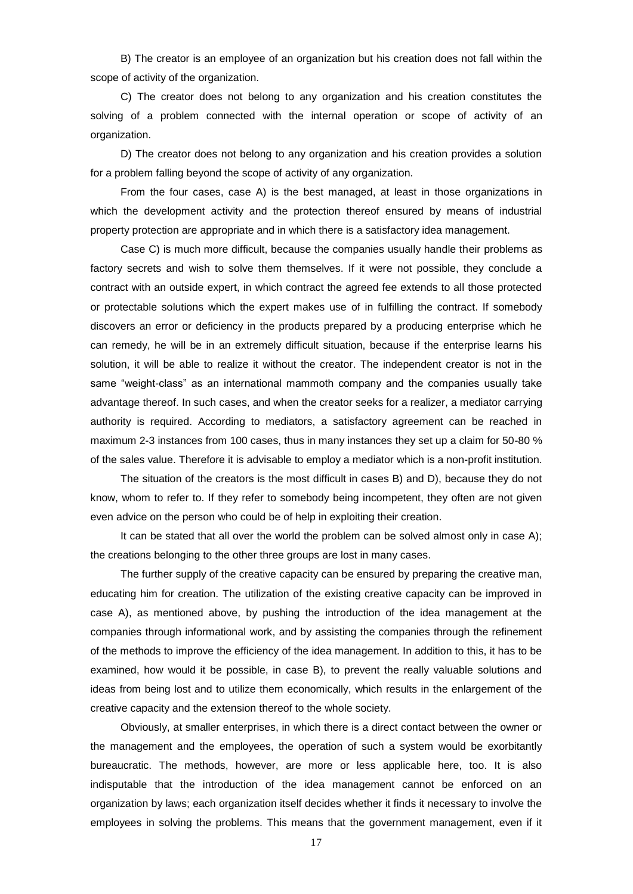B) The creator is an employee of an organization but his creation does not fall within the scope of activity of the organization.

C) The creator does not belong to any organization and his creation constitutes the solving of a problem connected with the internal operation or scope of activity of an organization.

D) The creator does not belong to any organization and his creation provides a solution for a problem falling beyond the scope of activity of any organization.

From the four cases, case A) is the best managed, at least in those organizations in which the development activity and the protection thereof ensured by means of industrial property protection are appropriate and in which there is a satisfactory idea management.

Case C) is much more difficult, because the companies usually handle their problems as factory secrets and wish to solve them themselves. If it were not possible, they conclude a contract with an outside expert, in which contract the agreed fee extends to all those protected or protectable solutions which the expert makes use of in fulfilling the contract. If somebody discovers an error or deficiency in the products prepared by a producing enterprise which he can remedy, he will be in an extremely difficult situation, because if the enterprise learns his solution, it will be able to realize it without the creator. The independent creator is not in the same "weight-class" as an international mammoth company and the companies usually take advantage thereof. In such cases, and when the creator seeks for a realizer, a mediator carrying authority is required. According to mediators, a satisfactory agreement can be reached in maximum 2-3 instances from 100 cases, thus in many instances they set up a claim for 50-80 % of the sales value. Therefore it is advisable to employ a mediator which is a non-profit institution.

The situation of the creators is the most difficult in cases B) and D), because they do not know, whom to refer to. If they refer to somebody being incompetent, they often are not given even advice on the person who could be of help in exploiting their creation.

It can be stated that all over the world the problem can be solved almost only in case A); the creations belonging to the other three groups are lost in many cases.

The further supply of the creative capacity can be ensured by preparing the creative man, educating him for creation. The utilization of the existing creative capacity can be improved in case A), as mentioned above, by pushing the introduction of the idea management at the companies through informational work, and by assisting the companies through the refinement of the methods to improve the efficiency of the idea management. In addition to this, it has to be examined, how would it be possible, in case B), to prevent the really valuable solutions and ideas from being lost and to utilize them economically, which results in the enlargement of the creative capacity and the extension thereof to the whole society.

Obviously, at smaller enterprises, in which there is a direct contact between the owner or the management and the employees, the operation of such a system would be exorbitantly bureaucratic. The methods, however, are more or less applicable here, too. It is also indisputable that the introduction of the idea management cannot be enforced on an organization by laws; each organization itself decides whether it finds it necessary to involve the employees in solving the problems. This means that the government management, even if it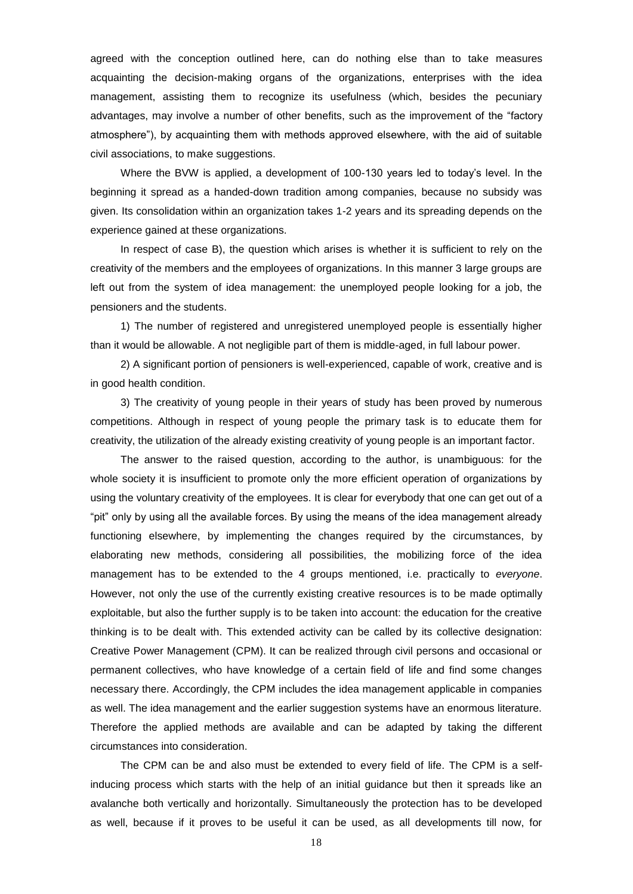agreed with the conception outlined here, can do nothing else than to take measures acquainting the decision-making organs of the organizations, enterprises with the idea management, assisting them to recognize its usefulness (which, besides the pecuniary advantages, may involve a number of other benefits, such as the improvement of the "factory atmosphere"), by acquainting them with methods approved elsewhere, with the aid of suitable civil associations, to make suggestions.

Where the BVW is applied, a development of 100-130 years led to today"s level. In the beginning it spread as a handed-down tradition among companies, because no subsidy was given. Its consolidation within an organization takes 1-2 years and its spreading depends on the experience gained at these organizations.

In respect of case B), the question which arises is whether it is sufficient to rely on the creativity of the members and the employees of organizations. In this manner 3 large groups are left out from the system of idea management: the unemployed people looking for a job, the pensioners and the students.

1) The number of registered and unregistered unemployed people is essentially higher than it would be allowable. A not negligible part of them is middle-aged, in full labour power.

2) A significant portion of pensioners is well-experienced, capable of work, creative and is in good health condition.

3) The creativity of young people in their years of study has been proved by numerous competitions. Although in respect of young people the primary task is to educate them for creativity, the utilization of the already existing creativity of young people is an important factor.

The answer to the raised question, according to the author, is unambiguous: for the whole society it is insufficient to promote only the more efficient operation of organizations by using the voluntary creativity of the employees. It is clear for everybody that one can get out of a "pit" only by using all the available forces. By using the means of the idea management already functioning elsewhere, by implementing the changes required by the circumstances, by elaborating new methods, considering all possibilities, the mobilizing force of the idea management has to be extended to the 4 groups mentioned, i.e. practically to *everyone*. However, not only the use of the currently existing creative resources is to be made optimally exploitable, but also the further supply is to be taken into account: the education for the creative thinking is to be dealt with. This extended activity can be called by its collective designation: Creative Power Management (CPM). It can be realized through civil persons and occasional or permanent collectives, who have knowledge of a certain field of life and find some changes necessary there. Accordingly, the CPM includes the idea management applicable in companies as well. The idea management and the earlier suggestion systems have an enormous literature. Therefore the applied methods are available and can be adapted by taking the different circumstances into consideration.

The CPM can be and also must be extended to every field of life. The CPM is a selfinducing process which starts with the help of an initial guidance but then it spreads like an avalanche both vertically and horizontally. Simultaneously the protection has to be developed as well, because if it proves to be useful it can be used, as all developments till now, for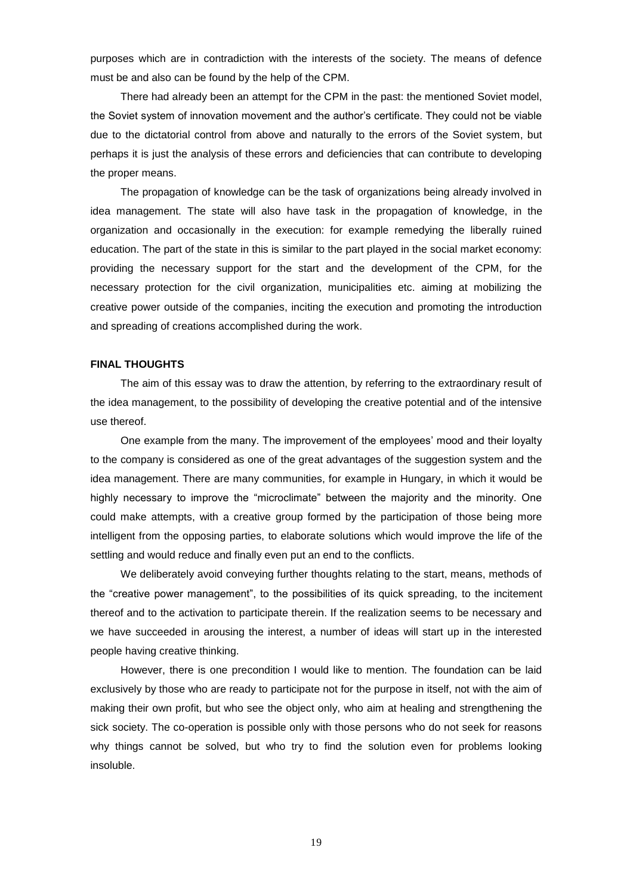purposes which are in contradiction with the interests of the society. The means of defence must be and also can be found by the help of the CPM.

There had already been an attempt for the CPM in the past: the mentioned Soviet model, the Soviet system of innovation movement and the author"s certificate. They could not be viable due to the dictatorial control from above and naturally to the errors of the Soviet system, but perhaps it is just the analysis of these errors and deficiencies that can contribute to developing the proper means.

The propagation of knowledge can be the task of organizations being already involved in idea management. The state will also have task in the propagation of knowledge, in the organization and occasionally in the execution: for example remedying the liberally ruined education. The part of the state in this is similar to the part played in the social market economy: providing the necessary support for the start and the development of the CPM, for the necessary protection for the civil organization, municipalities etc. aiming at mobilizing the creative power outside of the companies, inciting the execution and promoting the introduction and spreading of creations accomplished during the work.

## **FINAL THOUGHTS**

The aim of this essay was to draw the attention, by referring to the extraordinary result of the idea management, to the possibility of developing the creative potential and of the intensive use thereof.

One example from the many. The improvement of the employees" mood and their loyalty to the company is considered as one of the great advantages of the suggestion system and the idea management. There are many communities, for example in Hungary, in which it would be highly necessary to improve the "microclimate" between the majority and the minority. One could make attempts, with a creative group formed by the participation of those being more intelligent from the opposing parties, to elaborate solutions which would improve the life of the settling and would reduce and finally even put an end to the conflicts.

We deliberately avoid conveying further thoughts relating to the start, means, methods of the "creative power management", to the possibilities of its quick spreading, to the incitement thereof and to the activation to participate therein. If the realization seems to be necessary and we have succeeded in arousing the interest, a number of ideas will start up in the interested people having creative thinking.

However, there is one precondition I would like to mention. The foundation can be laid exclusively by those who are ready to participate not for the purpose in itself, not with the aim of making their own profit, but who see the object only, who aim at healing and strengthening the sick society. The co-operation is possible only with those persons who do not seek for reasons why things cannot be solved, but who try to find the solution even for problems looking insoluble.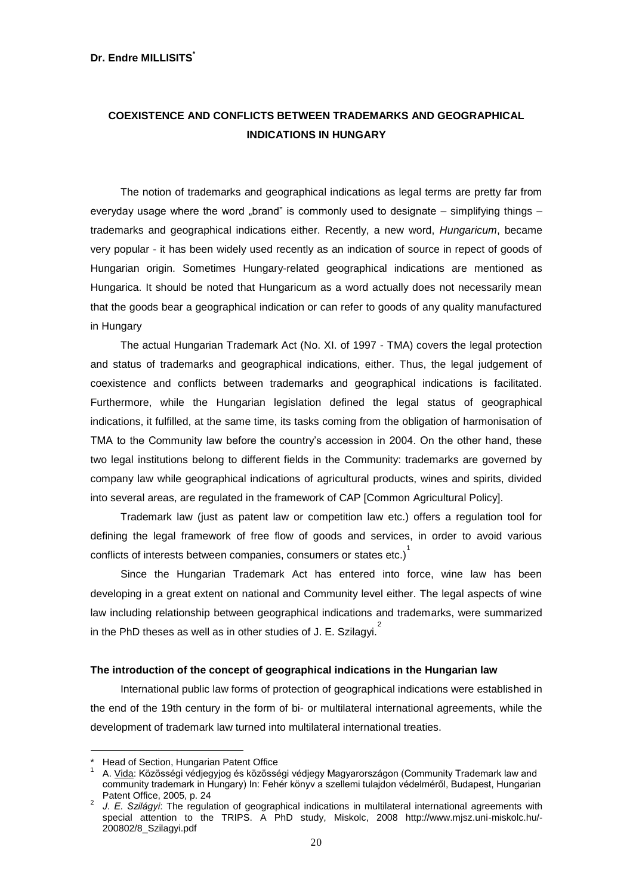# **Dr. Endre MILLISITS\***

# **COEXISTENCE AND CONFLICTS BETWEEN TRADEMARKS AND GEOGRAPHICAL INDICATIONS IN HUNGARY**

The notion of trademarks and geographical indications as legal terms are pretty far from everyday usage where the word "brand" is commonly used to designate  $-$  simplifying things  $$ trademarks and geographical indications either. Recently, a new word, *Hungaricum*, became very popular - it has been widely used recently as an indication of source in repect of goods of Hungarian origin. Sometimes Hungary-related geographical indications are mentioned as Hungarica. It should be noted that Hungaricum as a word actually does not necessarily mean that the goods bear a geographical indication or can refer to goods of any quality manufactured in Hungary

The actual Hungarian Trademark Act (No. XI. of 1997 - TMA) covers the legal protection and status of trademarks and geographical indications, either. Thus, the legal judgement of coexistence and conflicts between trademarks and geographical indications is facilitated. Furthermore, while the Hungarian legislation defined the legal status of geographical indications, it fulfilled, at the same time, its tasks coming from the obligation of harmonisation of TMA to the Community law before the country"s accession in 2004. On the other hand, these two legal institutions belong to different fields in the Community: trademarks are governed by company law while geographical indications of agricultural products, wines and spirits, divided into several areas, are regulated in the framework of CAP [Common Agricultural Policy].

Trademark law (just as patent law or competition law etc.) offers a regulation tool for defining the legal framework of free flow of goods and services, in order to avoid various conflicts of interests between companies, consumers or states etc.) $^{1}$ 

Since the Hungarian Trademark Act has entered into force, wine law has been developing in a great extent on national and Community level either. The legal aspects of wine law including relationship between geographical indications and trademarks, were summarized in the PhD theses as well as in other studies of J. E. Szilagyi.<sup>2</sup>

# **The introduction of the concept of geographical indications in the Hungarian law**

International public law forms of protection of geographical indications were established in the end of the 19th century in the form of bi- or multilateral international agreements, while the development of trademark law turned into multilateral international treaties.

<u>.</u>

Head of Section, Hungarian Patent Office

<sup>1</sup> A. Vida: Közösségi védjegyjog és közösségi védjegy Magyarországon (Community Trademark law and community trademark in Hungary) In: Fehér könyv a szellemi tulajdon védelméről, Budapest, Hungarian Patent Office, 2005, p. 24

<sup>2</sup> *J. E. Szilágyi*: The regulation of geographical indications in multilateral international agreements with special attention to the TRIPS. A PhD study, Miskolc, 2008 http://www.mjsz.uni-miskolc.hu/-200802/8\_Szilagyi.pdf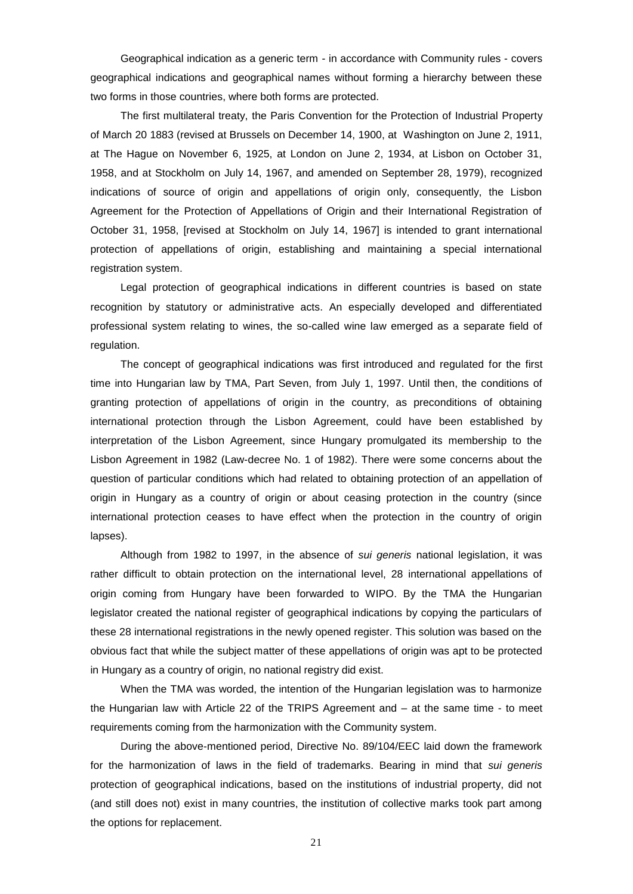Geographical indication as a generic term - in accordance with Community rules - covers geographical indications and geographical names without forming a hierarchy between these two forms in those countries, where both forms are protected.

The first multilateral treaty, the Paris Convention for the Protection of Industrial Property of March 20 1883 (revised at Brussels on December 14, 1900, at Washington on June 2, 1911, at The Hague on November 6, 1925, at London on June 2, 1934, at Lisbon on October 31, 1958, and at Stockholm on July 14, 1967, and amended on September 28, 1979), recognized indications of source of origin and appellations of origin only, consequently, the Lisbon Agreement for the Protection of Appellations of Origin and their International Registration of October 31, 1958, [revised at Stockholm on July 14, 1967] is intended to grant international protection of appellations of origin, establishing and maintaining a special international registration system.

Legal protection of geographical indications in different countries is based on state recognition by statutory or administrative acts. An especially developed and differentiated professional system relating to wines, the so-called wine law emerged as a separate field of regulation.

The concept of geographical indications was first introduced and regulated for the first time into Hungarian law by TMA, Part Seven, from July 1, 1997. Until then, the conditions of granting protection of appellations of origin in the country, as preconditions of obtaining international protection through the Lisbon Agreement, could have been established by interpretation of the Lisbon Agreement, since Hungary promulgated its membership to the Lisbon Agreement in 1982 (Law-decree No. 1 of 1982). There were some concerns about the question of particular conditions which had related to obtaining protection of an appellation of origin in Hungary as a country of origin or about ceasing protection in the country (since international protection ceases to have effect when the protection in the country of origin lapses).

Although from 1982 to 1997, in the absence of *sui generis* national legislation, it was rather difficult to obtain protection on the international level, 28 international appellations of origin coming from Hungary have been forwarded to WIPO. By the TMA the Hungarian legislator created the national register of geographical indications by copying the particulars of these 28 international registrations in the newly opened register. This solution was based on the obvious fact that while the subject matter of these appellations of origin was apt to be protected in Hungary as a country of origin, no national registry did exist.

When the TMA was worded, the intention of the Hungarian legislation was to harmonize the Hungarian law with Article 22 of the TRIPS Agreement and – at the same time - to meet requirements coming from the harmonization with the Community system.

During the above-mentioned period, Directive No. 89/104/EEC laid down the framework for the harmonization of laws in the field of trademarks. Bearing in mind that *sui generis* protection of geographical indications, based on the institutions of industrial property, did not (and still does not) exist in many countries, the institution of collective marks took part among the options for replacement.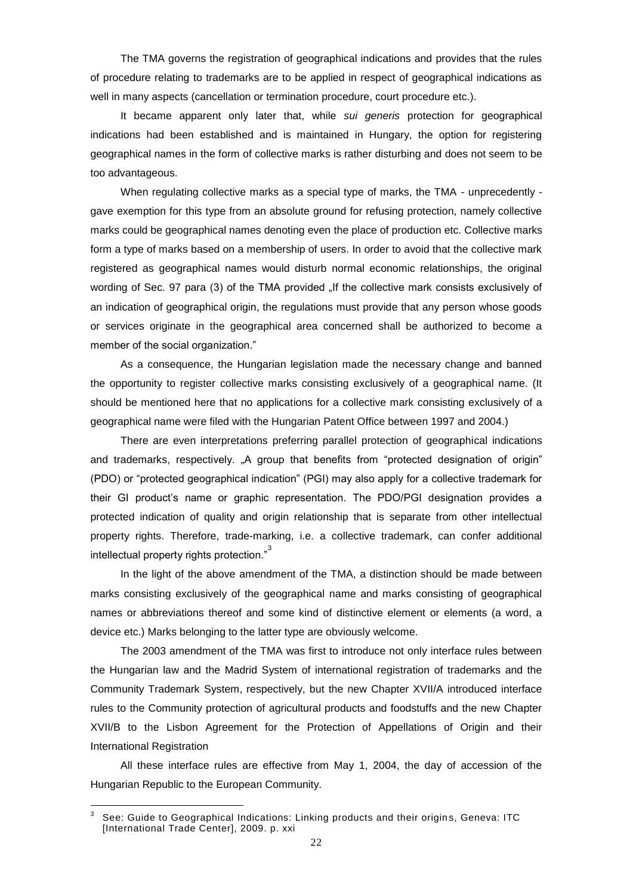The TMA governs the registration of geographical indications and provides that the rules of procedure relating to trademarks are to be applied in respect of geographical indications as well in many aspects (cancellation or termination procedure, court procedure etc.).

It became apparent only later that, while *sui generis* protection for geographical indications had been established and is maintained in Hungary, the option for registering geographical names in the form of collective marks is rather disturbing and does not seem to be too advantageous.

When regulating collective marks as a special type of marks, the TMA - unprecedently gave exemption for this type from an absolute ground for refusing protection, namely collective marks could be geographical names denoting even the place of production etc. Collective marks form a type of marks based on a membership of users. In order to avoid that the collective mark registered as geographical names would disturb normal economic relationships, the original wording of Sec. 97 para (3) of the TMA provided "If the collective mark consists exclusively of an indication of geographical origin, the regulations must provide that any person whose goods or services originate in the geographical area concerned shall be authorized to become a member of the social organization."

As a consequence, the Hungarian legislation made the necessary change and banned the opportunity to register collective marks consisting exclusively of a geographical name. (It should be mentioned here that no applications for a collective mark consisting exclusively of a geographical name were filed with the Hungarian Patent Office between 1997 and 2004.)

There are even interpretations preferring parallel protection of geographical indications and trademarks, respectively. "A group that benefits from "protected designation of origin" (PDO) or "protected geographical indication" (PGI) may also apply for a collective trademark for their GI product"s name or graphic representation. The PDO/PGI designation provides a protected indication of quality and origin relationship that is separate from other intellectual property rights. Therefore, trade-marking, i.e. a collective trademark, can confer additional intellectual property rights protection."<sup>3</sup>

In the light of the above amendment of the TMA, a distinction should be made between marks consisting exclusively of the geographical name and marks consisting of geographical names or abbreviations thereof and some kind of distinctive element or elements (a word, a device etc.) Marks belonging to the latter type are obviously welcome.

The 2003 amendment of the TMA was first to introduce not only interface rules between the Hungarian law and the Madrid System of international registration of trademarks and the Community Trademark System, respectively, but the new Chapter XVII/A introduced interface rules to the Community protection of agricultural products and foodstuffs and the new Chapter XVII/B to the Lisbon Agreement for the Protection of Appellations of Origin and their International Registration

All these interface rules are effective from May 1, 2004, the day of accession of the Hungarian Republic to the European Community.

<sup>-&</sup>lt;br>3 See: Guide to Geographical Indications: Linking products and their origin s, Geneva: ITC [International Trade Center], 2009. p. xxi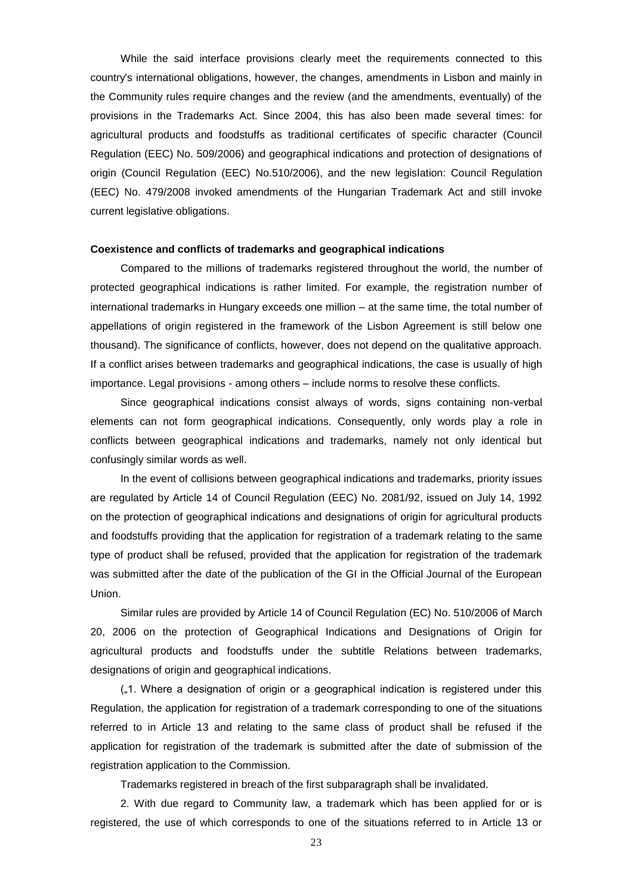While the said interface provisions clearly meet the requirements connected to this country's international obligations, however, the changes, amendments in Lisbon and mainly in the Community rules require changes and the review (and the amendments, eventually) of the provisions in the Trademarks Act. Since 2004, this has also been made several times: for agricultural products and foodstuffs as traditional certificates of specific character (Council Regulation (EEC) No. 509/2006) and geographical indications and protection of designations of origin (Council Regulation (EEC) No.510/2006), and the new legislation: Council Regulation (EEC) No. 479/2008 invoked amendments of the Hungarian Trademark Act and still invoke current legislative obligations.

#### **Coexistence and conflicts of trademarks and geographical indications**

Compared to the millions of trademarks registered throughout the world, the number of protected geographical indications is rather limited. For example, the registration number of international trademarks in Hungary exceeds one million – at the same time, the total number of appellations of origin registered in the framework of the Lisbon Agreement is still below one thousand). The significance of conflicts, however, does not depend on the qualitative approach. If a conflict arises between trademarks and geographical indications, the case is usually of high importance. Legal provisions - among others – include norms to resolve these conflicts.

Since geographical indications consist always of words, signs containing non-verbal elements can not form geographical indications. Consequently, only words play a role in conflicts between geographical indications and trademarks, namely not only identical but confusingly similar words as well.

In the event of collisions between geographical indications and trademarks, priority issues are regulated by Article 14 of Council Regulation (EEC) No. 2081/92, issued on July 14, 1992 on the protection of geographical indications and designations of origin for agricultural products and foodstuffs providing that the application for registration of a trademark relating to the same type of product shall be refused, provided that the application for registration of the trademark was submitted after the date of the publication of the GI in the Official Journal of the European Union.

Similar rules are provided by Article 14 of Council Regulation (EC) No. 510/2006 of March 20, 2006 on the protection of Geographical Indications and Designations of Origin for agricultural products and foodstuffs under the subtitle Relations between trademarks, designations of origin and geographical indications.

("1. Where a designation of origin or a geographical indication is registered under this Regulation, the application for registration of a trademark corresponding to one of the situations referred to in Article 13 and relating to the same class of product shall be refused if the application for registration of the trademark is submitted after the date of submission of the registration application to the Commission.

Trademarks registered in breach of the first subparagraph shall be invalidated.

2. With due regard to Community law, a trademark which has been applied for or is registered, the use of which corresponds to one of the situations referred to in Article 13 or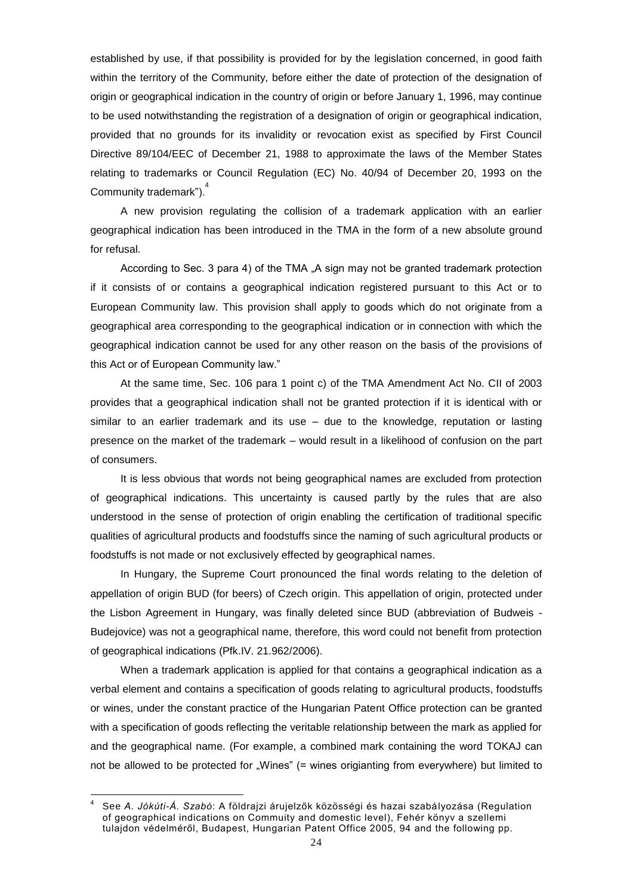established by use, if that possibility is provided for by the legislation concerned, in good faith within the territory of the Community, before either the date of protection of the designation of origin or geographical indication in the country of origin or before January 1, 1996, may continue to be used notwithstanding the registration of a designation of origin or geographical indication, provided that no grounds for its invalidity or revocation exist as specified by First Council Directive 89/104/EEC of December 21, 1988 to approximate the laws of the Member States relating to trademarks or Council Regulation (EC) No. 40/94 of December 20, 1993 on the Community trademark").<sup>4</sup>

A new provision regulating the collision of a trademark application with an earlier geographical indication has been introduced in the TMA in the form of a new absolute ground for refusal.

According to Sec. 3 para 4) of the TMA ..A sign may not be granted trademark protection if it consists of or contains a geographical indication registered pursuant to this Act or to European Community law. This provision shall apply to goods which do not originate from a geographical area corresponding to the geographical indication or in connection with which the geographical indication cannot be used for any other reason on the basis of the provisions of this Act or of European Community law."

At the same time, Sec. 106 para 1 point c) of the TMA Amendment Act No. CII of 2003 provides that a geographical indication shall not be granted protection if it is identical with or similar to an earlier trademark and its use – due to the knowledge, reputation or lasting presence on the market of the trademark – would result in a likelihood of confusion on the part of consumers.

It is less obvious that words not being geographical names are excluded from protection of geographical indications. This uncertainty is caused partly by the rules that are also understood in the sense of protection of origin enabling the certification of traditional specific qualities of agricultural products and foodstuffs since the naming of such agricultural products or foodstuffs is not made or not exclusively effected by geographical names.

In Hungary, the Supreme Court pronounced the final words relating to the deletion of appellation of origin BUD (for beers) of Czech origin. This appellation of origin, protected under the Lisbon Agreement in Hungary, was finally deleted since BUD (abbreviation of Budweis - Budejovice) was not a geographical name, therefore, this word could not benefit from protection of geographical indications (Pfk.IV. 21.962/2006).

When a trademark application is applied for that contains a geographical indication as a verbal element and contains a specification of goods relating to agricultural products, foodstuffs or wines, under the constant practice of the Hungarian Patent Office protection can be granted with a specification of goods reflecting the veritable relationship between the mark as applied for and the geographical name. (For example, a combined mark containing the word TOKAJ can not be allowed to be protected for "Wines" (= wines origianting from everywhere) but limited to

<u>.</u>

<sup>4</sup> See *A. Jókúti-Á. Szabó*: A földrajzi árujelzők közösségi és hazai szabályozása (Regulation of geographical indications on Commuity and domestic level), Fehér könyv a szellemi tulajdon védelméről, Budapest, Hungarian Patent Office 2005, 94 and the following pp.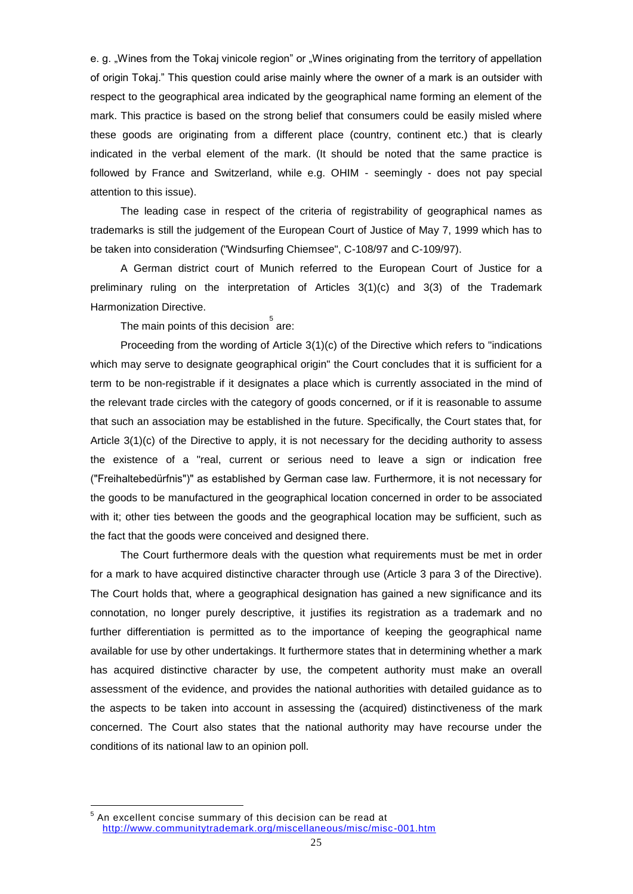e. g. "Wines from the Tokaj vinicole region" or "Wines originating from the territory of appellation of origin Tokaj." This question could arise mainly where the owner of a mark is an outsider with respect to the geographical area indicated by the geographical name forming an element of the mark. This practice is based on the strong belief that consumers could be easily misled where these goods are originating from a different place (country, continent etc.) that is clearly indicated in the verbal element of the mark. (It should be noted that the same practice is followed by France and Switzerland, while e.g. OHIM - seemingly - does not pay special attention to this issue).

The leading case in respect of the criteria of registrability of geographical names as trademarks is still the judgement of the European Court of Justice of May 7, 1999 which has to be taken into consideration ("Windsurfing Chiemsee", C-108/97 and C-109/97).

A German district court of Munich referred to the European Court of Justice for a preliminary ruling on the interpretation of Articles 3(1)(c) and 3(3) of the Trademark Harmonization Directive.

The main points of this decision $\mathring{\mathring{\,}}$  are:

Proceeding from the wording of Article 3(1)(c) of the Directive which refers to "indications which may serve to designate geographical origin" the Court concludes that it is sufficient for a term to be non-registrable if it designates a place which is currently associated in the mind of the relevant trade circles with the category of goods concerned, or if it is reasonable to assume that such an association may be established in the future. Specifically, the Court states that, for Article 3(1)(c) of the Directive to apply, it is not necessary for the deciding authority to assess the existence of a "real, current or serious need to leave a sign or indication free ("Freihaltebedürfnis")" as established by German case law. Furthermore, it is not necessary for the goods to be manufactured in the geographical location concerned in order to be associated with it; other ties between the goods and the geographical location may be sufficient, such as the fact that the goods were conceived and designed there.

The Court furthermore deals with the question what requirements must be met in order for a mark to have acquired distinctive character through use (Article 3 para 3 of the Directive). The Court holds that, where a geographical designation has gained a new significance and its connotation, no longer purely descriptive, it justifies its registration as a trademark and no further differentiation is permitted as to the importance of keeping the geographical name available for use by other undertakings. It furthermore states that in determining whether a mark has acquired distinctive character by use, the competent authority must make an overall assessment of the evidence, and provides the national authorities with detailed guidance as to the aspects to be taken into account in assessing the (acquired) distinctiveness of the mark concerned. The Court also states that the national authority may have recourse under the conditions of its national law to an opinion poll.

 5 An excellent concise summary of this decision can be read at [http://www.communitytrademark.org/miscellaneous/misc/misc](http://www.communitytrademark.org/miscellaneous/misc/misc-001.htm) -001.htm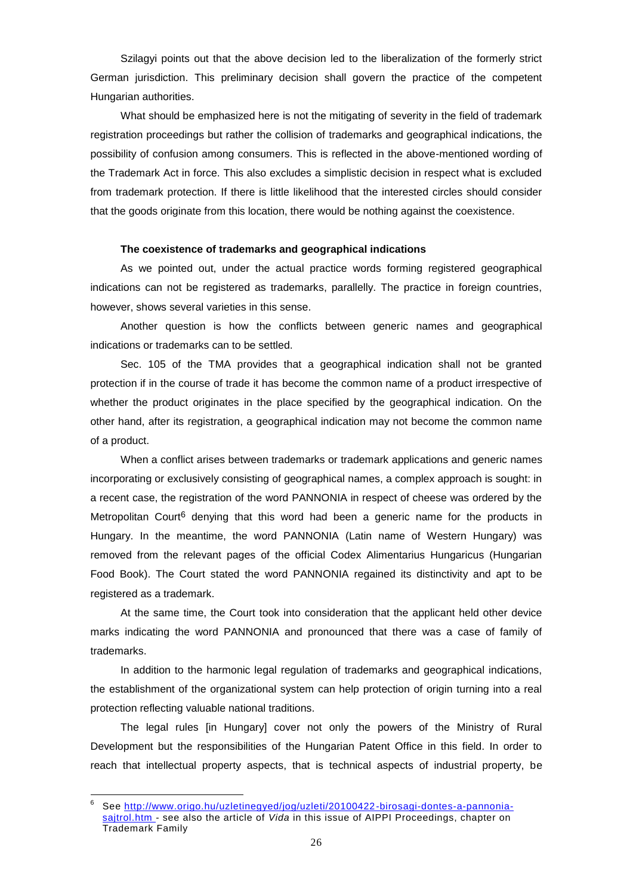Szilagyi points out that the above decision led to the liberalization of the formerly strict German jurisdiction. This preliminary decision shall govern the practice of the competent Hungarian authorities.

What should be emphasized here is not the mitigating of severity in the field of trademark registration proceedings but rather the collision of trademarks and geographical indications, the possibility of confusion among consumers. This is reflected in the above-mentioned wording of the Trademark Act in force. This also excludes a simplistic decision in respect what is excluded from trademark protection. If there is little likelihood that the interested circles should consider that the goods originate from this location, there would be nothing against the coexistence.

#### **The coexistence of trademarks and geographical indications**

As we pointed out, under the actual practice words forming registered geographical indications can not be registered as trademarks, parallelly. The practice in foreign countries, however, shows several varieties in this sense.

Another question is how the conflicts between generic names and geographical indications or trademarks can to be settled.

Sec. 105 of the TMA provides that a geographical indication shall not be granted protection if in the course of trade it has become the common name of a product irrespective of whether the product originates in the place specified by the geographical indication. On the other hand, after its registration, a geographical indication may not become the common name of a product.

When a conflict arises between trademarks or trademark applications and generic names incorporating or exclusively consisting of geographical names, a complex approach is sought: in a recent case, the registration of the word PANNONIA in respect of cheese was ordered by the Metropolitan Court<sup>6</sup> denying that this word had been a generic name for the products in Hungary. In the meantime, the word PANNONIA (Latin name of Western Hungary) was removed from the relevant pages of the official Codex Alimentarius Hungaricus (Hungarian Food Book). The Court stated the word PANNONIA regained its distinctivity and apt to be registered as a trademark.

At the same time, the Court took into consideration that the applicant held other device marks indicating the word PANNONIA and pronounced that there was a case of family of trademarks.

In addition to the harmonic legal regulation of trademarks and geographical indications, the establishment of the organizational system can help protection of origin turning into a real protection reflecting valuable national traditions.

The legal rules [in Hungary] cover not only the powers of the Ministry of Rural Development but the responsibilities of the Hungarian Patent Office in this field. In order to reach that intellectual property aspects, that is technical aspects of industrial property, be

<u>.</u>

<sup>6</sup> See [http://www.origo.hu/uzletinegyed/jog/uzleti/20100422-birosagi-dontes-a-pannonia](http://www.origo.hu/uzletinegyed/jog/uzleti/20100422-birosagi-dontes-a-pannonia-sajtrol.htm)[sajtrol.htm -](http://www.origo.hu/uzletinegyed/jog/uzleti/20100422-birosagi-dontes-a-pannonia-sajtrol.htm) see also the article of *Vida* in this issue of AIPPI Proceedings, chapter on Trademark Family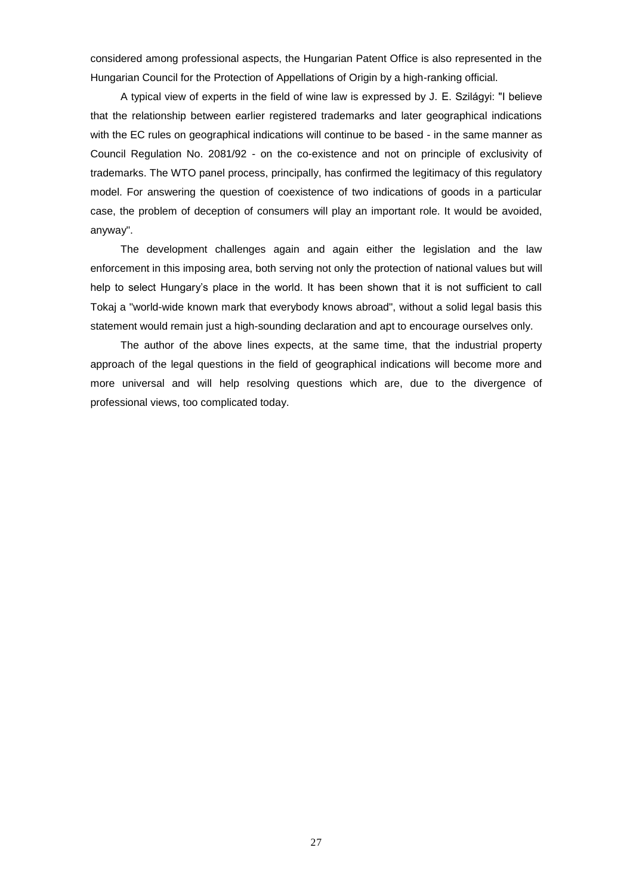considered among professional aspects, the Hungarian Patent Office is also represented in the Hungarian Council for the Protection of Appellations of Origin by a high-ranking official.

A typical view of experts in the field of wine law is expressed by J. E. Szilágyi: "I believe that the relationship between earlier registered trademarks and later geographical indications with the EC rules on geographical indications will continue to be based - in the same manner as Council Regulation No. 2081/92 - on the co-existence and not on principle of exclusivity of trademarks. The WTO panel process, principally, has confirmed the legitimacy of this regulatory model. For answering the question of coexistence of two indications of goods in a particular case, the problem of deception of consumers will play an important role. It would be avoided, anyway".

The development challenges again and again either the legislation and the law enforcement in this imposing area, both serving not only the protection of national values but will help to select Hungary's place in the world. It has been shown that it is not sufficient to call Tokaj a "world-wide known mark that everybody knows abroad", without a solid legal basis this statement would remain just a high-sounding declaration and apt to encourage ourselves only.

The author of the above lines expects, at the same time, that the industrial property approach of the legal questions in the field of geographical indications will become more and more universal and will help resolving questions which are, due to the divergence of professional views, too complicated today.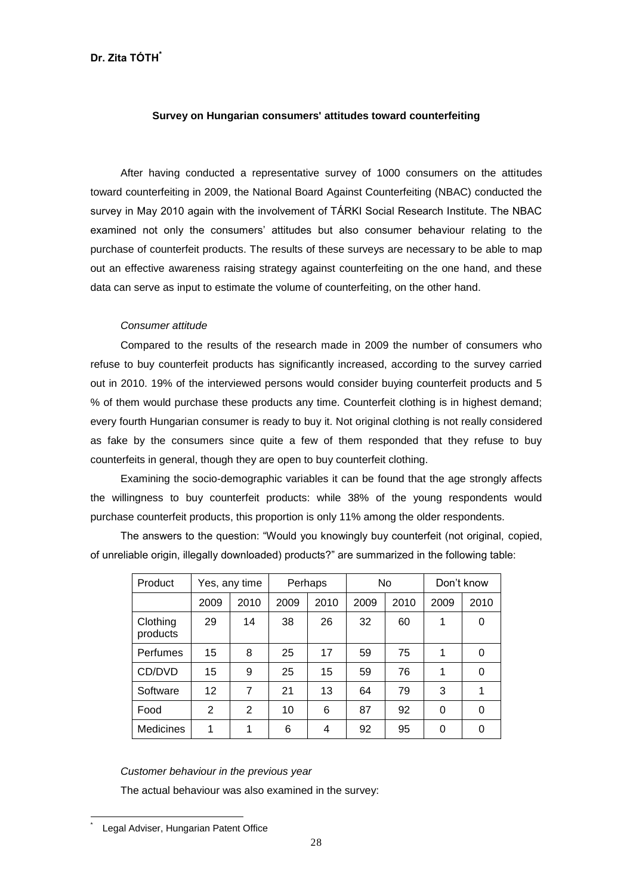# **Survey on Hungarian consumers' attitudes toward counterfeiting**

After having conducted a representative survey of 1000 consumers on the attitudes toward counterfeiting in 2009, the National Board Against Counterfeiting (NBAC) conducted the survey in May 2010 again with the involvement of TÁRKI Social Research Institute. The NBAC examined not only the consumers' attitudes but also consumer behaviour relating to the purchase of counterfeit products. The results of these surveys are necessary to be able to map out an effective awareness raising strategy against counterfeiting on the one hand, and these data can serve as input to estimate the volume of counterfeiting, on the other hand.

# *Consumer attitude*

Compared to the results of the research made in 2009 the number of consumers who refuse to buy counterfeit products has significantly increased, according to the survey carried out in 2010. 19% of the interviewed persons would consider buying counterfeit products and 5 % of them would purchase these products any time. Counterfeit clothing is in highest demand; every fourth Hungarian consumer is ready to buy it. Not original clothing is not really considered as fake by the consumers since quite a few of them responded that they refuse to buy counterfeits in general, though they are open to buy counterfeit clothing.

Examining the socio-demographic variables it can be found that the age strongly affects the willingness to buy counterfeit products: while 38% of the young respondents would purchase counterfeit products, this proportion is only 11% among the older respondents.

The answers to the question: "Would you knowingly buy counterfeit (not original, copied, of unreliable origin, illegally downloaded) products?" are summarized in the following table:

| Product              | Yes, any time |                | Perhaps |      | <b>No</b> |      | Don't know |          |
|----------------------|---------------|----------------|---------|------|-----------|------|------------|----------|
|                      | 2009          | 2010           | 2009    | 2010 | 2009      | 2010 | 2009       | 2010     |
| Clothing<br>products | 29            | 14             | 38      | 26   | 32        | 60   | 1          | 0        |
| Perfumes             | 15            | 8              | 25      | 17   | 59        | 75   | 1          | 0        |
| CD/DVD               | 15            | 9              | 25      | 15   | 59        | 76   | 1          | $\Omega$ |
| Software             | 12            | 7              | 21      | 13   | 64        | 79   | 3          |          |
| Food                 | 2             | $\overline{2}$ | 10      | 6    | 87        | 92   | 0          | $\Omega$ |
| <b>Medicines</b>     | 1             | 1              | 6       | 4    | 92        | 95   | 0          | 0        |

# *Customer behaviour in the previous year*

The actual behaviour was also examined in the survey:

1 \*

Legal Adviser, Hungarian Patent Office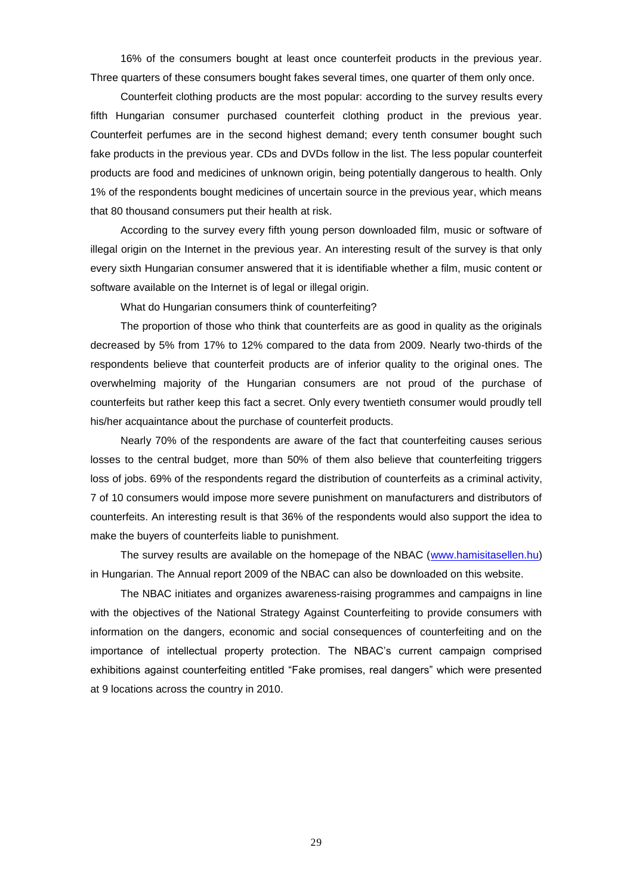16% of the consumers bought at least once counterfeit products in the previous year. Three quarters of these consumers bought fakes several times, one quarter of them only once.

Counterfeit clothing products are the most popular: according to the survey results every fifth Hungarian consumer purchased counterfeit clothing product in the previous year. Counterfeit perfumes are in the second highest demand; every tenth consumer bought such fake products in the previous year. CDs and DVDs follow in the list. The less popular counterfeit products are food and medicines of unknown origin, being potentially dangerous to health. Only 1% of the respondents bought medicines of uncertain source in the previous year, which means that 80 thousand consumers put their health at risk.

According to the survey every fifth young person downloaded film, music or software of illegal origin on the Internet in the previous year. An interesting result of the survey is that only every sixth Hungarian consumer answered that it is [identifiable](http://dict.leo.org/ende?lp=ende&p=Ci4HO3kMAA&search=identifiable&trestr=0x8004) whether a film, music content or software available on the Internet is of legal or illegal origin.

What do Hungarian consumers think of counterfeiting?

The proportion of those who think that counterfeits are as good in quality as the originals decreased by 5% from 17% to 12% compared to the data from 2009. Nearly two-thirds of the respondents believe that counterfeit products are of inferior quality to the original ones. The overwhelming majority of the Hungarian consumers are not proud of the purchase of counterfeits but rather keep this fact a secret. Only every twentieth consumer would proudly tell his/her acquaintance about the purchase of counterfeit products.

Nearly 70% of the respondents are aware of the fact that counterfeiting causes serious losses to the central budget, more than 50% of them also believe that counterfeiting triggers loss of jobs. 69% of the respondents regard the distribution of counterfeits as a criminal activity, 7 of 10 consumers would impose more severe punishment on manufacturers and distributors of counterfeits. An interesting result is that 36% of the respondents would also support the idea to make the buyers of counterfeits liable to punishment.

The survey results are available on the homepage of the NBAC [\(www.hamisitasellen.hu\)](http://www.hamisitasellen.hu/) in Hungarian. The Annual report 2009 of the NBAC can also be downloaded on this website.

The NBAC initiates and organizes awareness-raising programmes and campaigns in line with the objectives of the National Strategy Against Counterfeiting to provide consumers with information on the dangers, economic and social consequences of counterfeiting and on the importance of intellectual property protection. The NBAC"s current campaign comprised exhibitions against counterfeiting entitled "Fake promises, real dangers" which were presented at 9 locations across the country in 2010.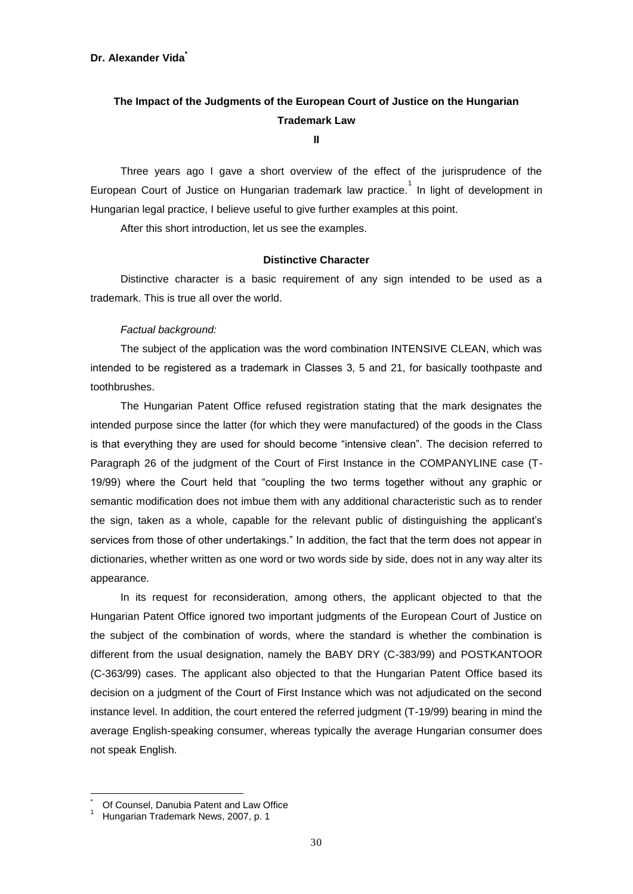# **The Impact of the Judgments of the European Court of Justice on the Hungarian Trademark Law**

**II**

Three years ago I gave a short overview of the effect of the jurisprudence of the European Court of Justice on Hungarian trademark law practice. <sup>1</sup> In light of development in Hungarian legal practice, I believe useful to give further examples at this point.

After this short introduction, let us see the examples.

#### **Distinctive Character**

Distinctive character is a basic requirement of any sign intended to be used as a trademark. This is true all over the world.

# *Factual background:*

The subject of the application was the word combination INTENSIVE CLEAN, which was intended to be registered as a trademark in Classes 3, 5 and 21, for basically toothpaste and toothbrushes.

The Hungarian Patent Office refused registration stating that the mark designates the intended purpose since the latter (for which they were manufactured) of the goods in the Class is that everything they are used for should become "intensive clean". The decision referred to Paragraph 26 of the judgment of the Court of First Instance in the COMPANYLINE case (T-19/99) where the Court held that "coupling the two terms together without any graphic or semantic modification does not imbue them with any additional characteristic such as to render the sign, taken as a whole, capable for the relevant public of distinguishing the applicant"s services from those of other undertakings." In addition, the fact that the term does not appear in dictionaries, whether written as one word or two words side by side, does not in any way alter its appearance.

In its request for reconsideration, among others, the applicant objected to that the Hungarian Patent Office ignored two important judgments of the European Court of Justice on the subject of the combination of words, where the standard is whether the combination is different from the usual designation, namely the BABY DRY (C-383/99) and POSTKANTOOR (C-363/99) cases. The applicant also objected to that the Hungarian Patent Office based its decision on a judgment of the Court of First Instance which was not adjudicated on the second instance level. In addition, the court entered the referred judgment (T-19/99) bearing in mind the average English-speaking consumer, whereas typically the average Hungarian consumer does not speak English.

Of Counsel, Danubia Patent and Law Office

Hungarian Trademark News, 2007, p. 1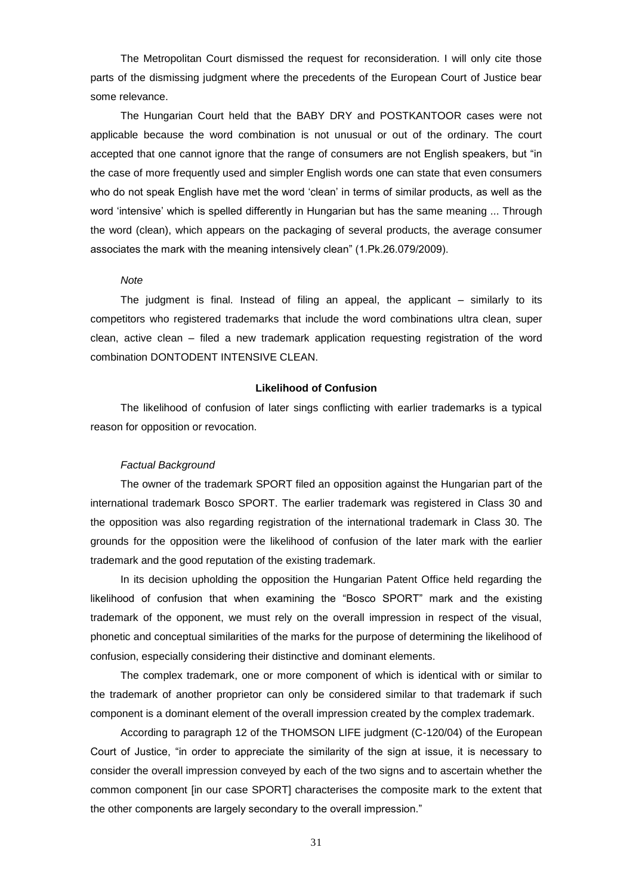The Metropolitan Court dismissed the request for reconsideration. I will only cite those parts of the dismissing judgment where the precedents of the European Court of Justice bear some relevance.

The Hungarian Court held that the BABY DRY and POSTKANTOOR cases were not applicable because the word combination is not unusual or out of the ordinary. The court accepted that one cannot ignore that the range of consumers are not English speakers, but "in the case of more frequently used and simpler English words one can state that even consumers who do not speak English have met the word "clean" in terms of similar products, as well as the word "intensive" which is spelled differently in Hungarian but has the same meaning ... Through the word (clean), which appears on the packaging of several products, the average consumer associates the mark with the meaning intensively clean" (1.Pk.26.079/2009).

#### *Note*

The judgment is final. Instead of filing an appeal, the applicant – similarly to its competitors who registered trademarks that include the word combinations ultra clean, super clean, active clean – filed a new trademark application requesting registration of the word combination DONTODENT INTENSIVE CLEAN.

# **Likelihood of Confusion**

The likelihood of confusion of later sings conflicting with earlier trademarks is a typical reason for opposition or revocation.

# *Factual Background*

The owner of the trademark SPORT filed an opposition against the Hungarian part of the international trademark Bosco SPORT. The earlier trademark was registered in Class 30 and the opposition was also regarding registration of the international trademark in Class 30. The grounds for the opposition were the likelihood of confusion of the later mark with the earlier trademark and the good reputation of the existing trademark.

In its decision upholding the opposition the Hungarian Patent Office held regarding the likelihood of confusion that when examining the "Bosco SPORT" mark and the existing trademark of the opponent, we must rely on the overall impression in respect of the visual, phonetic and conceptual similarities of the marks for the purpose of determining the likelihood of confusion, especially considering their distinctive and dominant elements.

The complex trademark, one or more component of which is identical with or similar to the trademark of another proprietor can only be considered similar to that trademark if such component is a dominant element of the overall impression created by the complex trademark.

According to paragraph 12 of the THOMSON LIFE judgment (C-120/04) of the European Court of Justice, "in order to appreciate the similarity of the sign at issue, it is necessary to consider the overall impression conveyed by each of the two signs and to ascertain whether the common component [in our case SPORT] characterises the composite mark to the extent that the other components are largely secondary to the overall impression."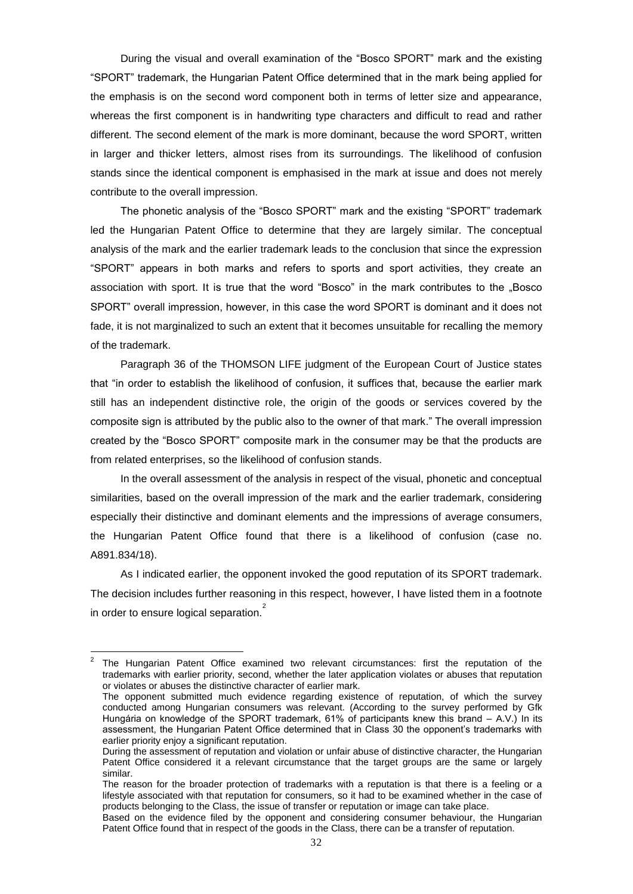During the visual and overall examination of the "Bosco SPORT" mark and the existing "SPORT" trademark, the Hungarian Patent Office determined that in the mark being applied for the emphasis is on the second word component both in terms of letter size and appearance, whereas the first component is in handwriting type characters and difficult to read and rather different. The second element of the mark is more dominant, because the word SPORT, written in larger and thicker letters, almost rises from its surroundings. The likelihood of confusion stands since the identical component is emphasised in the mark at issue and does not merely contribute to the overall impression.

The phonetic analysis of the "Bosco SPORT" mark and the existing "SPORT" trademark led the Hungarian Patent Office to determine that they are largely similar. The conceptual analysis of the mark and the earlier trademark leads to the conclusion that since the expression "SPORT" appears in both marks and refers to sports and sport activities, they create an association with sport. It is true that the word "Bosco" in the mark contributes to the "Bosco SPORT" overall impression, however, in this case the word SPORT is dominant and it does not fade, it is not marginalized to such an extent that it becomes unsuitable for recalling the memory of the trademark.

Paragraph 36 of the THOMSON LIFE judgment of the European Court of Justice states that "in order to establish the likelihood of confusion, it suffices that, because the earlier mark still has an independent distinctive role, the origin of the goods or services covered by the composite sign is attributed by the public also to the owner of that mark." The overall impression created by the "Bosco SPORT" composite mark in the consumer may be that the products are from related enterprises, so the likelihood of confusion stands.

In the overall assessment of the analysis in respect of the visual, phonetic and conceptual similarities, based on the overall impression of the mark and the earlier trademark, considering especially their distinctive and dominant elements and the impressions of average consumers, the Hungarian Patent Office found that there is a likelihood of confusion (case no. A891.834/18).

As I indicated earlier, the opponent invoked the good reputation of its SPORT trademark. The decision includes further reasoning in this respect, however, I have listed them in a footnote in order to ensure logical separation.<sup>2</sup>

-

<sup>2</sup> The Hungarian Patent Office examined two relevant circumstances: first the reputation of the trademarks with earlier priority, second, whether the later application violates or abuses that reputation or violates or abuses the distinctive character of earlier mark.

The opponent submitted much evidence regarding existence of reputation, of which the survey conducted among Hungarian consumers was relevant. (According to the survey performed by Gfk Hungária on knowledge of the SPORT trademark, 61% of participants knew this brand – A.V.) In its assessment, the Hungarian Patent Office determined that in Class 30 the opponent"s trademarks with earlier priority enjoy a significant reputation.

During the assessment of reputation and violation or unfair abuse of distinctive character, the Hungarian Patent Office considered it a relevant circumstance that the target groups are the same or largely similar.

The reason for the broader protection of trademarks with a reputation is that there is a feeling or a lifestyle associated with that reputation for consumers, so it had to be examined whether in the case of products belonging to the Class, the issue of transfer or reputation or image can take place.

Based on the evidence filed by the opponent and considering consumer behaviour, the Hungarian Patent Office found that in respect of the goods in the Class, there can be a transfer of reputation.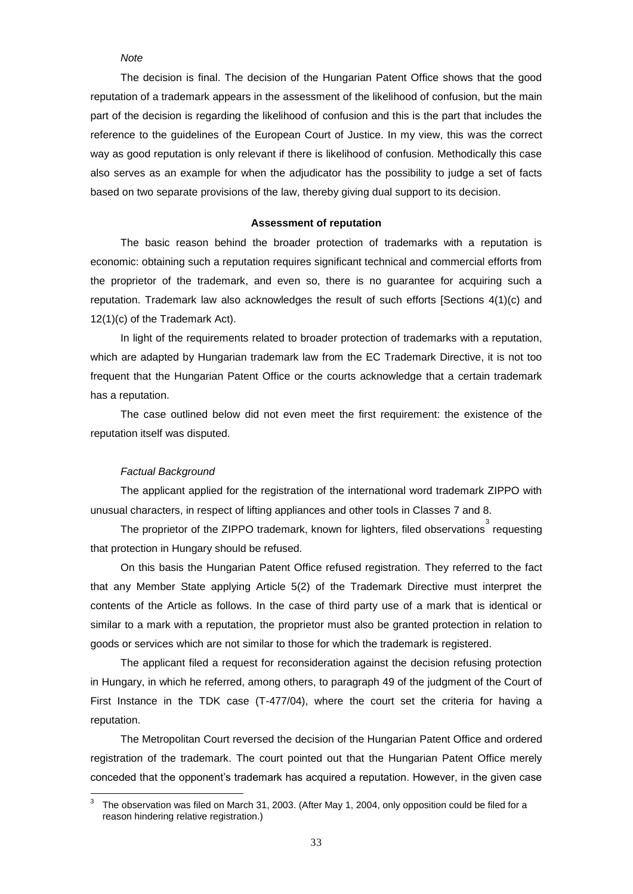# *Note*

The decision is final. The decision of the Hungarian Patent Office shows that the good reputation of a trademark appears in the assessment of the likelihood of confusion, but the main part of the decision is regarding the likelihood of confusion and this is the part that includes the reference to the guidelines of the European Court of Justice. In my view, this was the correct way as good reputation is only relevant if there is likelihood of confusion. Methodically this case also serves as an example for when the adjudicator has the possibility to judge a set of facts based on two separate provisions of the law, thereby giving dual support to its decision.

#### **Assessment of reputation**

The basic reason behind the broader protection of trademarks with a reputation is economic: obtaining such a reputation requires significant technical and commercial efforts from the proprietor of the trademark, and even so, there is no guarantee for acquiring such a reputation. Trademark law also acknowledges the result of such efforts [Sections 4(1)(c) and 12(1)(c) of the Trademark Act).

In light of the requirements related to broader protection of trademarks with a reputation, which are adapted by Hungarian trademark law from the EC Trademark Directive, it is not too frequent that the Hungarian Patent Office or the courts acknowledge that a certain trademark has a reputation.

The case outlined below did not even meet the first requirement: the existence of the reputation itself was disputed.

## *Factual Background*

1

The applicant applied for the registration of the international word trademark ZIPPO with unusual characters, in respect of lifting appliances and other tools in Classes 7 and 8.

The proprietor of the ZIPPO trademark, known for lighters, filed observations  $\overline{\phantom{a}^3}$  requesting that protection in Hungary should be refused.

On this basis the Hungarian Patent Office refused registration. They referred to the fact that any Member State applying Article 5(2) of the Trademark Directive must interpret the contents of the Article as follows. In the case of third party use of a mark that is identical or similar to a mark with a reputation, the proprietor must also be granted protection in relation to goods or services which are not similar to those for which the trademark is registered.

The applicant filed a request for reconsideration against the decision refusing protection in Hungary, in which he referred, among others, to paragraph 49 of the judgment of the Court of First Instance in the TDK case (T-477/04), where the court set the criteria for having a reputation.

The Metropolitan Court reversed the decision of the Hungarian Patent Office and ordered registration of the trademark. The court pointed out that the Hungarian Patent Office merely conceded that the opponent"s trademark has acquired a reputation. However, in the given case

<sup>3</sup> The observation was filed on March 31, 2003. (After May 1, 2004, only opposition could be filed for a reason hindering relative registration.)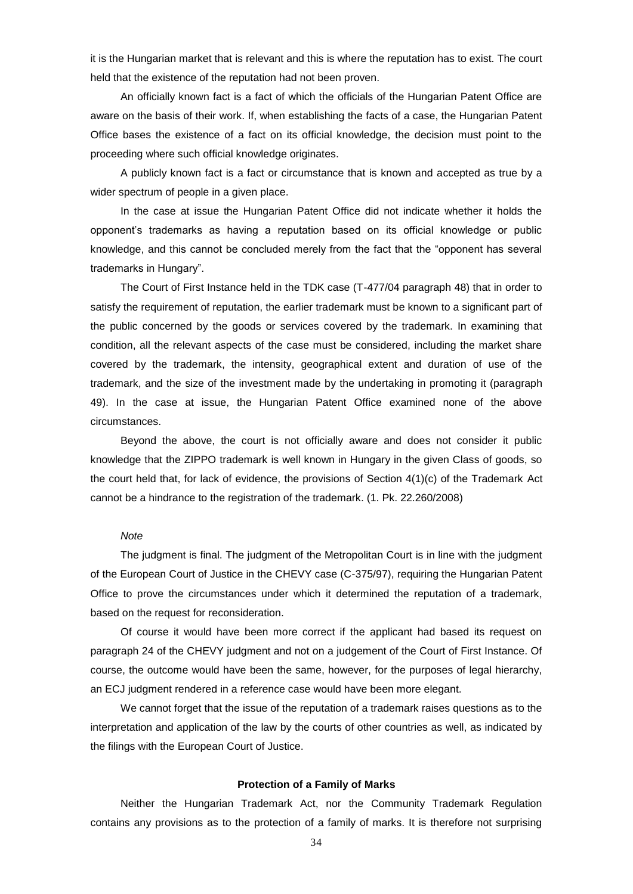it is the Hungarian market that is relevant and this is where the reputation has to exist. The court held that the existence of the reputation had not been proven.

An officially known fact is a fact of which the officials of the Hungarian Patent Office are aware on the basis of their work. If, when establishing the facts of a case, the Hungarian Patent Office bases the existence of a fact on its official knowledge, the decision must point to the proceeding where such official knowledge originates.

A publicly known fact is a fact or circumstance that is known and accepted as true by a wider spectrum of people in a given place.

In the case at issue the Hungarian Patent Office did not indicate whether it holds the opponent"s trademarks as having a reputation based on its official knowledge or public knowledge, and this cannot be concluded merely from the fact that the "opponent has several trademarks in Hungary".

The Court of First Instance held in the TDK case (T-477/04 paragraph 48) that in order to satisfy the requirement of reputation, the earlier trademark must be known to a significant part of the public concerned by the goods or services covered by the trademark. In examining that condition, all the relevant aspects of the case must be considered, including the market share covered by the trademark, the intensity, geographical extent and duration of use of the trademark, and the size of the investment made by the undertaking in promoting it (paragraph 49). In the case at issue, the Hungarian Patent Office examined none of the above circumstances.

Beyond the above, the court is not officially aware and does not consider it public knowledge that the ZIPPO trademark is well known in Hungary in the given Class of goods, so the court held that, for lack of evidence, the provisions of Section 4(1)(c) of the Trademark Act cannot be a hindrance to the registration of the trademark. (1. Pk. 22.260/2008)

#### *Note*

The judgment is final. The judgment of the Metropolitan Court is in line with the judgment of the European Court of Justice in the CHEVY case (C-375/97), requiring the Hungarian Patent Office to prove the circumstances under which it determined the reputation of a trademark, based on the request for reconsideration.

Of course it would have been more correct if the applicant had based its request on paragraph 24 of the CHEVY judgment and not on a judgement of the Court of First Instance. Of course, the outcome would have been the same, however, for the purposes of legal hierarchy, an ECJ judgment rendered in a reference case would have been more elegant.

We cannot forget that the issue of the reputation of a trademark raises questions as to the interpretation and application of the law by the courts of other countries as well, as indicated by the filings with the European Court of Justice.

#### **Protection of a Family of Marks**

Neither the Hungarian Trademark Act, nor the Community Trademark Regulation contains any provisions as to the protection of a family of marks. It is therefore not surprising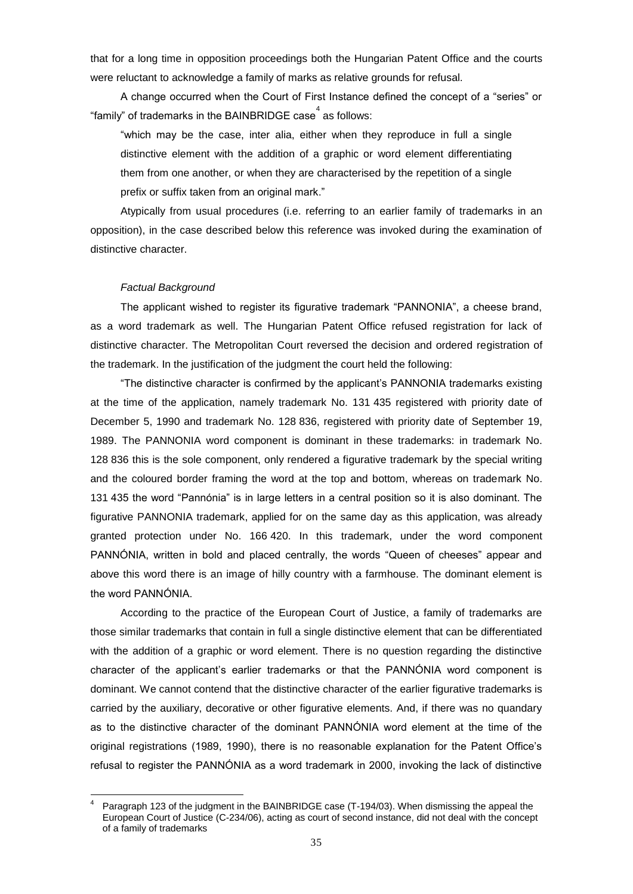that for a long time in opposition proceedings both the Hungarian Patent Office and the courts were reluctant to acknowledge a family of marks as relative grounds for refusal.

A change occurred when the Court of First Instance defined the concept of a "series" or "family" of trademarks in the BAINBRIDGE case $^4$  as follows:

"which may be the case, inter alia, either when they reproduce in full a single distinctive element with the addition of a graphic or word element differentiating them from one another, or when they are characterised by the repetition of a single prefix or suffix taken from an original mark."

Atypically from usual procedures (i.e. referring to an earlier family of trademarks in an opposition), in the case described below this reference was invoked during the examination of distinctive character.

#### *Factual Background*

The applicant wished to register its figurative trademark "PANNONIA", a cheese brand, as a word trademark as well. The Hungarian Patent Office refused registration for lack of distinctive character. The Metropolitan Court reversed the decision and ordered registration of the trademark. In the justification of the judgment the court held the following:

"The distinctive character is confirmed by the applicant"s PANNONIA trademarks existing at the time of the application, namely trademark No. 131 435 registered with priority date of December 5, 1990 and trademark No. 128 836, registered with priority date of September 19, 1989. The PANNONIA word component is dominant in these trademarks: in trademark No. 128 836 this is the sole component, only rendered a figurative trademark by the special writing and the coloured border framing the word at the top and bottom, whereas on trademark No. 131 435 the word "Pannónia" is in large letters in a central position so it is also dominant. The figurative PANNONIA trademark, applied for on the same day as this application, was already granted protection under No. 166 420. In this trademark, under the word component PANNÓNIA, written in bold and placed centrally, the words "Queen of cheeses" appear and above this word there is an image of hilly country with a farmhouse. The dominant element is the word PANNÓNIA.

According to the practice of the European Court of Justice, a family of trademarks are those similar trademarks that contain in full a single distinctive element that can be differentiated with the addition of a graphic or word element. There is no question regarding the distinctive character of the applicant"s earlier trademarks or that the PANNÓNIA word component is dominant. We cannot contend that the distinctive character of the earlier figurative trademarks is carried by the auxiliary, decorative or other figurative elements. And, if there was no quandary as to the distinctive character of the dominant PANNÓNIA word element at the time of the original registrations (1989, 1990), there is no reasonable explanation for the Patent Office"s refusal to register the PANNÓNIA as a word trademark in 2000, invoking the lack of distinctive

<sup>&</sup>lt;u>.</u> 4 Paragraph 123 of the judgment in the BAINBRIDGE case (T-194/03). When dismissing the appeal the European Court of Justice (C-234/06), acting as court of second instance, did not deal with the concept of a family of trademarks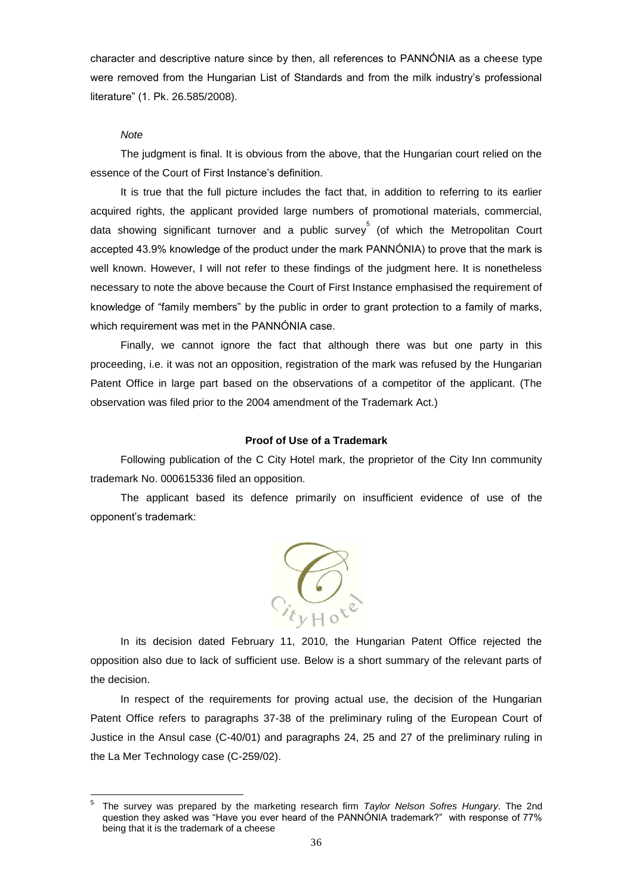character and descriptive nature since by then, all references to PANNÓNIA as a cheese type were removed from the Hungarian List of Standards and from the milk industry"s professional literature" (1. Pk. 26.585/2008).

## *Note*

The judgment is final. It is obvious from the above, that the Hungarian court relied on the essence of the Court of First Instance"s definition.

It is true that the full picture includes the fact that, in addition to referring to its earlier acquired rights, the applicant provided large numbers of promotional materials, commercial, data showing significant turnover and a public survey 5 (of which the Metropolitan Court accepted 43.9% knowledge of the product under the mark PANNÓNIA) to prove that the mark is well known. However, I will not refer to these findings of the judgment here. It is nonetheless necessary to note the above because the Court of First Instance emphasised the requirement of knowledge of "family members" by the public in order to grant protection to a family of marks, which requirement was met in the PANNÓNIA case.

Finally, we cannot ignore the fact that although there was but one party in this proceeding, i.e. it was not an opposition, registration of the mark was refused by the Hungarian Patent Office in large part based on the observations of a competitor of the applicant. (The observation was filed prior to the 2004 amendment of the Trademark Act.)

# **Proof of Use of a Trademark**

Following publication of the C City Hotel mark, the proprietor of the City Inn community trademark No. 000615336 filed an opposition.

The applicant based its defence primarily on insufficient evidence of use of the opponent"s trademark:



In its decision dated February 11, 2010, the Hungarian Patent Office rejected the opposition also due to lack of sufficient use. Below is a short summary of the relevant parts of the decision.

In respect of the requirements for proving actual use, the decision of the Hungarian Patent Office refers to paragraphs 37-38 of the preliminary ruling of the European Court of Justice in the Ansul case (C-40/01) and paragraphs 24, 25 and 27 of the preliminary ruling in the La Mer Technology case (C-259/02).

<sup>-&</sup>lt;br>5 The survey was prepared by the marketing research firm *Taylor Nelson Sofres Hungary*. The 2nd question they asked was "Have you ever heard of the PANNÓNIA trademark?" with response of 77% being that it is the trademark of a cheese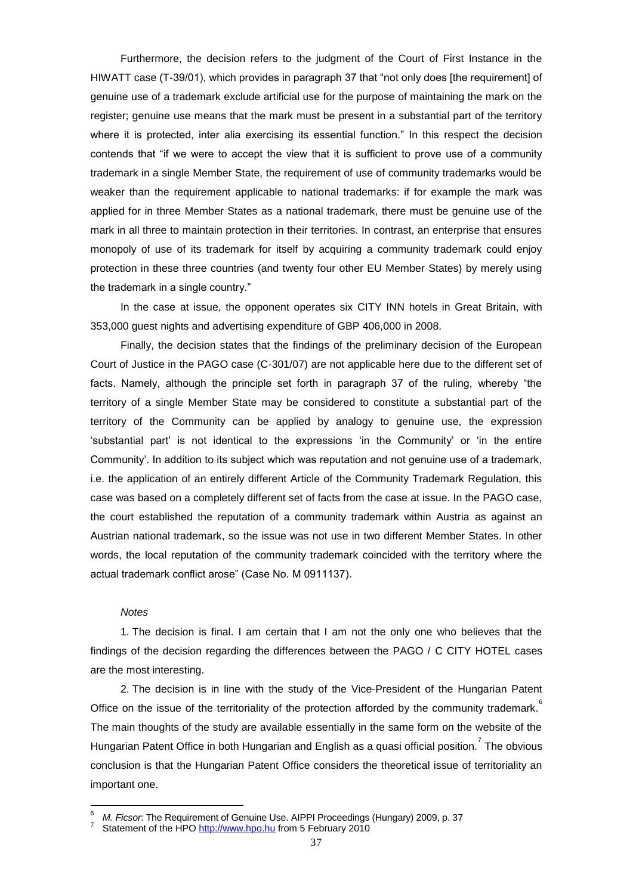Furthermore, the decision refers to the judgment of the Court of First Instance in the HIWATT case (T-39/01), which provides in paragraph 37 that "not only does [the requirement] of genuine use of a trademark exclude artificial use for the purpose of maintaining the mark on the register; genuine use means that the mark must be present in a substantial part of the territory where it is protected, inter alia exercising its essential function." In this respect the decision contends that "if we were to accept the view that it is sufficient to prove use of a community trademark in a single Member State, the requirement of use of community trademarks would be weaker than the requirement applicable to national trademarks: if for example the mark was applied for in three Member States as a national trademark, there must be genuine use of the mark in all three to maintain protection in their territories. In contrast, an enterprise that ensures monopoly of use of its trademark for itself by acquiring a community trademark could enjoy protection in these three countries (and twenty four other EU Member States) by merely using the trademark in a single country."

In the case at issue, the opponent operates six CITY INN hotels in Great Britain, with 353,000 guest nights and advertising expenditure of GBP 406,000 in 2008.

Finally, the decision states that the findings of the preliminary decision of the European Court of Justice in the PAGO case (C-301/07) are not applicable here due to the different set of facts. Namely, although the principle set forth in paragraph 37 of the ruling, whereby "the territory of a single Member State may be considered to constitute a substantial part of the territory of the Community can be applied by analogy to genuine use, the expression "substantial part" is not identical to the expressions "in the Community" or "in the entire Community". In addition to its subject which was reputation and not genuine use of a trademark, i.e. the application of an entirely different Article of the Community Trademark Regulation, this case was based on a completely different set of facts from the case at issue. In the PAGO case, the court established the reputation of a community trademark within Austria as against an Austrian national trademark, so the issue was not use in two different Member States. In other words, the local reputation of the community trademark coincided with the territory where the actual trademark conflict arose" (Case No. M 0911137).

# *Notes*

1. The decision is final. I am certain that I am not the only one who believes that the findings of the decision regarding the differences between the PAGO / C CITY HOTEL cases are the most interesting.

2. The decision is in line with the study of the Vice-President of the Hungarian Patent Office on the issue of the territoriality of the protection afforded by the community trademark. The main thoughts of the study are available essentially in the same form on the website of the Hungarian Patent Office in both Hungarian and English as a quasi official position.<sup>7</sup> The obvious conclusion is that the Hungarian Patent Office considers the theoretical issue of territoriality an important one.

<sup>6</sup> <sup>6</sup> *M. Ficsor*: The Requirement of Genuine Use. AIPPI Proceedings (Hungary) 2009, p. 37

<sup>7</sup> Statement of the HPO [http://www.hpo.hu](http://www.hpo.hu/) from 5 February 2010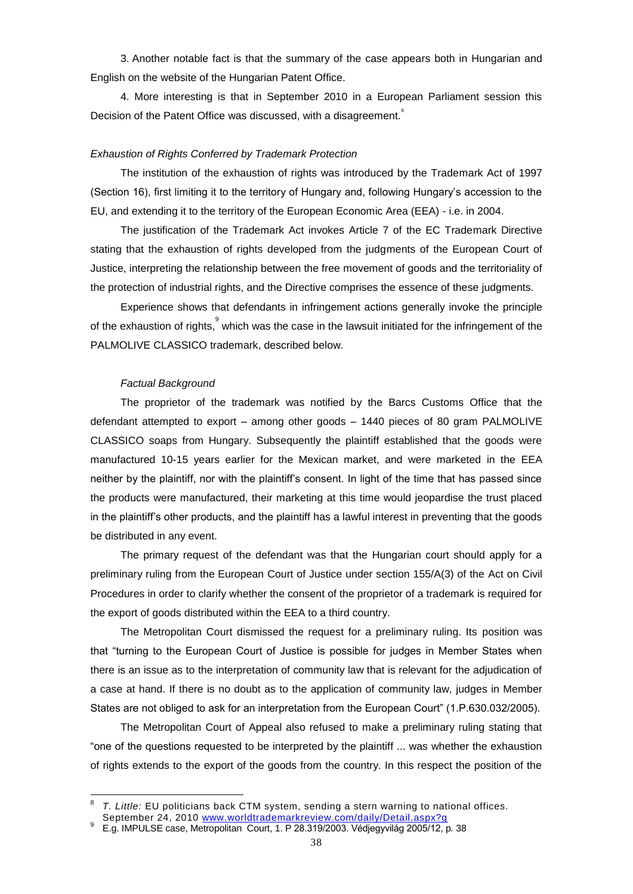3. Another notable fact is that the summary of the case appears both in Hungarian and English on the website of the Hungarian Patent Office.

4. More interesting is that in September 2010 in a European Parliament session this Decision of the Patent Office was discussed, with a disagreement.<sup>8</sup>

## *Exhaustion of Rights Conferred by Trademark Protection*

The institution of the exhaustion of rights was introduced by the Trademark Act of 1997 (Section 16), first limiting it to the territory of Hungary and, following Hungary"s accession to the EU, and extending it to the territory of the European Economic Area (EEA) - i.e. in 2004.

The justification of the Trademark Act invokes Article 7 of the EC Trademark Directive stating that the exhaustion of rights developed from the judgments of the European Court of Justice, interpreting the relationship between the free movement of goods and the territoriality of the protection of industrial rights, and the Directive comprises the essence of these judgments.

Experience shows that defendants in infringement actions generally invoke the principle of the exhaustion of rights, which was the case in the lawsuit initiated for the infringement of the PALMOLIVE CLASSICO trademark, described below.

#### *Factual Background*

The proprietor of the trademark was notified by the Barcs Customs Office that the defendant attempted to export – among other goods – 1440 pieces of 80 gram PALMOLIVE CLASSICO soaps from Hungary. Subsequently the plaintiff established that the goods were manufactured 10-15 years earlier for the Mexican market, and were marketed in the EEA neither by the plaintiff, nor with the plaintiff"s consent. In light of the time that has passed since the products were manufactured, their marketing at this time would jeopardise the trust placed in the plaintiff's other products, and the plaintiff has a lawful interest in preventing that the goods be distributed in any event.

The primary request of the defendant was that the Hungarian court should apply for a preliminary ruling from the European Court of Justice under section 155/A(3) of the Act on Civil Procedures in order to clarify whether the consent of the proprietor of a trademark is required for the export of goods distributed within the EEA to a third country.

The Metropolitan Court dismissed the request for a preliminary ruling. Its position was that "turning to the European Court of Justice is possible for judges in Member States when there is an issue as to the interpretation of community law that is relevant for the adjudication of a case at hand. If there is no doubt as to the application of community law, judges in Member States are not obliged to ask for an interpretation from the European Court" (1.P.630.032/2005).

The Metropolitan Court of Appeal also refused to make a preliminary ruling stating that "one of the questions requested to be interpreted by the plaintiff ... was whether the exhaustion of rights extends to the export of the goods from the country. In this respect the position of the

<sup>-&</sup>lt;br>8 *T. Little:* EU politicians back CTM system, sending a stern warning to national offices.

September 24, 2010 [www.worldtrademarkreview.com/daily/Detail.aspx?g](http://www.worldtrademarkreview.com/daily/Detail.aspx?g)

<sup>9</sup> E.g. IMPULSE case, Metropolitan Court, 1. P 28.319/2003. Védjegyvilág 2005/12, p*.* 38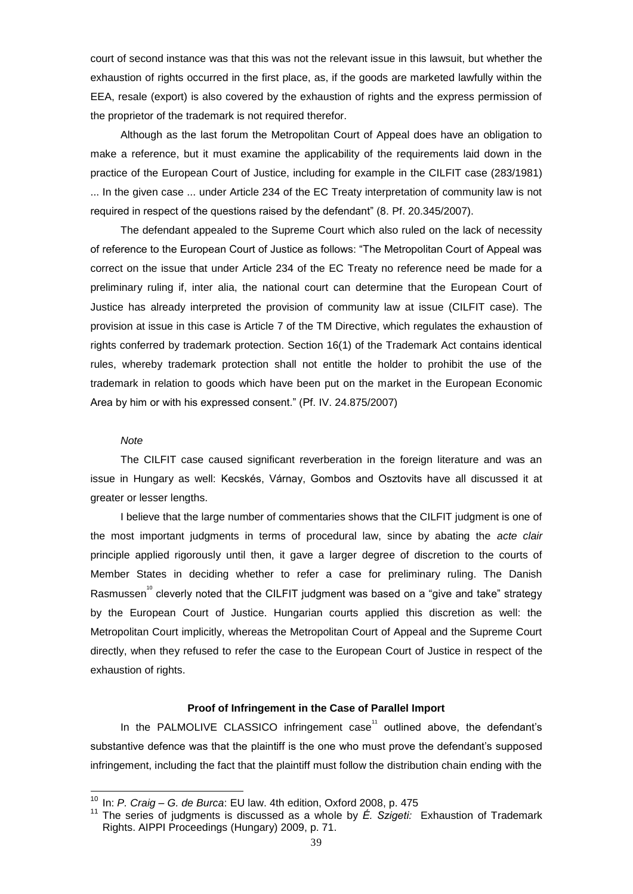court of second instance was that this was not the relevant issue in this lawsuit, but whether the exhaustion of rights occurred in the first place, as, if the goods are marketed lawfully within the EEA, resale (export) is also covered by the exhaustion of rights and the express permission of the proprietor of the trademark is not required therefor.

Although as the last forum the Metropolitan Court of Appeal does have an obligation to make a reference, but it must examine the applicability of the requirements laid down in the practice of the European Court of Justice, including for example in the CILFIT case (283/1981) ... In the given case ... under Article 234 of the EC Treaty interpretation of community law is not required in respect of the questions raised by the defendant" (8. Pf. 20.345/2007).

The defendant appealed to the Supreme Court which also ruled on the lack of necessity of reference to the European Court of Justice as follows: "The Metropolitan Court of Appeal was correct on the issue that under Article 234 of the EC Treaty no reference need be made for a preliminary ruling if, inter alia, the national court can determine that the European Court of Justice has already interpreted the provision of community law at issue (CILFIT case). The provision at issue in this case is Article 7 of the TM Directive, which regulates the exhaustion of rights conferred by trademark protection. Section 16(1) of the Trademark Act contains identical rules, whereby trademark protection shall not entitle the holder to prohibit the use of the trademark in relation to goods which have been put on the market in the European Economic Area by him or with his expressed consent." (Pf. IV. 24.875/2007)

# *Note*

<u>.</u>

The CILFIT case caused significant reverberation in the foreign literature and was an issue in Hungary as well: Kecskés, Várnay, Gombos and Osztovits have all discussed it at greater or lesser lengths.

I believe that the large number of commentaries shows that the CILFIT judgment is one of the most important judgments in terms of procedural law, since by abating the *acte clair* principle applied rigorously until then, it gave a larger degree of discretion to the courts of Member States in deciding whether to refer a case for preliminary ruling. The Danish Rasmussen<sup>10</sup> cleverly noted that the CILFIT judgment was based on a "give and take" strategy by the European Court of Justice. Hungarian courts applied this discretion as well: the Metropolitan Court implicitly, whereas the Metropolitan Court of Appeal and the Supreme Court directly, when they refused to refer the case to the European Court of Justice in respect of the exhaustion of rights.

# **Proof of Infringement in the Case of Parallel Import**

In the PALMOLIVE CLASSICO infringement case $11$  outlined above, the defendant's substantive defence was that the plaintiff is the one who must prove the defendant"s supposed infringement, including the fact that the plaintiff must follow the distribution chain ending with the

<sup>10</sup> In: *P. Craig – G. de Burca*: EU law. 4th edition, Oxford 2008, p. 475

<sup>11</sup> The series of judgments is discussed as a whole by *É. Szigeti:* Exhaustion of Trademark Rights. AIPPI Proceedings (Hungary) 2009, p. 71.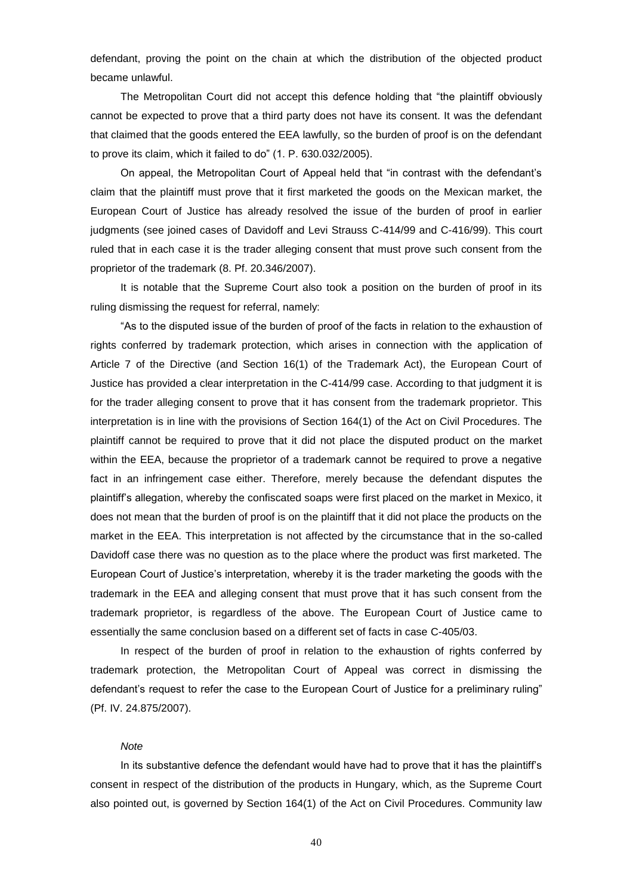defendant, proving the point on the chain at which the distribution of the objected product became unlawful.

The Metropolitan Court did not accept this defence holding that "the plaintiff obviously cannot be expected to prove that a third party does not have its consent. It was the defendant that claimed that the goods entered the EEA lawfully, so the burden of proof is on the defendant to prove its claim, which it failed to do" (1. P. 630.032/2005).

On appeal, the Metropolitan Court of Appeal held that "in contrast with the defendant"s claim that the plaintiff must prove that it first marketed the goods on the Mexican market, the European Court of Justice has already resolved the issue of the burden of proof in earlier judgments (see joined cases of Davidoff and Levi Strauss C-414/99 and C-416/99). This court ruled that in each case it is the trader alleging consent that must prove such consent from the proprietor of the trademark (8. Pf. 20.346/2007).

It is notable that the Supreme Court also took a position on the burden of proof in its ruling dismissing the request for referral, namely:

"As to the disputed issue of the burden of proof of the facts in relation to the exhaustion of rights conferred by trademark protection, which arises in connection with the application of Article 7 of the Directive (and Section 16(1) of the Trademark Act), the European Court of Justice has provided a clear interpretation in the C-414/99 case. According to that judgment it is for the trader alleging consent to prove that it has consent from the trademark proprietor. This interpretation is in line with the provisions of Section 164(1) of the Act on Civil Procedures. The plaintiff cannot be required to prove that it did not place the disputed product on the market within the EEA, because the proprietor of a trademark cannot be required to prove a negative fact in an infringement case either. Therefore, merely because the defendant disputes the plaintiff"s allegation, whereby the confiscated soaps were first placed on the market in Mexico, it does not mean that the burden of proof is on the plaintiff that it did not place the products on the market in the EEA. This interpretation is not affected by the circumstance that in the so-called Davidoff case there was no question as to the place where the product was first marketed. The European Court of Justice"s interpretation, whereby it is the trader marketing the goods with the trademark in the EEA and alleging consent that must prove that it has such consent from the trademark proprietor, is regardless of the above. The European Court of Justice came to essentially the same conclusion based on a different set of facts in case C-405/03.

In respect of the burden of proof in relation to the exhaustion of rights conferred by trademark protection, the Metropolitan Court of Appeal was correct in dismissing the defendant's request to refer the case to the European Court of Justice for a preliminary ruling" (Pf. IV. 24.875/2007).

# *Note*

In its substantive defence the defendant would have had to prove that it has the plaintiff"s consent in respect of the distribution of the products in Hungary, which, as the Supreme Court also pointed out, is governed by Section 164(1) of the Act on Civil Procedures. Community law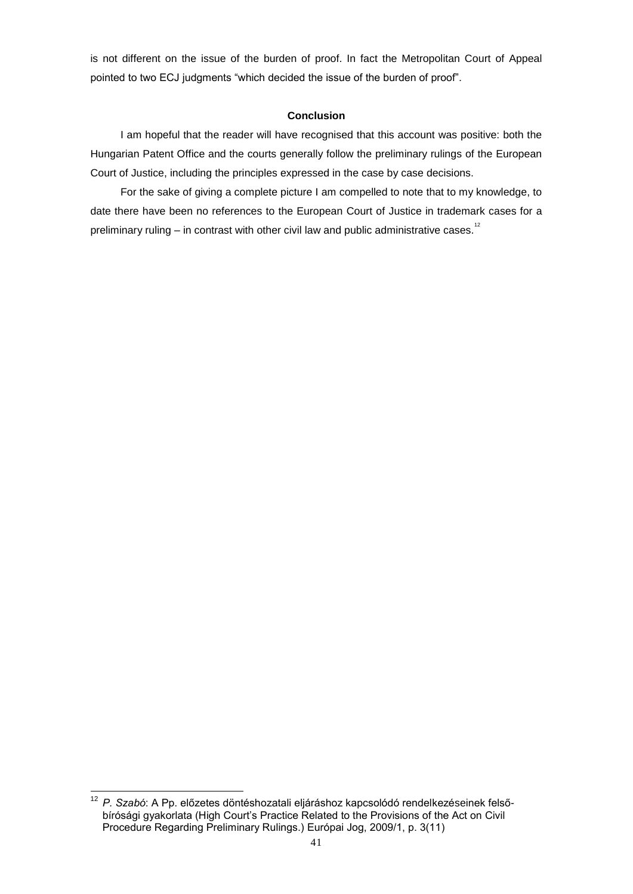is not different on the issue of the burden of proof. In fact the Metropolitan Court of Appeal pointed to two ECJ judgments "which decided the issue of the burden of proof".

# **Conclusion**

I am hopeful that the reader will have recognised that this account was positive: both the Hungarian Patent Office and the courts generally follow the preliminary rulings of the European Court of Justice, including the principles expressed in the case by case decisions.

For the sake of giving a complete picture I am compelled to note that to my knowledge, to date there have been no references to the European Court of Justice in trademark cases for a preliminary ruling – in contrast with other civil law and public administrative cases.<sup>12</sup>

<sup>&</sup>lt;u>.</u> <sup>12</sup> *P. Szabó*: A Pp. előzetes döntéshozatali eljáráshoz kapcsolódó rendelkezéseinek felsőbírósági gyakorlata (High Court"s Practice Related to the Provisions of the Act on Civil Procedure Regarding Preliminary Rulings.) Európai Jog, 2009/1, p. 3(11)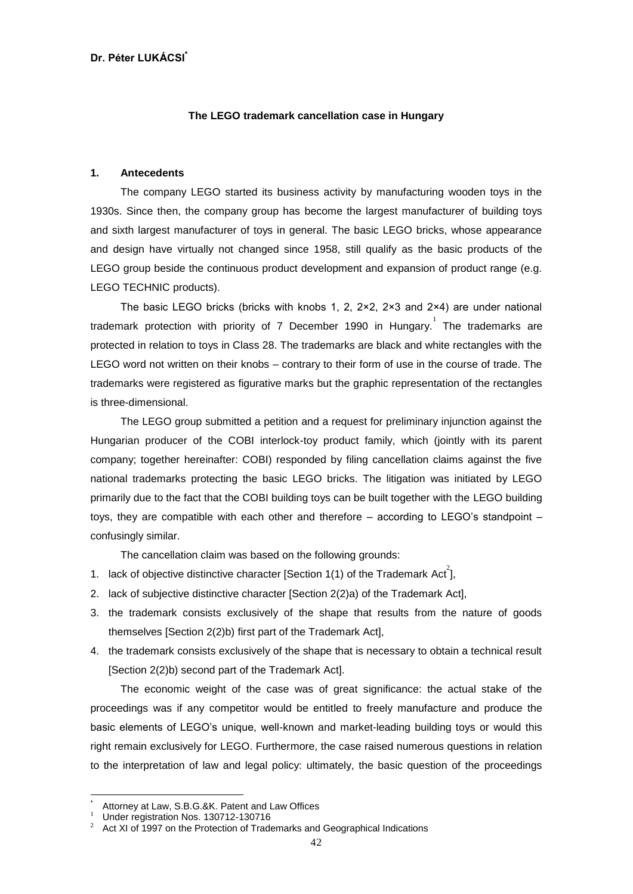# **The LEGO trademark cancellation case in Hungary**

# **1. Antecedents**

The company LEGO started its business activity by manufacturing wooden toys in the 1930s. Since then, the company group has become the largest manufacturer of building toys and sixth largest manufacturer of toys in general. The basic LEGO bricks, whose appearance and design have virtually not changed since 1958, still qualify as the basic products of the LEGO group beside the continuous product development and expansion of product range (e.g. LEGO TECHNIC products).

The basic LEGO bricks (bricks with knobs 1, 2,  $2 \times 2$ ,  $2 \times 3$  and  $2 \times 4$ ) are under national trademark protection with priority of 7 December 1990 in Hungary.<sup>1</sup> The trademarks are protected in relation to toys in Class 28. The trademarks are black and white rectangles with the LEGO word not written on their knobs – contrary to their form of use in the course of trade. The trademarks were registered as figurative marks but the graphic representation of the rectangles is three-dimensional.

The LEGO group submitted a petition and a request for preliminary injunction against the Hungarian producer of the COBI interlock-toy product family, which (jointly with its parent company; together hereinafter: COBI) responded by filing cancellation claims against the five national trademarks protecting the basic LEGO bricks. The litigation was initiated by LEGO primarily due to the fact that the COBI building toys can be built together with the LEGO building toys, they are compatible with each other and therefore – according to LEGO"s standpoint – confusingly similar.

The cancellation claim was based on the following grounds:

- 1. lack of objective distinctive character [Section 1(1) of the Trademark Act<sup>2</sup>],
- 2. lack of subjective distinctive character [Section 2(2)a) of the Trademark Act],
- 3. the trademark consists exclusively of the shape that results from the nature of goods themselves [Section 2(2)b) first part of the Trademark Act],
- 4. the trademark consists exclusively of the shape that is necessary to obtain a technical result [Section 2(2)b) second part of the Trademark Act].

The economic weight of the case was of great significance: the actual stake of the proceedings was if any competitor would be entitled to freely manufacture and produce the basic elements of LEGO"s unique, well-known and market-leading building toys or would this right remain exclusively for LEGO. Furthermore, the case raised numerous questions in relation to the interpretation of law and legal policy: ultimately, the basic question of the proceedings

<u>.</u>

<sup>\*</sup> Attorney at Law, S.B.G.&K. Patent and Law Offices

<sup>1</sup> Under registration Nos. 130712-130716

Act XI of 1997 on the Protection of Trademarks and Geographical Indications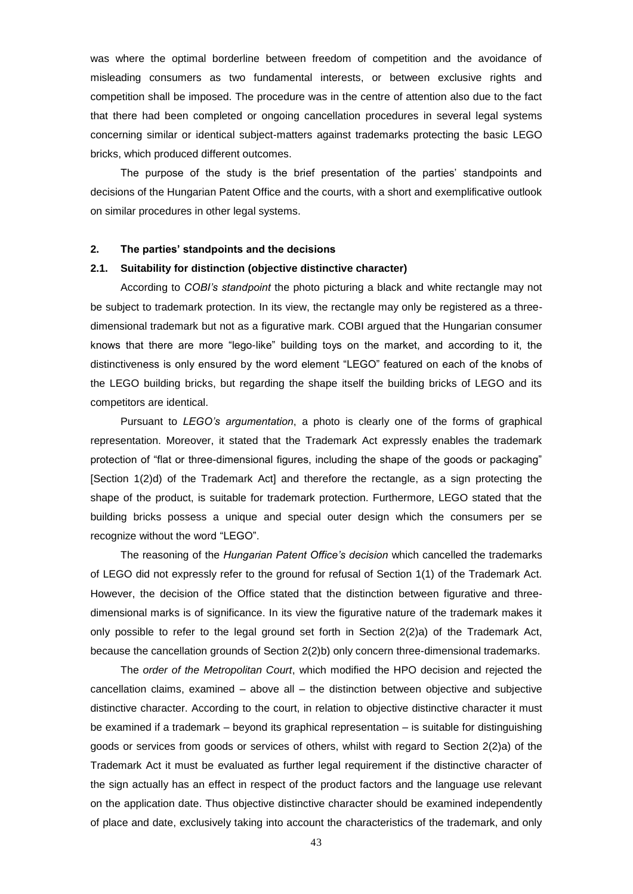was where the optimal borderline between freedom of competition and the avoidance of misleading consumers as two fundamental interests, or between exclusive rights and competition shall be imposed. The procedure was in the centre of attention also due to the fact that there had been completed or ongoing cancellation procedures in several legal systems concerning similar or identical subject-matters against trademarks protecting the basic LEGO bricks, which produced different outcomes.

The purpose of the study is the brief presentation of the parties" standpoints and decisions of the Hungarian Patent Office and the courts, with a short and exemplificative outlook on similar procedures in other legal systems.

#### **2. The parties' standpoints and the decisions**

#### **2.1. Suitability for distinction (objective distinctive character)**

According to *COBI's standpoint* the photo picturing a black and white rectangle may not be subject to trademark protection. In its view, the rectangle may only be registered as a threedimensional trademark but not as a figurative mark. COBI argued that the Hungarian consumer knows that there are more "lego-like" building toys on the market, and according to it, the distinctiveness is only ensured by the word element "LEGO" featured on each of the knobs of the LEGO building bricks, but regarding the shape itself the building bricks of LEGO and its competitors are identical.

Pursuant to *LEGO's argumentation*, a photo is clearly one of the forms of graphical representation. Moreover, it stated that the Trademark Act expressly enables the trademark protection of "flat or three-dimensional figures, including the shape of the goods or packaging" [Section 1(2)d) of the Trademark Act] and therefore the rectangle, as a sign protecting the shape of the product, is suitable for trademark protection. Furthermore, LEGO stated that the building bricks possess a unique and special outer design which the consumers per se recognize without the word "LEGO".

The reasoning of the *Hungarian Patent Office's decision* which cancelled the trademarks of LEGO did not expressly refer to the ground for refusal of Section 1(1) of the Trademark Act. However, the decision of the Office stated that the distinction between figurative and threedimensional marks is of significance. In its view the figurative nature of the trademark makes it only possible to refer to the legal ground set forth in Section 2(2)a) of the Trademark Act, because the cancellation grounds of Section 2(2)b) only concern three-dimensional trademarks.

The *order of the Metropolitan Court*, which modified the HPO decision and rejected the cancellation claims, examined – above all – the distinction between objective and subjective distinctive character. According to the court, in relation to objective distinctive character it must be examined if a trademark – beyond its graphical representation – is suitable for distinguishing goods or services from goods or services of others, whilst with regard to Section 2(2)a) of the Trademark Act it must be evaluated as further legal requirement if the distinctive character of the sign actually has an effect in respect of the product factors and the language use relevant on the application date. Thus objective distinctive character should be examined independently of place and date, exclusively taking into account the characteristics of the trademark, and only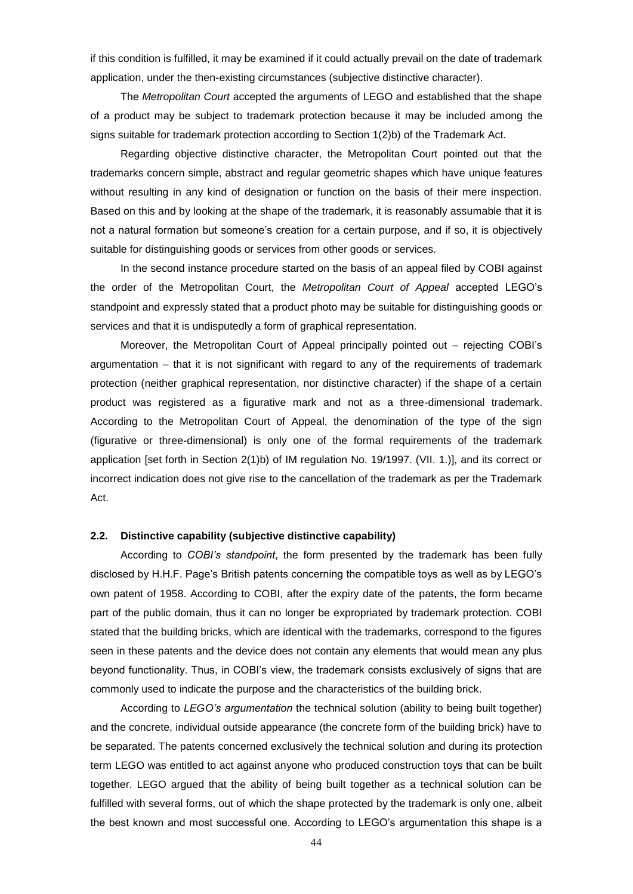if this condition is fulfilled, it may be examined if it could actually prevail on the date of trademark application, under the then-existing circumstances (subjective distinctive character).

The *Metropolitan Court* accepted the arguments of LEGO and established that the shape of a product may be subject to trademark protection because it may be included among the signs suitable for trademark protection according to Section 1(2)b) of the Trademark Act.

Regarding objective distinctive character, the Metropolitan Court pointed out that the trademarks concern simple, abstract and regular geometric shapes which have unique features without resulting in any kind of designation or function on the basis of their mere inspection. Based on this and by looking at the shape of the trademark, it is reasonably assumable that it is not a natural formation but someone"s creation for a certain purpose, and if so, it is objectively suitable for distinguishing goods or services from other goods or services.

In the second instance procedure started on the basis of an appeal filed by COBI against the order of the Metropolitan Court, the *Metropolitan Court of Appeal* accepted LEGO"s standpoint and expressly stated that a product photo may be suitable for distinguishing goods or services and that it is undisputedly a form of graphical representation.

Moreover, the Metropolitan Court of Appeal principally pointed out – rejecting COBI"s argumentation – that it is not significant with regard to any of the requirements of trademark protection (neither graphical representation, nor distinctive character) if the shape of a certain product was registered as a figurative mark and not as a three-dimensional trademark. According to the Metropolitan Court of Appeal, the denomination of the type of the sign (figurative or three-dimensional) is only one of the formal requirements of the trademark application [set forth in Section 2(1)b) of IM regulation No. 19/1997. (VII. 1.)], and its correct or incorrect indication does not give rise to the cancellation of the trademark as per the Trademark Act.

## **2.2. Distinctive capability (subjective distinctive capability)**

According to *COBI's standpoint*, the form presented by the trademark has been fully disclosed by H.H.F. Page's British patents concerning the compatible toys as well as by LEGO's own patent of 1958. According to COBI, after the expiry date of the patents, the form became part of the public domain, thus it can no longer be expropriated by trademark protection. COBI stated that the building bricks, which are identical with the trademarks, correspond to the figures seen in these patents and the device does not contain any elements that would mean any plus beyond functionality. Thus, in COBI"s view, the trademark consists exclusively of signs that are commonly used to indicate the purpose and the characteristics of the building brick.

According to *LEGO's argumentation* the technical solution (ability to being built together) and the concrete, individual outside appearance (the concrete form of the building brick) have to be separated. The patents concerned exclusively the technical solution and during its protection term LEGO was entitled to act against anyone who produced construction toys that can be built together. LEGO argued that the ability of being built together as a technical solution can be fulfilled with several forms, out of which the shape protected by the trademark is only one, albeit the best known and most successful one. According to LEGO"s argumentation this shape is a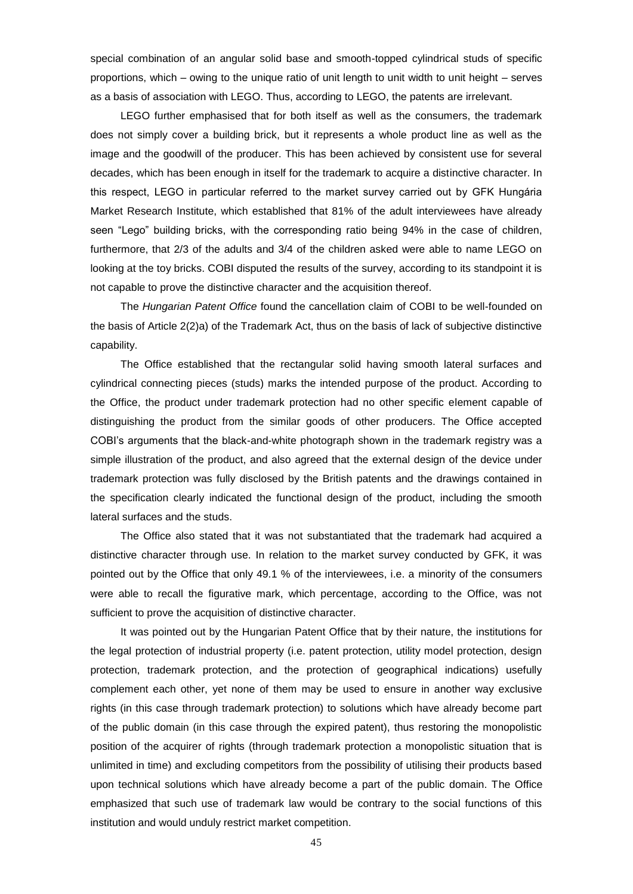special combination of an angular solid base and smooth-topped cylindrical studs of specific proportions, which – owing to the unique ratio of unit length to unit width to unit height – serves as a basis of association with LEGO. Thus, according to LEGO, the patents are irrelevant.

LEGO further emphasised that for both itself as well as the consumers, the trademark does not simply cover a building brick, but it represents a whole product line as well as the image and the goodwill of the producer. This has been achieved by consistent use for several decades, which has been enough in itself for the trademark to acquire a distinctive character. In this respect, LEGO in particular referred to the market survey carried out by GFK Hungária Market Research Institute, which established that 81% of the adult interviewees have already seen "Lego" building bricks, with the corresponding ratio being 94% in the case of children, furthermore, that 2/3 of the adults and 3/4 of the children asked were able to name LEGO on looking at the toy bricks. COBI disputed the results of the survey, according to its standpoint it is not capable to prove the distinctive character and the acquisition thereof.

The *Hungarian Patent Office* found the cancellation claim of COBI to be well-founded on the basis of Article 2(2)a) of the Trademark Act, thus on the basis of lack of subjective distinctive capability.

The Office established that the rectangular solid having smooth lateral surfaces and cylindrical connecting pieces (studs) marks the intended purpose of the product. According to the Office, the product under trademark protection had no other specific element capable of distinguishing the product from the similar goods of other producers. The Office accepted COBI"s arguments that the black-and-white photograph shown in the trademark registry was a simple illustration of the product, and also agreed that the external design of the device under trademark protection was fully disclosed by the British patents and the drawings contained in the specification clearly indicated the functional design of the product, including the smooth lateral surfaces and the studs.

The Office also stated that it was not substantiated that the trademark had acquired a distinctive character through use. In relation to the market survey conducted by GFK, it was pointed out by the Office that only 49.1 % of the interviewees, i.e. a minority of the consumers were able to recall the figurative mark, which percentage, according to the Office, was not sufficient to prove the acquisition of distinctive character.

It was pointed out by the Hungarian Patent Office that by their nature, the institutions for the legal protection of industrial property (i.e. patent protection, utility model protection, design protection, trademark protection, and the protection of geographical indications) usefully complement each other, yet none of them may be used to ensure in another way exclusive rights (in this case through trademark protection) to solutions which have already become part of the public domain (in this case through the expired patent), thus restoring the monopolistic position of the acquirer of rights (through trademark protection a monopolistic situation that is unlimited in time) and excluding competitors from the possibility of utilising their products based upon technical solutions which have already become a part of the public domain. The Office emphasized that such use of trademark law would be contrary to the social functions of this institution and would unduly restrict market competition.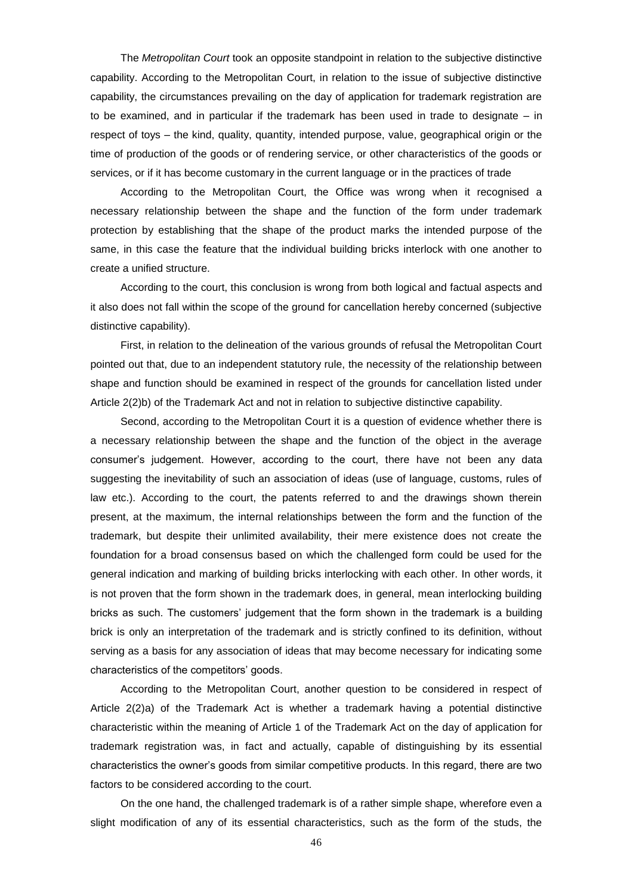The *Metropolitan Court* took an opposite standpoint in relation to the subjective distinctive capability. According to the Metropolitan Court, in relation to the issue of subjective distinctive capability, the circumstances prevailing on the day of application for trademark registration are to be examined, and in particular if the trademark has been used in trade to designate – in respect of toys – the kind, quality, quantity, intended purpose, value, geographical origin or the time of production of the goods or of rendering service, or other characteristics of the goods or services, or if it has become customary in the current language or in the practices of trade

According to the Metropolitan Court, the Office was wrong when it recognised a necessary relationship between the shape and the function of the form under trademark protection by establishing that the shape of the product marks the intended purpose of the same, in this case the feature that the individual building bricks interlock with one another to create a unified structure.

According to the court, this conclusion is wrong from both logical and factual aspects and it also does not fall within the scope of the ground for cancellation hereby concerned (subjective distinctive capability).

First, in relation to the delineation of the various grounds of refusal the Metropolitan Court pointed out that, due to an independent statutory rule, the necessity of the relationship between shape and function should be examined in respect of the grounds for cancellation listed under Article 2(2)b) of the Trademark Act and not in relation to subjective distinctive capability.

Second, according to the Metropolitan Court it is a question of evidence whether there is a necessary relationship between the shape and the function of the object in the average consumer"s judgement. However, according to the court, there have not been any data suggesting the inevitability of such an association of ideas (use of language, customs, rules of law etc.). According to the court, the patents referred to and the drawings shown therein present, at the maximum, the internal relationships between the form and the function of the trademark, but despite their unlimited availability, their mere existence does not create the foundation for a broad consensus based on which the challenged form could be used for the general indication and marking of building bricks interlocking with each other. In other words, it is not proven that the form shown in the trademark does, in general, mean interlocking building bricks as such. The customers" judgement that the form shown in the trademark is a building brick is only an interpretation of the trademark and is strictly confined to its definition, without serving as a basis for any association of ideas that may become necessary for indicating some characteristics of the competitors" goods.

According to the Metropolitan Court, another question to be considered in respect of Article 2(2)a) of the Trademark Act is whether a trademark having a potential distinctive characteristic within the meaning of Article 1 of the Trademark Act on the day of application for trademark registration was, in fact and actually, capable of distinguishing by its essential characteristics the owner"s goods from similar competitive products. In this regard, there are two factors to be considered according to the court.

On the one hand, the challenged trademark is of a rather simple shape, wherefore even a slight modification of any of its essential characteristics, such as the form of the studs, the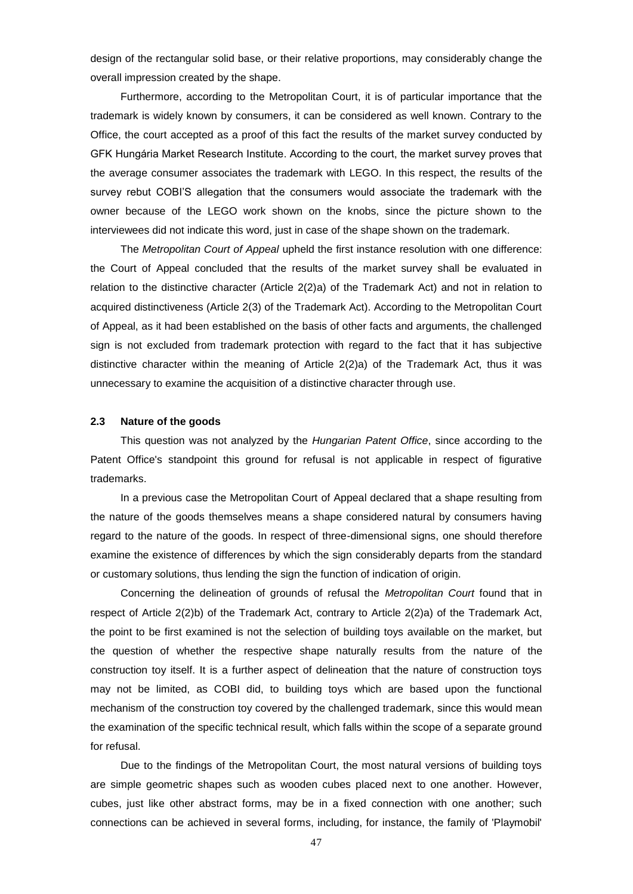design of the rectangular solid base, or their relative proportions, may considerably change the overall impression created by the shape.

Furthermore, according to the Metropolitan Court, it is of particular importance that the trademark is widely known by consumers, it can be considered as well known. Contrary to the Office, the court accepted as a proof of this fact the results of the market survey conducted by GFK Hungária Market Research Institute. According to the court, the market survey proves that the average consumer associates the trademark with LEGO. In this respect, the results of the survey rebut COBI"S allegation that the consumers would associate the trademark with the owner because of the LEGO work shown on the knobs, since the picture shown to the interviewees did not indicate this word, just in case of the shape shown on the trademark.

The *Metropolitan Court of Appeal* upheld the first instance resolution with one difference: the Court of Appeal concluded that the results of the market survey shall be evaluated in relation to the distinctive character (Article 2(2)a) of the Trademark Act) and not in relation to acquired distinctiveness (Article 2(3) of the Trademark Act). According to the Metropolitan Court of Appeal, as it had been established on the basis of other facts and arguments, the challenged sign is not excluded from trademark protection with regard to the fact that it has subjective distinctive character within the meaning of Article 2(2)a) of the Trademark Act, thus it was unnecessary to examine the acquisition of a distinctive character through use.

### **2.3 Nature of the goods**

This question was not analyzed by the *Hungarian Patent Office*, since according to the Patent Office's standpoint this ground for refusal is not applicable in respect of figurative trademarks.

In a previous case the Metropolitan Court of Appeal declared that a shape resulting from the nature of the goods themselves means a shape considered natural by consumers having regard to the nature of the goods. In respect of three-dimensional signs, one should therefore examine the existence of differences by which the sign considerably departs from the standard or customary solutions, thus lending the sign the function of indication of origin.

Concerning the delineation of grounds of refusal the *Metropolitan Court* found that in respect of Article 2(2)b) of the Trademark Act, contrary to Article 2(2)a) of the Trademark Act, the point to be first examined is not the selection of building toys available on the market, but the question of whether the respective shape naturally results from the nature of the construction toy itself. It is a further aspect of delineation that the nature of construction toys may not be limited, as COBI did, to building toys which are based upon the functional mechanism of the construction toy covered by the challenged trademark, since this would mean the examination of the specific technical result, which falls within the scope of a separate ground for refusal.

Due to the findings of the Metropolitan Court, the most natural versions of building toys are simple geometric shapes such as wooden cubes placed next to one another. However, cubes, just like other abstract forms, may be in a fixed connection with one another; such connections can be achieved in several forms, including, for instance, the family of 'Playmobil'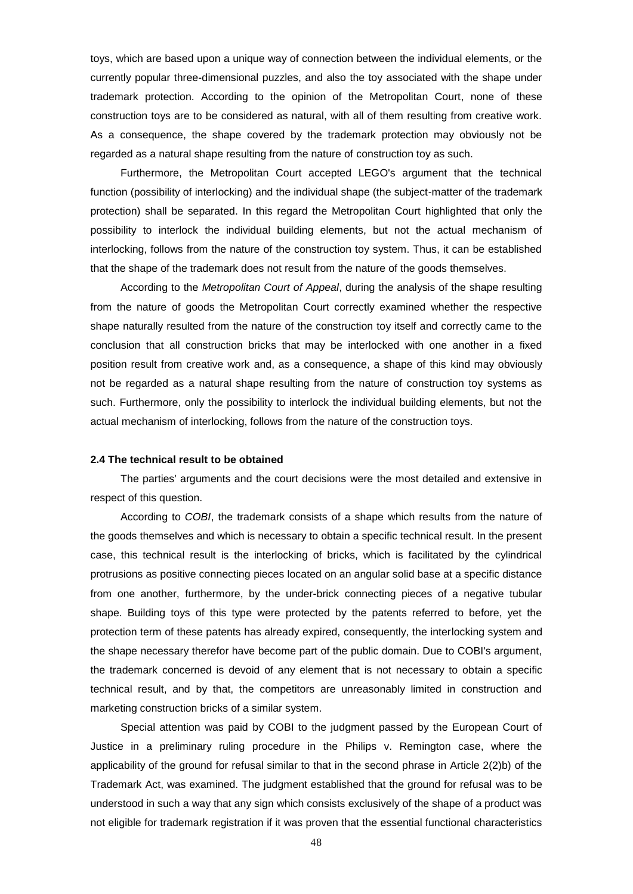toys, which are based upon a unique way of connection between the individual elements, or the currently popular three-dimensional puzzles, and also the toy associated with the shape under trademark protection. According to the opinion of the Metropolitan Court, none of these construction toys are to be considered as natural, with all of them resulting from creative work. As a consequence, the shape covered by the trademark protection may obviously not be regarded as a natural shape resulting from the nature of construction toy as such.

Furthermore, the Metropolitan Court accepted LEGO's argument that the technical function (possibility of interlocking) and the individual shape (the subject-matter of the trademark protection) shall be separated. In this regard the Metropolitan Court highlighted that only the possibility to interlock the individual building elements, but not the actual mechanism of interlocking, follows from the nature of the construction toy system. Thus, it can be established that the shape of the trademark does not result from the nature of the goods themselves.

According to the *Metropolitan Court of Appeal*, during the analysis of the shape resulting from the nature of goods the Metropolitan Court correctly examined whether the respective shape naturally resulted from the nature of the construction toy itself and correctly came to the conclusion that all construction bricks that may be interlocked with one another in a fixed position result from creative work and, as a consequence, a shape of this kind may obviously not be regarded as a natural shape resulting from the nature of construction toy systems as such. Furthermore, only the possibility to interlock the individual building elements, but not the actual mechanism of interlocking, follows from the nature of the construction toys.

# **2.4 The technical result to be obtained**

The parties' arguments and the court decisions were the most detailed and extensive in respect of this question.

According to *COBI*, the trademark consists of a shape which results from the nature of the goods themselves and which is necessary to obtain a specific technical result. In the present case, this technical result is the interlocking of bricks, which is facilitated by the cylindrical protrusions as positive connecting pieces located on an angular solid base at a specific distance from one another, furthermore, by the under-brick connecting pieces of a negative tubular shape. Building toys of this type were protected by the patents referred to before, yet the protection term of these patents has already expired, consequently, the interlocking system and the shape necessary therefor have become part of the public domain. Due to COBI's argument, the trademark concerned is devoid of any element that is not necessary to obtain a specific technical result, and by that, the competitors are unreasonably limited in construction and marketing construction bricks of a similar system.

Special attention was paid by COBI to the judgment passed by the European Court of Justice in a preliminary ruling procedure in the Philips v. Remington case, where the applicability of the ground for refusal similar to that in the second phrase in Article 2(2)b) of the Trademark Act, was examined. The judgment established that the ground for refusal was to be understood in such a way that any sign which consists exclusively of the shape of a product was not eligible for trademark registration if it was proven that the essential functional characteristics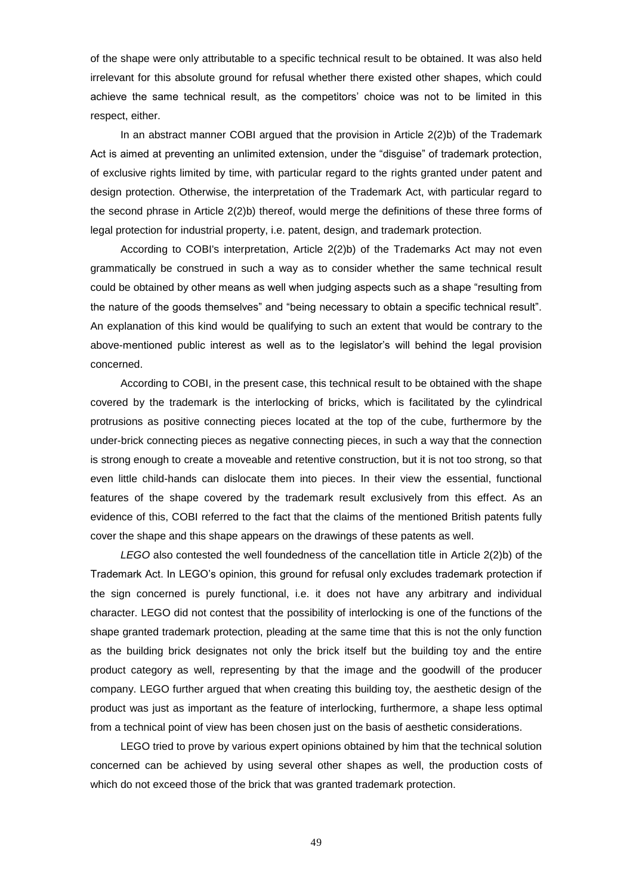of the shape were only attributable to a specific technical result to be obtained. It was also held irrelevant for this absolute ground for refusal whether there existed other shapes, which could achieve the same technical result, as the competitors' choice was not to be limited in this respect, either.

In an abstract manner COBI argued that the provision in Article 2(2)b) of the Trademark Act is aimed at preventing an unlimited extension, under the "disguise" of trademark protection, of exclusive rights limited by time, with particular regard to the rights granted under patent and design protection. Otherwise, the interpretation of the Trademark Act, with particular regard to the second phrase in Article 2(2)b) thereof, would merge the definitions of these three forms of legal protection for industrial property, i.e. patent, design, and trademark protection.

According to COBI's interpretation, Article 2(2)b) of the Trademarks Act may not even grammatically be construed in such a way as to consider whether the same technical result could be obtained by other means as well when judging aspects such as a shape "resulting from the nature of the goods themselves" and "being necessary to obtain a specific technical result". An explanation of this kind would be qualifying to such an extent that would be contrary to the above-mentioned public interest as well as to the legislator's will behind the legal provision concerned.

According to COBI, in the present case, this technical result to be obtained with the shape covered by the trademark is the interlocking of bricks, which is facilitated by the cylindrical protrusions as positive connecting pieces located at the top of the cube, furthermore by the under-brick connecting pieces as negative connecting pieces, in such a way that the connection is strong enough to create a moveable and retentive construction, but it is not too strong, so that even little child-hands can dislocate them into pieces. In their view the essential, functional features of the shape covered by the trademark result exclusively from this effect. As an evidence of this, COBI referred to the fact that the claims of the mentioned British patents fully cover the shape and this shape appears on the drawings of these patents as well.

*LEGO* also contested the well foundedness of the cancellation title in Article 2(2)b) of the Trademark Act. In LEGO"s opinion, this ground for refusal only excludes trademark protection if the sign concerned is purely functional, i.e. it does not have any arbitrary and individual character. LEGO did not contest that the possibility of interlocking is one of the functions of the shape granted trademark protection, pleading at the same time that this is not the only function as the building brick designates not only the brick itself but the building toy and the entire product category as well, representing by that the image and the goodwill of the producer company. LEGO further argued that when creating this building toy, the aesthetic design of the product was just as important as the feature of interlocking, furthermore, a shape less optimal from a technical point of view has been chosen just on the basis of aesthetic considerations.

LEGO tried to prove by various expert opinions obtained by him that the technical solution concerned can be achieved by using several other shapes as well, the production costs of which do not exceed those of the brick that was granted trademark protection.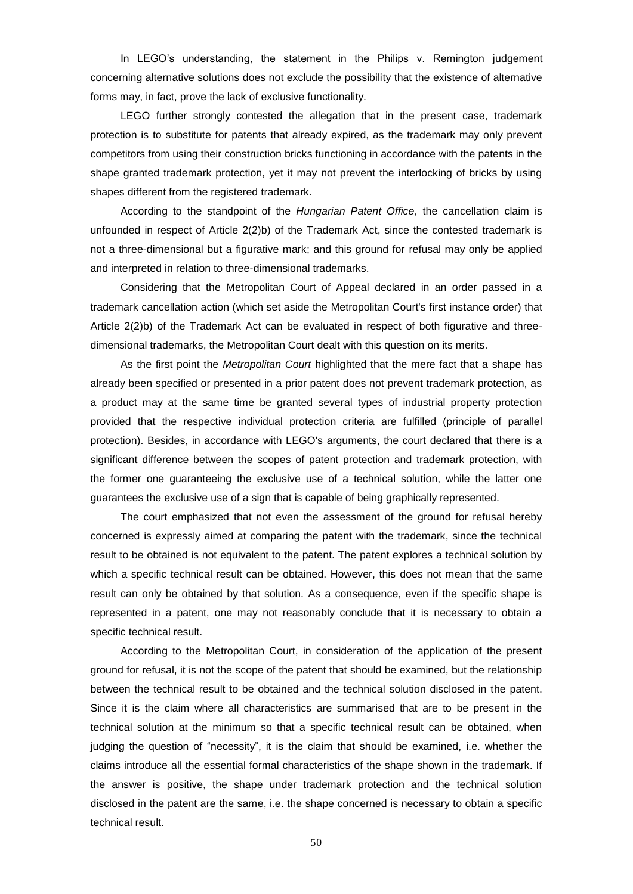In LEGO's understanding, the statement in the Philips v. Remington judgement concerning alternative solutions does not exclude the possibility that the existence of alternative forms may, in fact, prove the lack of exclusive functionality.

LEGO further strongly contested the allegation that in the present case, trademark protection is to substitute for patents that already expired, as the trademark may only prevent competitors from using their construction bricks functioning in accordance with the patents in the shape granted trademark protection, yet it may not prevent the interlocking of bricks by using shapes different from the registered trademark.

According to the standpoint of the *Hungarian Patent Office*, the cancellation claim is unfounded in respect of Article 2(2)b) of the Trademark Act, since the contested trademark is not a three-dimensional but a figurative mark; and this ground for refusal may only be applied and interpreted in relation to three-dimensional trademarks.

Considering that the Metropolitan Court of Appeal declared in an order passed in a trademark cancellation action (which set aside the Metropolitan Court's first instance order) that Article 2(2)b) of the Trademark Act can be evaluated in respect of both figurative and threedimensional trademarks, the Metropolitan Court dealt with this question on its merits.

As the first point the *Metropolitan Court* highlighted that the mere fact that a shape has already been specified or presented in a prior patent does not prevent trademark protection, as a product may at the same time be granted several types of industrial property protection provided that the respective individual protection criteria are fulfilled (principle of parallel protection). Besides, in accordance with LEGO's arguments, the court declared that there is a significant difference between the scopes of patent protection and trademark protection, with the former one guaranteeing the exclusive use of a technical solution, while the latter one guarantees the exclusive use of a sign that is capable of being graphically represented.

The court emphasized that not even the assessment of the ground for refusal hereby concerned is expressly aimed at comparing the patent with the trademark, since the technical result to be obtained is not equivalent to the patent. The patent explores a technical solution by which a specific technical result can be obtained. However, this does not mean that the same result can only be obtained by that solution. As a consequence, even if the specific shape is represented in a patent, one may not reasonably conclude that it is necessary to obtain a specific technical result.

According to the Metropolitan Court, in consideration of the application of the present ground for refusal, it is not the scope of the patent that should be examined, but the relationship between the technical result to be obtained and the technical solution disclosed in the patent. Since it is the claim where all characteristics are summarised that are to be present in the technical solution at the minimum so that a specific technical result can be obtained, when judging the question of "necessity", it is the claim that should be examined, i.e. whether the claims introduce all the essential formal characteristics of the shape shown in the trademark. If the answer is positive, the shape under trademark protection and the technical solution disclosed in the patent are the same, i.e. the shape concerned is necessary to obtain a specific technical result.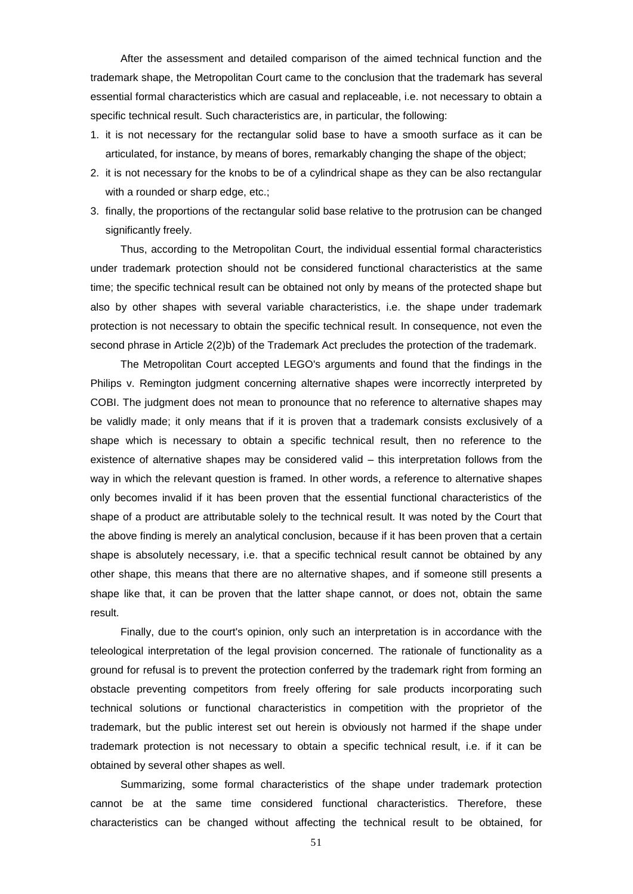After the assessment and detailed comparison of the aimed technical function and the trademark shape, the Metropolitan Court came to the conclusion that the trademark has several essential formal characteristics which are casual and replaceable, i.e. not necessary to obtain a specific technical result. Such characteristics are, in particular, the following:

- 1. it is not necessary for the rectangular solid base to have a smooth surface as it can be articulated, for instance, by means of bores, remarkably changing the shape of the object;
- 2. it is not necessary for the knobs to be of a cylindrical shape as they can be also rectangular with a rounded or sharp edge, etc.;
- 3. finally, the proportions of the rectangular solid base relative to the protrusion can be changed significantly freely.

Thus, according to the Metropolitan Court, the individual essential formal characteristics under trademark protection should not be considered functional characteristics at the same time; the specific technical result can be obtained not only by means of the protected shape but also by other shapes with several variable characteristics, i.e. the shape under trademark protection is not necessary to obtain the specific technical result. In consequence, not even the second phrase in Article 2(2)b) of the Trademark Act precludes the protection of the trademark.

The Metropolitan Court accepted LEGO's arguments and found that the findings in the Philips v. Remington judgment concerning alternative shapes were incorrectly interpreted by COBI. The judgment does not mean to pronounce that no reference to alternative shapes may be validly made; it only means that if it is proven that a trademark consists exclusively of a shape which is necessary to obtain a specific technical result, then no reference to the existence of alternative shapes may be considered valid – this interpretation follows from the way in which the relevant question is framed. In other words, a reference to alternative shapes only becomes invalid if it has been proven that the essential functional characteristics of the shape of a product are attributable solely to the technical result. It was noted by the Court that the above finding is merely an analytical conclusion, because if it has been proven that a certain shape is absolutely necessary, i.e. that a specific technical result cannot be obtained by any other shape, this means that there are no alternative shapes, and if someone still presents a shape like that, it can be proven that the latter shape cannot, or does not, obtain the same result.

Finally, due to the court's opinion, only such an interpretation is in accordance with the teleological interpretation of the legal provision concerned. The rationale of functionality as a ground for refusal is to prevent the protection conferred by the trademark right from forming an obstacle preventing competitors from freely offering for sale products incorporating such technical solutions or functional characteristics in competition with the proprietor of the trademark, but the public interest set out herein is obviously not harmed if the shape under trademark protection is not necessary to obtain a specific technical result, i.e. if it can be obtained by several other shapes as well.

Summarizing, some formal characteristics of the shape under trademark protection cannot be at the same time considered functional characteristics. Therefore, these characteristics can be changed without affecting the technical result to be obtained, for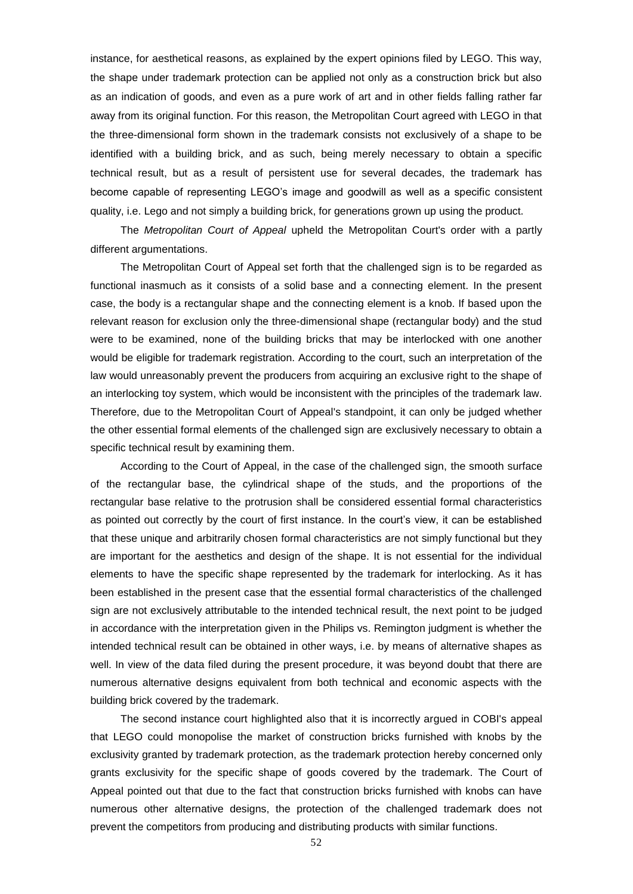instance, for aesthetical reasons, as explained by the expert opinions filed by LEGO. This way, the shape under trademark protection can be applied not only as a construction brick but also as an indication of goods, and even as a pure work of art and in other fields falling rather far away from its original function. For this reason, the Metropolitan Court agreed with LEGO in that the three-dimensional form shown in the trademark consists not exclusively of a shape to be identified with a building brick, and as such, being merely necessary to obtain a specific technical result, but as a result of persistent use for several decades, the trademark has become capable of representing LEGO"s image and goodwill as well as a specific consistent quality, i.e. Lego and not simply a building brick, for generations grown up using the product.

The *Metropolitan Court of Appeal* upheld the Metropolitan Court's order with a partly different argumentations.

The Metropolitan Court of Appeal set forth that the challenged sign is to be regarded as functional inasmuch as it consists of a solid base and a connecting element. In the present case, the body is a rectangular shape and the connecting element is a knob. If based upon the relevant reason for exclusion only the three-dimensional shape (rectangular body) and the stud were to be examined, none of the building bricks that may be interlocked with one another would be eligible for trademark registration. According to the court, such an interpretation of the law would unreasonably prevent the producers from acquiring an exclusive right to the shape of an interlocking toy system, which would be inconsistent with the principles of the trademark law. Therefore, due to the Metropolitan Court of Appeal's standpoint, it can only be judged whether the other essential formal elements of the challenged sign are exclusively necessary to obtain a specific technical result by examining them.

According to the Court of Appeal, in the case of the challenged sign, the smooth surface of the rectangular base, the cylindrical shape of the studs, and the proportions of the rectangular base relative to the protrusion shall be considered essential formal characteristics as pointed out correctly by the court of first instance. In the court's view, it can be established that these unique and arbitrarily chosen formal characteristics are not simply functional but they are important for the aesthetics and design of the shape. It is not essential for the individual elements to have the specific shape represented by the trademark for interlocking. As it has been established in the present case that the essential formal characteristics of the challenged sign are not exclusively attributable to the intended technical result, the next point to be judged in accordance with the interpretation given in the Philips vs. Remington judgment is whether the intended technical result can be obtained in other ways, i.e. by means of alternative shapes as well. In view of the data filed during the present procedure, it was beyond doubt that there are numerous alternative designs equivalent from both technical and economic aspects with the building brick covered by the trademark.

The second instance court highlighted also that it is incorrectly argued in COBI's appeal that LEGO could monopolise the market of construction bricks furnished with knobs by the exclusivity granted by trademark protection, as the trademark protection hereby concerned only grants exclusivity for the specific shape of goods covered by the trademark. The Court of Appeal pointed out that due to the fact that construction bricks furnished with knobs can have numerous other alternative designs, the protection of the challenged trademark does not prevent the competitors from producing and distributing products with similar functions.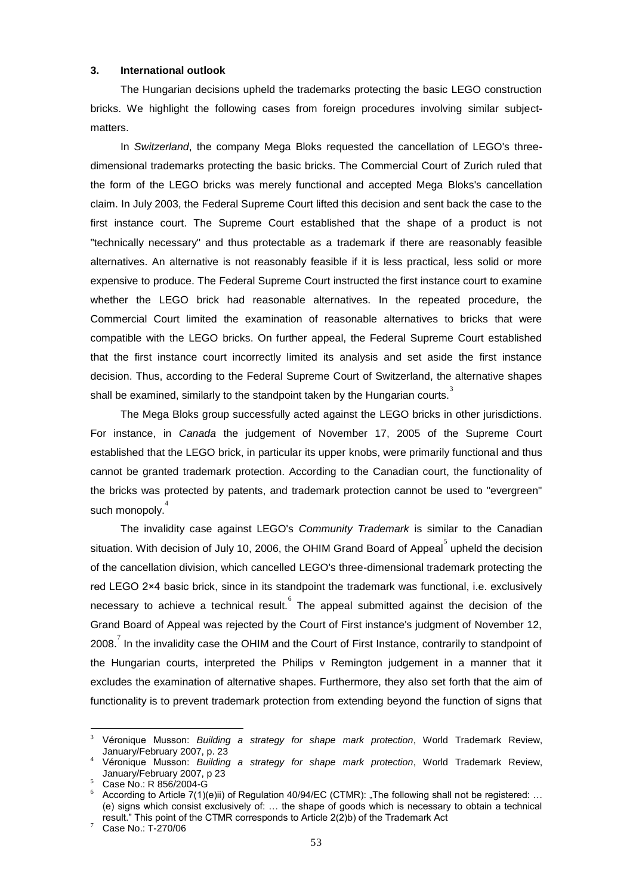# **3. International outlook**

The Hungarian decisions upheld the trademarks protecting the basic LEGO construction bricks. We highlight the following cases from foreign procedures involving similar subjectmatters.

In *Switzerland*, the company Mega Bloks requested the cancellation of LEGO's threedimensional trademarks protecting the basic bricks. The Commercial Court of Zurich ruled that the form of the LEGO bricks was merely functional and accepted Mega Bloks's cancellation claim. In July 2003, the Federal Supreme Court lifted this decision and sent back the case to the first instance court. The Supreme Court established that the shape of a product is not "technically necessary" and thus protectable as a trademark if there are reasonably feasible alternatives. An alternative is not reasonably feasible if it is less practical, less solid or more expensive to produce. The Federal Supreme Court instructed the first instance court to examine whether the LEGO brick had reasonable alternatives. In the repeated procedure, the Commercial Court limited the examination of reasonable alternatives to bricks that were compatible with the LEGO bricks. On further appeal, the Federal Supreme Court established that the first instance court incorrectly limited its analysis and set aside the first instance decision. Thus, according to the Federal Supreme Court of Switzerland, the alternative shapes shall be examined, similarly to the standpoint taken by the Hungarian courts.<sup>3</sup>

The Mega Bloks group successfully acted against the LEGO bricks in other jurisdictions. For instance, in *Canada* the judgement of November 17, 2005 of the Supreme Court established that the LEGO brick, in particular its upper knobs, were primarily functional and thus cannot be granted trademark protection. According to the Canadian court, the functionality of the bricks was protected by patents, and trademark protection cannot be used to "evergreen" such monopoly.<sup>4</sup>

The invalidity case against LEGO's *Community Trademark* is similar to the Canadian situation. With decision of July 10, 2006, the OHIM Grand Board of Appeal<sup>5</sup> upheld the decision of the cancellation division, which cancelled LEGO's three-dimensional trademark protecting the red LEGO 2×4 basic brick, since in its standpoint the trademark was functional, i.e. exclusively necessary to achieve a technical result. The appeal submitted against the decision of the Grand Board of Appeal was rejected by the Court of First instance's judgment of November 12, 2008.<sup>7</sup> In the invalidity case the OHIM and the Court of First Instance, contrarily to standpoint of the Hungarian courts, interpreted the Philips v Remington judgement in a manner that it excludes the examination of alternative shapes. Furthermore, they also set forth that the aim of functionality is to prevent trademark protection from extending beyond the function of signs that

<u>.</u>

<sup>3</sup> Véronique Musson: *Building a strategy for shape mark protection*, World Trademark Review, January/February 2007, p. 23

<sup>4</sup> Véronique Musson: *Building a strategy for shape mark protection*, World Trademark Review, January/February 2007, p 23

<sup>5</sup> Case No.: R 856/2004-G

 $6$  According to Article 7(1)(e)ii) of Regulation 40/94/EC (CTMR): "The following shall not be registered: ... (e) signs which consist exclusively of: … the shape of goods which is necessary to obtain a technical result." This point of the CTMR corresponds to Article 2(2)b) of the Trademark Act

Case No.: T-270/06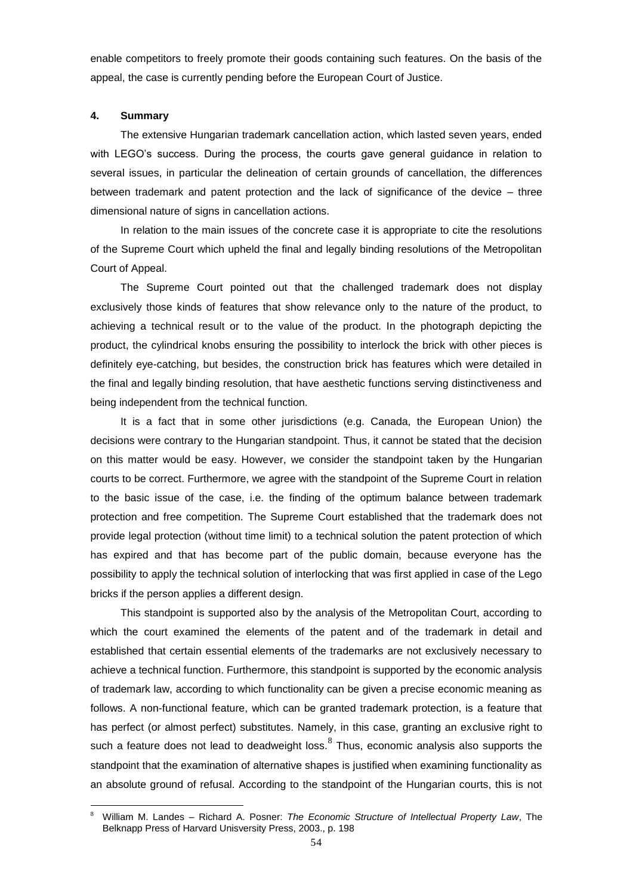enable competitors to freely promote their goods containing such features. On the basis of the appeal, the case is currently pending before the European Court of Justice.

#### **4. Summary**

1

The extensive Hungarian trademark cancellation action, which lasted seven years, ended with LEGO"s success. During the process, the courts gave general guidance in relation to several issues, in particular the delineation of certain grounds of cancellation, the differences between trademark and patent protection and the lack of significance of the device – three dimensional nature of signs in cancellation actions.

In relation to the main issues of the concrete case it is appropriate to cite the resolutions of the Supreme Court which upheld the final and legally binding resolutions of the Metropolitan Court of Appeal.

The Supreme Court pointed out that the challenged trademark does not display exclusively those kinds of features that show relevance only to the nature of the product, to achieving a technical result or to the value of the product. In the photograph depicting the product, the cylindrical knobs ensuring the possibility to interlock the brick with other pieces is definitely eye-catching, but besides, the construction brick has features which were detailed in the final and legally binding resolution, that have aesthetic functions serving distinctiveness and being independent from the technical function.

It is a fact that in some other jurisdictions (e.g. Canada, the European Union) the decisions were contrary to the Hungarian standpoint. Thus, it cannot be stated that the decision on this matter would be easy. However, we consider the standpoint taken by the Hungarian courts to be correct. Furthermore, we agree with the standpoint of the Supreme Court in relation to the basic issue of the case, i.e. the finding of the optimum balance between trademark protection and free competition. The Supreme Court established that the trademark does not provide legal protection (without time limit) to a technical solution the patent protection of which has expired and that has become part of the public domain, because everyone has the possibility to apply the technical solution of interlocking that was first applied in case of the Lego bricks if the person applies a different design.

This standpoint is supported also by the analysis of the Metropolitan Court, according to which the court examined the elements of the patent and of the trademark in detail and established that certain essential elements of the trademarks are not exclusively necessary to achieve a technical function. Furthermore, this standpoint is supported by the economic analysis of trademark law, according to which functionality can be given a precise economic meaning as follows. A non-functional feature, which can be granted trademark protection, is a feature that has perfect (or almost perfect) substitutes. Namely, in this case, granting an exclusive right to such a feature does not lead to deadweight loss. ${}^{8}$  Thus, economic analysis also supports the standpoint that the examination of alternative shapes is justified when examining functionality as an absolute ground of refusal. According to the standpoint of the Hungarian courts, this is not

<sup>8</sup> William M. Landes – Richard A. Posner: *The Economic Structure of Intellectual Property Law*, The Belknapp Press of Harvard Unisversity Press, 2003., p. 198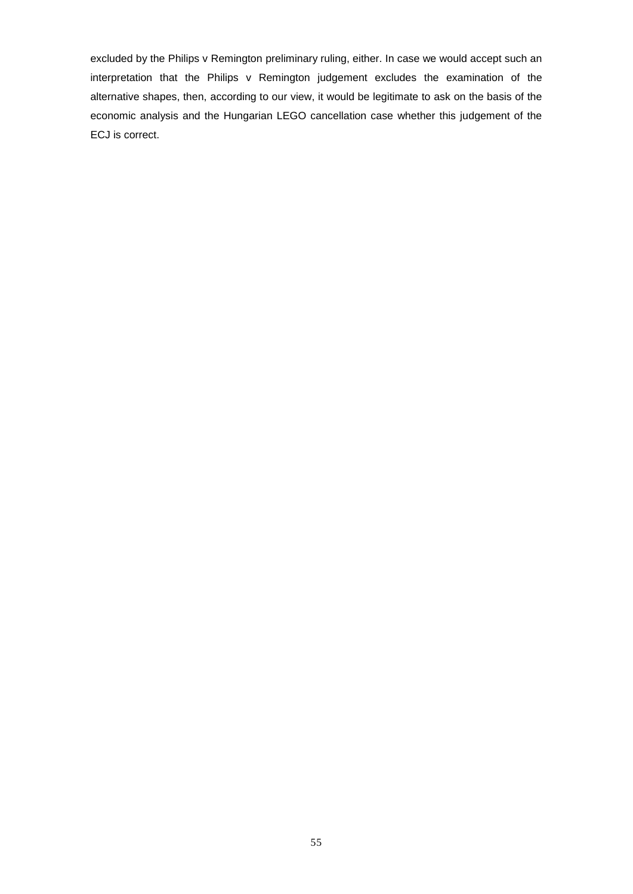excluded by the Philips v Remington preliminary ruling, either. In case we would accept such an interpretation that the Philips v Remington judgement excludes the examination of the alternative shapes, then, according to our view, it would be legitimate to ask on the basis of the economic analysis and the Hungarian LEGO cancellation case whether this judgement of the ECJ is correct.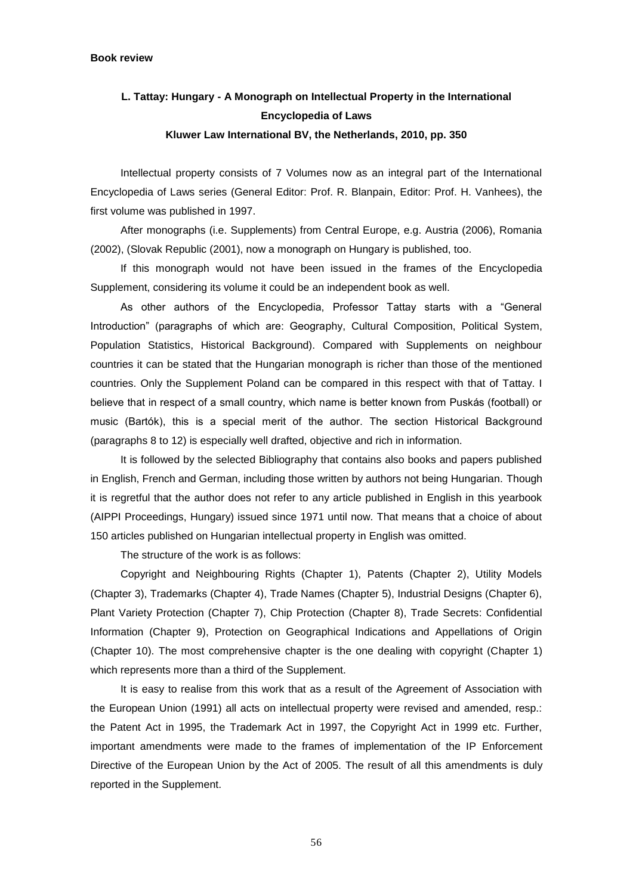# **L. Tattay: Hungary - A Monograph on Intellectual Property in the International Encyclopedia of Laws Kluwer Law International BV, the Netherlands, 2010, pp. 350**

Intellectual property consists of 7 Volumes now as an integral part of the International Encyclopedia of Laws series (General Editor: Prof. R. Blanpain, Editor: Prof. H. Vanhees), the first volume was published in 1997.

After monographs (i.e. Supplements) from Central Europe, e.g. Austria (2006), Romania (2002), (Slovak Republic (2001), now a monograph on Hungary is published, too.

If this monograph would not have been issued in the frames of the Encyclopedia Supplement, considering its volume it could be an independent book as well.

As other authors of the Encyclopedia, Professor Tattay starts with a "General Introduction" (paragraphs of which are: Geography, Cultural Composition, Political System, Population Statistics, Historical Background). Compared with Supplements on neighbour countries it can be stated that the Hungarian monograph is richer than those of the mentioned countries. Only the Supplement Poland can be compared in this respect with that of Tattay. I believe that in respect of a small country, which name is better known from Puskás (football) or music (Bartók), this is a special merit of the author. The section Historical Background (paragraphs 8 to 12) is especially well drafted, objective and rich in information.

It is followed by the selected Bibliography that contains also books and papers published in English, French and German, including those written by authors not being Hungarian. Though it is regretful that the author does not refer to any article published in English in this yearbook (AIPPI Proceedings, Hungary) issued since 1971 until now. That means that a choice of about 150 articles published on Hungarian intellectual property in English was omitted.

The structure of the work is as follows:

Copyright and Neighbouring Rights (Chapter 1), Patents (Chapter 2), Utility Models (Chapter 3), Trademarks (Chapter 4), Trade Names (Chapter 5), Industrial Designs (Chapter 6), Plant Variety Protection (Chapter 7), Chip Protection (Chapter 8), Trade Secrets: Confidential Information (Chapter 9), Protection on Geographical Indications and Appellations of Origin (Chapter 10). The most comprehensive chapter is the one dealing with copyright (Chapter 1) which represents more than a third of the Supplement.

It is easy to realise from this work that as a result of the Agreement of Association with the European Union (1991) all acts on intellectual property were revised and amended, resp.: the Patent Act in 1995, the Trademark Act in 1997, the Copyright Act in 1999 etc. Further, important amendments were made to the frames of implementation of the IP Enforcement Directive of the European Union by the Act of 2005. The result of all this amendments is duly reported in the Supplement.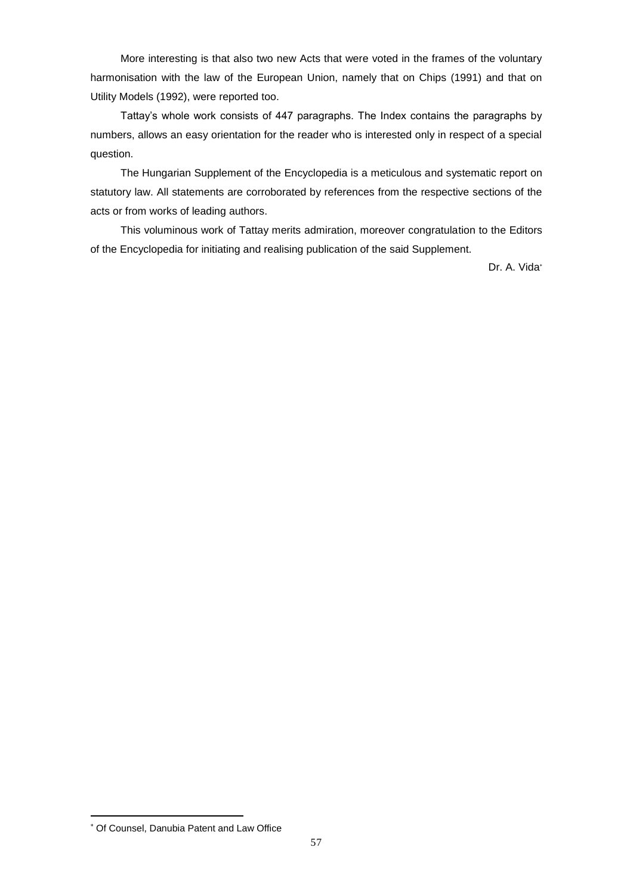More interesting is that also two new Acts that were voted in the frames of the voluntary harmonisation with the law of the European Union, namely that on Chips (1991) and that on Utility Models (1992), were reported too.

Tattay"s whole work consists of 447 paragraphs. The Index contains the paragraphs by numbers, allows an easy orientation for the reader who is interested only in respect of a special question.

The Hungarian Supplement of the Encyclopedia is a meticulous and systematic report on statutory law. All statements are corroborated by references from the respective sections of the acts or from works of leading authors.

This voluminous work of Tattay merits admiration, moreover congratulation to the Editors of the Encyclopedia for initiating and realising publication of the said Supplement.

Dr. A. Vida\*

Of Counsel, Danubia Patent and Law Office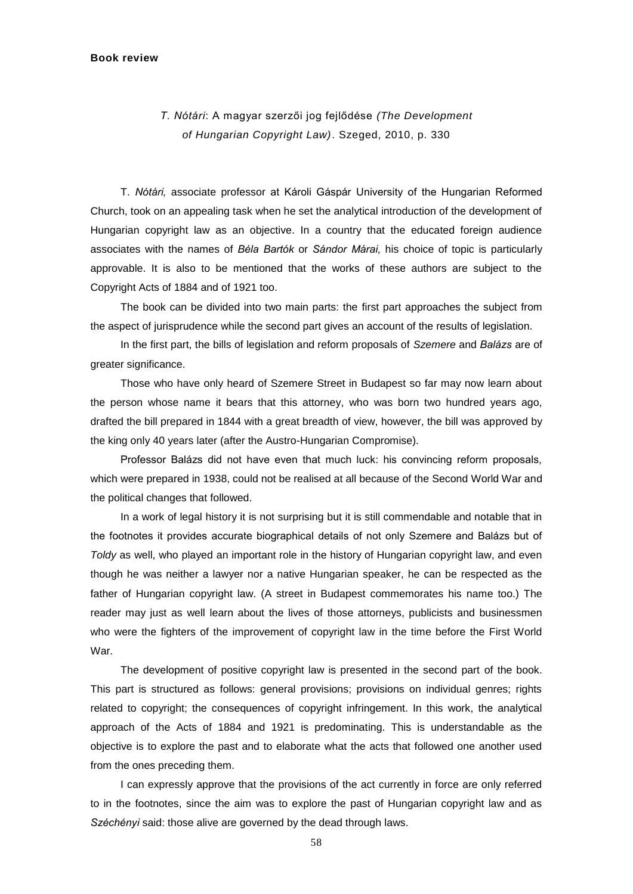#### **Book review**

# *T. Nótári*: A magyar szerzői jog fejlődése *(The Development of Hungarian Copyright Law)*. Szeged, 2010, p. 330

T. *Nótári,* associate professor at Károli Gáspár University of the Hungarian Reformed Church, took on an appealing task when he set the analytical introduction of the development of Hungarian copyright law as an objective. In a country that the educated foreign audience associates with the names of *Béla Bartók* or *Sándor Márai,* his choice of topic is particularly approvable. It is also to be mentioned that the works of these authors are subject to the Copyright Acts of 1884 and of 1921 too.

The book can be divided into two main parts: the first part approaches the subject from the aspect of jurisprudence while the second part gives an account of the results of legislation.

In the first part, the bills of legislation and reform proposals of *Szemere* and *Balázs* are of greater significance.

Those who have only heard of Szemere Street in Budapest so far may now learn about the person whose name it bears that this attorney, who was born two hundred years ago, drafted the bill prepared in 1844 with a great breadth of view, however, the bill was approved by the king only 40 years later (after the Austro-Hungarian Compromise).

Professor Balázs did not have even that much luck: his convincing reform proposals, which were prepared in 1938, could not be realised at all because of the Second World War and the political changes that followed.

In a work of legal history it is not surprising but it is still commendable and notable that in the footnotes it provides accurate biographical details of not only Szemere and Balázs but of *Toldy* as well, who played an important role in the history of Hungarian copyright law, and even though he was neither a lawyer nor a native Hungarian speaker, he can be respected as the father of Hungarian copyright law. (A street in Budapest commemorates his name too.) The reader may just as well learn about the lives of those attorneys, publicists and businessmen who were the fighters of the improvement of copyright law in the time before the First World War.

The development of positive copyright law is presented in the second part of the book. This part is structured as follows: general provisions; provisions on individual genres; rights related to copyright; the consequences of copyright infringement. In this work, the analytical approach of the Acts of 1884 and 1921 is predominating. This is understandable as the objective is to explore the past and to elaborate what the acts that followed one another used from the ones preceding them.

I can expressly approve that the provisions of the act currently in force are only referred to in the footnotes, since the aim was to explore the past of Hungarian copyright law and as *Széchényi* said: those alive are governed by the dead through laws.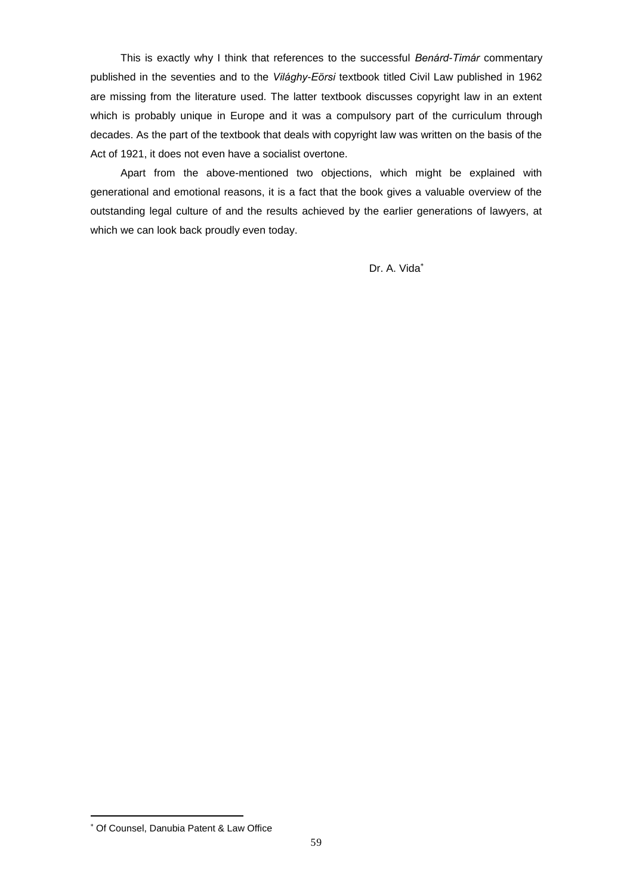This is exactly why I think that references to the successful *Benárd-Timár* commentary published in the seventies and to the *Világhy-Eörsi* textbook titled Civil Law published in 1962 are missing from the literature used. The latter textbook discusses copyright law in an extent which is probably unique in Europe and it was a compulsory part of the curriculum through decades. As the part of the textbook that deals with copyright law was written on the basis of the Act of 1921, it does not even have a socialist overtone.

Apart from the above-mentioned two objections, which might be explained with generational and emotional reasons, it is a fact that the book gives a valuable overview of the outstanding legal culture of and the results achieved by the earlier generations of lawyers, at which we can look back proudly even today.

Dr. A. Vida

Of Counsel, Danubia Patent & Law Office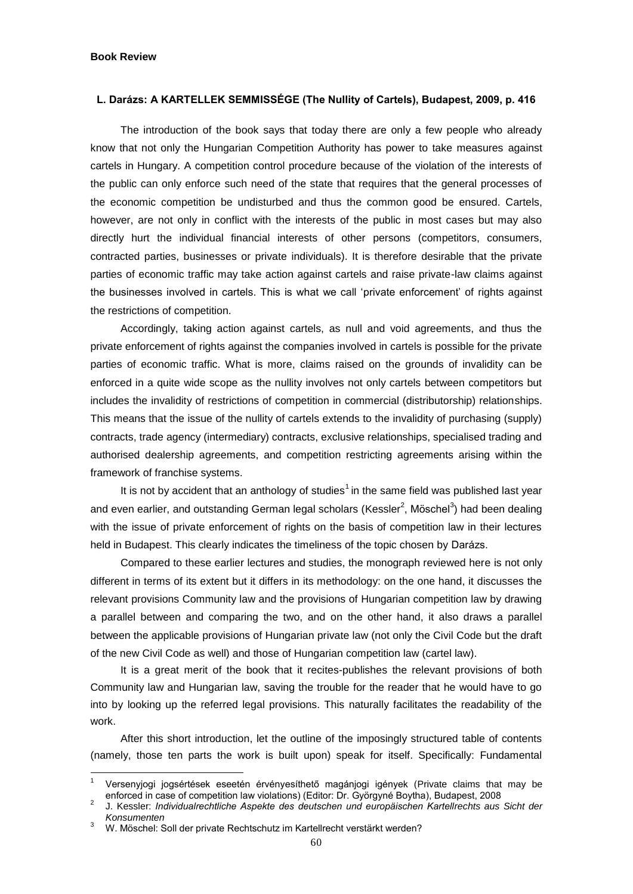#### **Book Review**

<u>.</u>

# **L. Darázs: A KARTELLEK SEMMISSÉGE (The Nullity of Cartels), Budapest, 2009, p. 416**

The introduction of the book says that today there are only a few people who already know that not only the Hungarian Competition Authority has power to take measures against cartels in Hungary. A competition control procedure because of the violation of the interests of the public can only enforce such need of the state that requires that the general processes of the economic competition be undisturbed and thus the common good be ensured. Cartels, however, are not only in conflict with the interests of the public in most cases but may also directly hurt the individual financial interests of other persons (competitors, consumers, contracted parties, businesses or private individuals). It is therefore desirable that the private parties of economic traffic may take action against cartels and raise private-law claims against the businesses involved in cartels. This is what we call "private enforcement" of rights against the restrictions of competition.

Accordingly, taking action against cartels, as null and void agreements, and thus the private enforcement of rights against the companies involved in cartels is possible for the private parties of economic traffic. What is more, claims raised on the grounds of invalidity can be enforced in a quite wide scope as the nullity involves not only cartels between competitors but includes the invalidity of restrictions of competition in commercial (distributorship) relationships. This means that the issue of the nullity of cartels extends to the invalidity of purchasing (supply) contracts, trade agency (intermediary) contracts, exclusive relationships, specialised trading and authorised dealership agreements, and competition restricting agreements arising within the framework of franchise systems.

It is not by accident that an anthology of studies<sup>1</sup> in the same field was published last year and even earlier, and outstanding German legal scholars (Kessler<sup>2</sup>, Möschel<sup>3</sup>) had been dealing with the issue of private enforcement of rights on the basis of competition law in their lectures held in Budapest. This clearly indicates the timeliness of the topic chosen by Darázs.

Compared to these earlier lectures and studies, the monograph reviewed here is not only different in terms of its extent but it differs in its methodology: on the one hand, it discusses the relevant provisions Community law and the provisions of Hungarian competition law by drawing a parallel between and comparing the two, and on the other hand, it also draws a parallel between the applicable provisions of Hungarian private law (not only the Civil Code but the draft of the new Civil Code as well) and those of Hungarian competition law (cartel law).

It is a great merit of the book that it recites-publishes the relevant provisions of both Community law and Hungarian law, saving the trouble for the reader that he would have to go into by looking up the referred legal provisions. This naturally facilitates the readability of the work.

After this short introduction, let the outline of the imposingly structured table of contents (namely, those ten parts the work is built upon) speak for itself. Specifically: Fundamental

<sup>1</sup> Versenyjogi jogsértések eseetén érvényesíthető magánjogi igények (Private claims that may be enforced in case of competition law violations) (Editor: Dr. Györgyné Boytha), Budapest, 2008

<sup>2</sup> J. Kessler: *Individualrechtliche Aspekte des deutschen und europäischen Kartellrechts aus Sicht der Konsumenten*

<sup>3</sup> W. Möschel: Soll der private Rechtschutz im Kartellrecht verstärkt werden?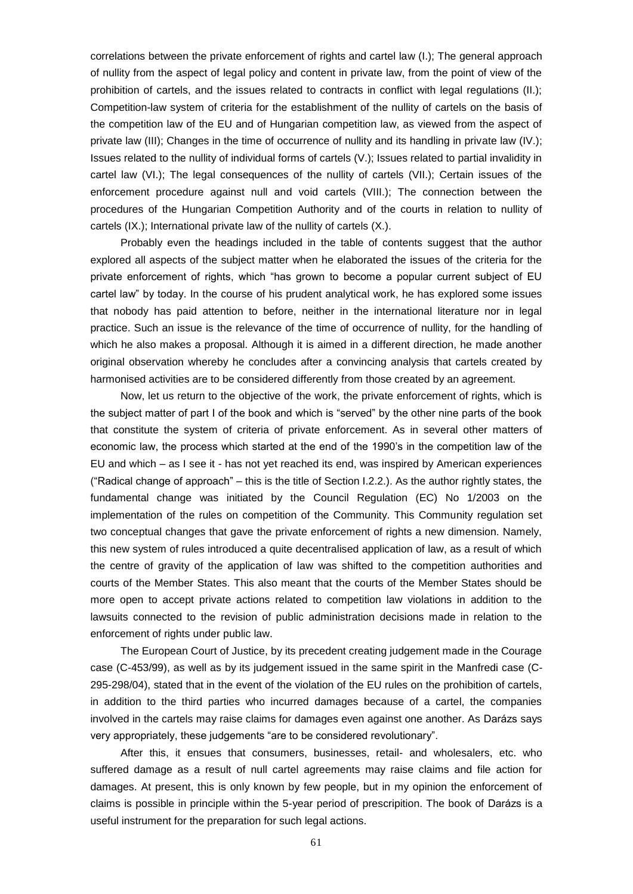correlations between the private enforcement of rights and cartel law (I.); The general approach of nullity from the aspect of legal policy and content in private law, from the point of view of the prohibition of cartels, and the issues related to contracts in conflict with legal regulations (II.); Competition-law system of criteria for the establishment of the nullity of cartels on the basis of the competition law of the EU and of Hungarian competition law, as viewed from the aspect of private law (III); Changes in the time of occurrence of nullity and its handling in private law (IV.); Issues related to the nullity of individual forms of cartels (V.); Issues related to partial invalidity in cartel law (VI.); The legal consequences of the nullity of cartels (VII.); Certain issues of the enforcement procedure against null and void cartels (VIII.); The connection between the procedures of the Hungarian Competition Authority and of the courts in relation to nullity of cartels (IX.); International private law of the nullity of cartels (X.).

Probably even the headings included in the table of contents suggest that the author explored all aspects of the subject matter when he elaborated the issues of the criteria for the private enforcement of rights, which "has grown to become a popular current subject of EU cartel law" by today. In the course of his prudent analytical work, he has explored some issues that nobody has paid attention to before, neither in the international literature nor in legal practice. Such an issue is the relevance of the time of occurrence of nullity, for the handling of which he also makes a proposal. Although it is aimed in a different direction, he made another original observation whereby he concludes after a convincing analysis that cartels created by harmonised activities are to be considered differently from those created by an agreement.

Now, let us return to the objective of the work, the private enforcement of rights, which is the subject matter of part I of the book and which is "served" by the other nine parts of the book that constitute the system of criteria of private enforcement. As in several other matters of economic law, the process which started at the end of the 1990"s in the competition law of the EU and which – as I see it - has not yet reached its end, was inspired by American experiences ("Radical change of approach" – this is the title of Section I.2.2.). As the author rightly states, the fundamental change was initiated by the Council Regulation (EC) No 1/2003 on the implementation of the rules on competition of the Community. This Community regulation set two conceptual changes that gave the private enforcement of rights a new dimension. Namely, this new system of rules introduced a quite decentralised application of law, as a result of which the centre of gravity of the application of law was shifted to the competition authorities and courts of the Member States. This also meant that the courts of the Member States should be more open to accept private actions related to competition law violations in addition to the lawsuits connected to the revision of public administration decisions made in relation to the enforcement of rights under public law.

The European Court of Justice, by its precedent creating judgement made in the Courage case (C-453/99), as well as by its judgement issued in the same spirit in the Manfredi case (C-295-298/04), stated that in the event of the violation of the EU rules on the prohibition of cartels, in addition to the third parties who incurred damages because of a cartel, the companies involved in the cartels may raise claims for damages even against one another. As Darázs says very appropriately, these judgements "are to be considered revolutionary".

After this, it ensues that consumers, businesses, retail- and wholesalers, etc. who suffered damage as a result of null cartel agreements may raise claims and file action for damages. At present, this is only known by few people, but in my opinion the enforcement of claims is possible in principle within the 5-year period of prescripition. The book of Darázs is a useful instrument for the preparation for such legal actions.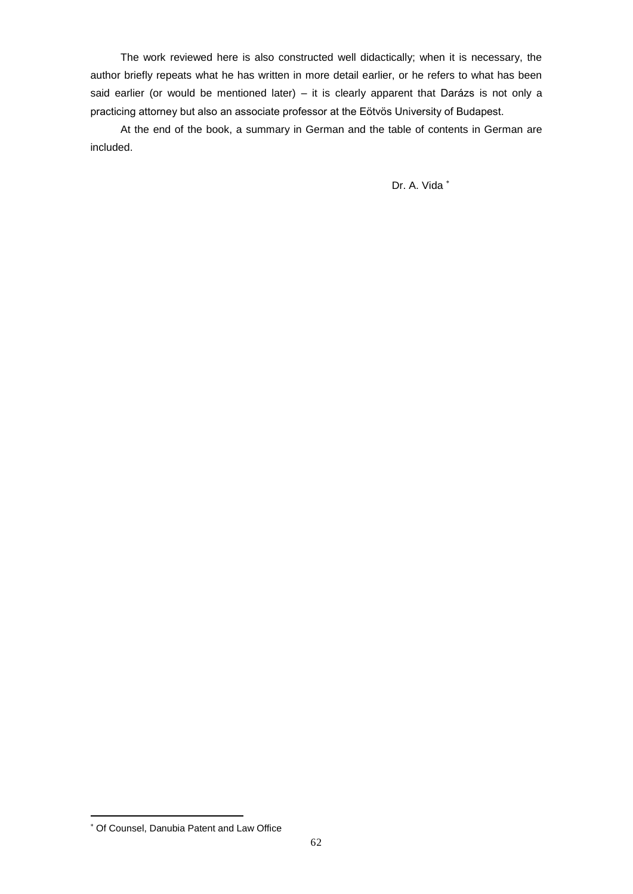The work reviewed here is also constructed well didactically; when it is necessary, the author briefly repeats what he has written in more detail earlier, or he refers to what has been said earlier (or would be mentioned later) – it is clearly apparent that Darázs is not only a practicing attorney but also an associate professor at the Eötvös University of Budapest.

At the end of the book, a summary in German and the table of contents in German are included.

Dr. A. Vida

Of Counsel, Danubia Patent and Law Office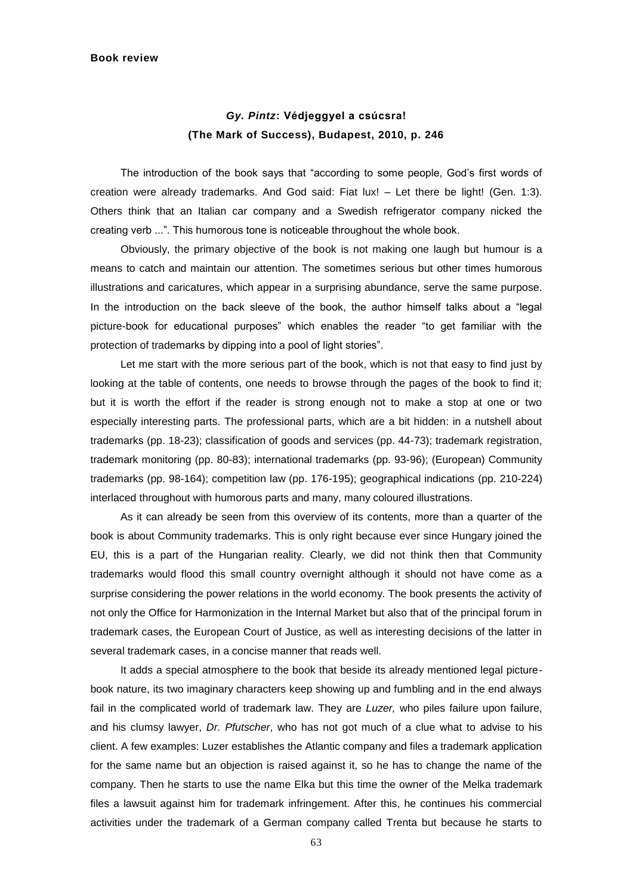# *Gy. Pintz***: Védjeggyel a csúcsra! (The Mark of Success), Budapest, 2010, p. 246**

The introduction of the book says that "according to some people, God"s first words of creation were already trademarks. And God said: Fiat lux! – Let there be light! (Gen. 1:3). Others think that an Italian car company and a Swedish refrigerator company nicked the creating verb ...". This humorous tone is noticeable throughout the whole book.

Obviously, the primary objective of the book is not making one laugh but humour is a means to catch and maintain our attention. The sometimes serious but other times humorous illustrations and caricatures, which appear in a surprising abundance, serve the same purpose. In the introduction on the back sleeve of the book, the author himself talks about a "legal picture-book for educational purposes" which enables the reader "to get familiar with the protection of trademarks by dipping into a pool of light stories".

Let me start with the more serious part of the book, which is not that easy to find just by looking at the table of contents, one needs to browse through the pages of the book to find it; but it is worth the effort if the reader is strong enough not to make a stop at one or two especially interesting parts. The professional parts, which are a bit hidden: in a nutshell about trademarks (pp. 18-23); classification of goods and services (pp. 44-73); trademark registration, trademark monitoring (pp. 80-83); international trademarks (pp. 93-96); (European) Community trademarks (pp. 98-164); competition law (pp. 176-195); geographical indications (pp. 210-224) interlaced throughout with humorous parts and many, many coloured illustrations.

As it can already be seen from this overview of its contents, more than a quarter of the book is about Community trademarks. This is only right because ever since Hungary joined the EU, this is a part of the Hungarian reality. Clearly, we did not think then that Community trademarks would flood this small country overnight although it should not have come as a surprise considering the power relations in the world economy. The book presents the activity of not only the Office for Harmonization in the Internal Market but also that of the principal forum in trademark cases, the European Court of Justice, as well as interesting decisions of the latter in several trademark cases, in a concise manner that reads well.

It adds a special atmosphere to the book that beside its already mentioned legal picturebook nature, its two imaginary characters keep showing up and fumbling and in the end always fail in the complicated world of trademark law. They are *Luzer,* who piles failure upon failure, and his clumsy lawyer, *Dr. Pfutscher*, who has not got much of a clue what to advise to his client. A few examples: Luzer establishes the Atlantic company and files a trademark application for the same name but an objection is raised against it, so he has to change the name of the company. Then he starts to use the name Elka but this time the owner of the Melka trademark files a lawsuit against him for trademark infringement. After this, he continues his commercial activities under the trademark of a German company called Trenta but because he starts to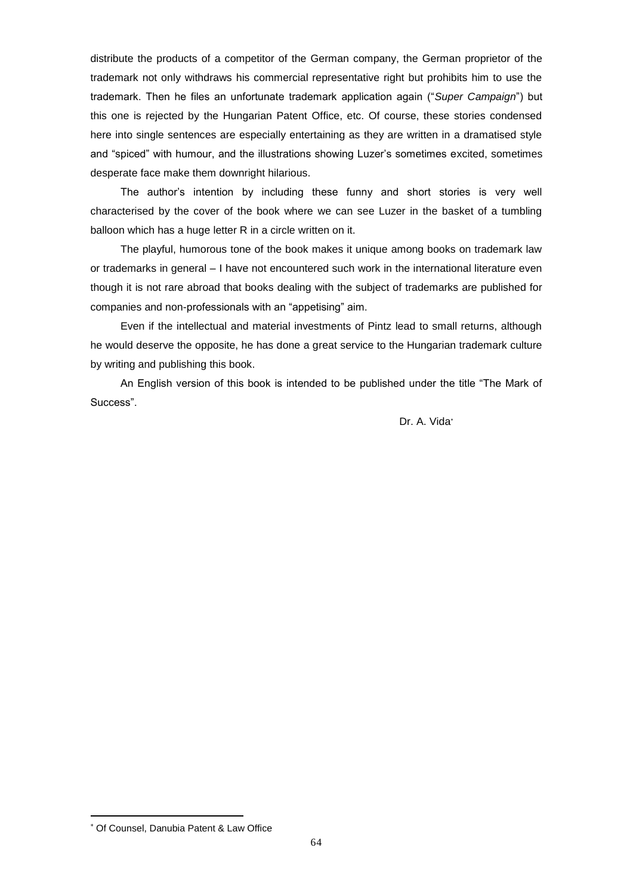distribute the products of a competitor of the German company, the German proprietor of the trademark not only withdraws his commercial representative right but prohibits him to use the trademark. Then he files an unfortunate trademark application again ("*Super Campaign*") but this one is rejected by the Hungarian Patent Office, etc. Of course, these stories condensed here into single sentences are especially entertaining as they are written in a dramatised style and "spiced" with humour, and the illustrations showing Luzer's sometimes excited, sometimes desperate face make them downright hilarious.

The author"s intention by including these funny and short stories is very well characterised by the cover of the book where we can see Luzer in the basket of a tumbling balloon which has a huge letter R in a circle written on it.

The playful, humorous tone of the book makes it unique among books on trademark law or trademarks in general – I have not encountered such work in the international literature even though it is not rare abroad that books dealing with the subject of trademarks are published for companies and non-professionals with an "appetising" aim.

Even if the intellectual and material investments of Pintz lead to small returns, although he would deserve the opposite, he has done a great service to the Hungarian trademark culture by writing and publishing this book.

An English version of this book is intended to be published under the title "The Mark of Success".

Dr. A. Vida

Of Counsel, Danubia Patent & Law Office